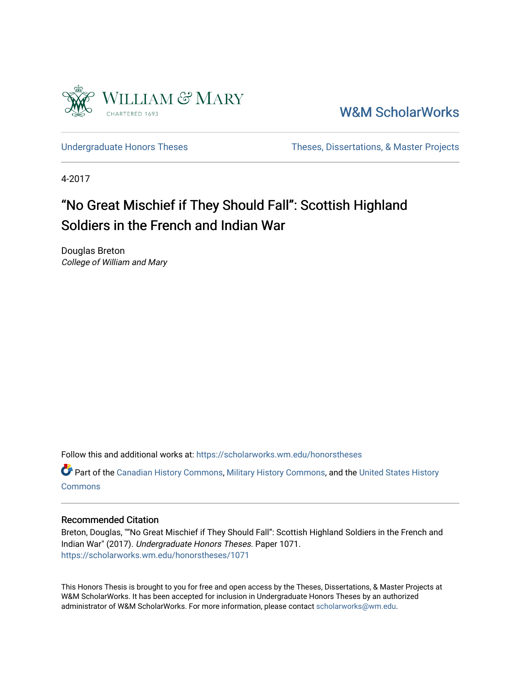

[W&M ScholarWorks](https://scholarworks.wm.edu/) 

[Undergraduate Honors Theses](https://scholarworks.wm.edu/honorstheses) Theses Theses, Dissertations, & Master Projects

4-2017

# "No Great Mischief if They Should Fall": Scottish Highland Soldiers in the French and Indian War

Douglas Breton College of William and Mary

Follow this and additional works at: [https://scholarworks.wm.edu/honorstheses](https://scholarworks.wm.edu/honorstheses?utm_source=scholarworks.wm.edu%2Fhonorstheses%2F1071&utm_medium=PDF&utm_campaign=PDFCoverPages) 

Part of the [Canadian History Commons](http://network.bepress.com/hgg/discipline/1358?utm_source=scholarworks.wm.edu%2Fhonorstheses%2F1071&utm_medium=PDF&utm_campaign=PDFCoverPages), [Military History Commons](http://network.bepress.com/hgg/discipline/504?utm_source=scholarworks.wm.edu%2Fhonorstheses%2F1071&utm_medium=PDF&utm_campaign=PDFCoverPages), and the [United States History](http://network.bepress.com/hgg/discipline/495?utm_source=scholarworks.wm.edu%2Fhonorstheses%2F1071&utm_medium=PDF&utm_campaign=PDFCoverPages) **[Commons](http://network.bepress.com/hgg/discipline/495?utm_source=scholarworks.wm.edu%2Fhonorstheses%2F1071&utm_medium=PDF&utm_campaign=PDFCoverPages)** 

#### Recommended Citation

Breton, Douglas, ""No Great Mischief if They Should Fall": Scottish Highland Soldiers in the French and Indian War" (2017). Undergraduate Honors Theses. Paper 1071. [https://scholarworks.wm.edu/honorstheses/1071](https://scholarworks.wm.edu/honorstheses/1071?utm_source=scholarworks.wm.edu%2Fhonorstheses%2F1071&utm_medium=PDF&utm_campaign=PDFCoverPages)

This Honors Thesis is brought to you for free and open access by the Theses, Dissertations, & Master Projects at W&M ScholarWorks. It has been accepted for inclusion in Undergraduate Honors Theses by an authorized administrator of W&M ScholarWorks. For more information, please contact [scholarworks@wm.edu.](mailto:scholarworks@wm.edu)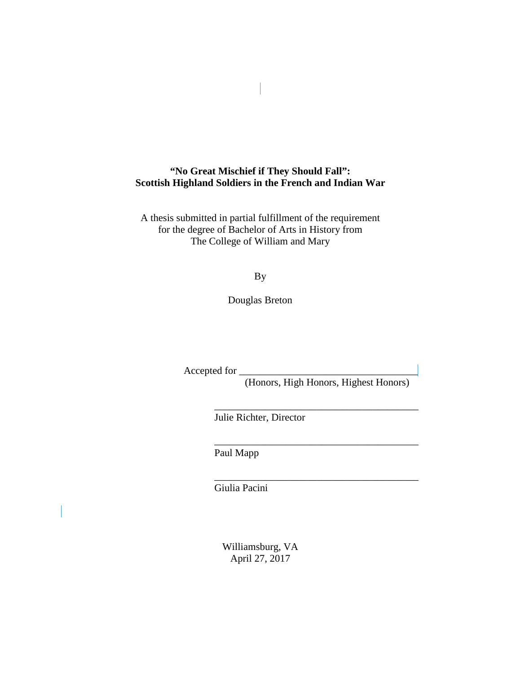# **"No Great Mischief if They Should Fall": Scottish Highland Soldiers in the French and Indian War**

A thesis submitted in partial fulfillment of the requirement for the degree of Bachelor of Arts in History from The College of William and Mary

By

Douglas Breton

Accepted for \_\_\_\_\_\_\_\_\_\_\_\_\_\_\_\_\_\_\_\_\_\_\_\_\_\_\_\_\_\_\_\_\_\_\_

 $\overline{\phantom{a}}$ 

(Honors, High Honors, Highest Honors)

\_\_\_\_\_\_\_\_\_\_\_\_\_\_\_\_\_\_\_\_\_\_\_\_\_\_\_\_\_\_\_\_\_\_\_\_\_\_\_\_

\_\_\_\_\_\_\_\_\_\_\_\_\_\_\_\_\_\_\_\_\_\_\_\_\_\_\_\_\_\_\_\_\_\_\_\_\_\_\_\_

\_\_\_\_\_\_\_\_\_\_\_\_\_\_\_\_\_\_\_\_\_\_\_\_\_\_\_\_\_\_\_\_\_\_\_\_\_\_\_\_

Julie Richter, Director

Paul Mapp

Giulia Pacini

Williamsburg, VA April 27, 2017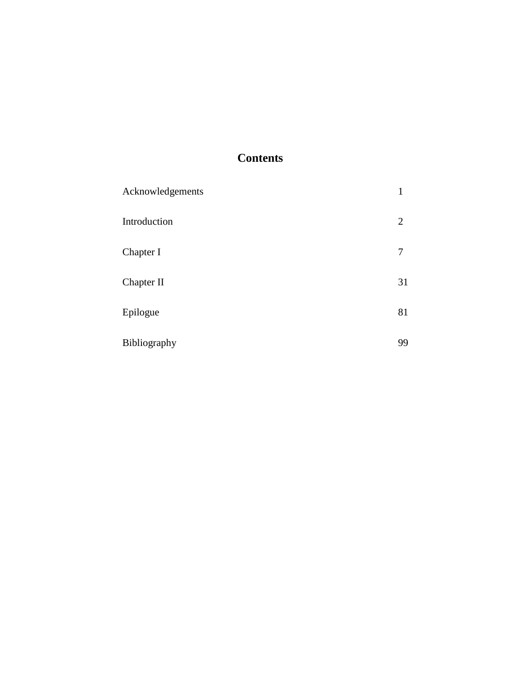# **Contents**

| Acknowledgements | 1              |
|------------------|----------------|
| Introduction     | $\overline{2}$ |
| Chapter I        | 7              |
| Chapter II       | 31             |
| Epilogue         | 81             |
| Bibliography     | 99             |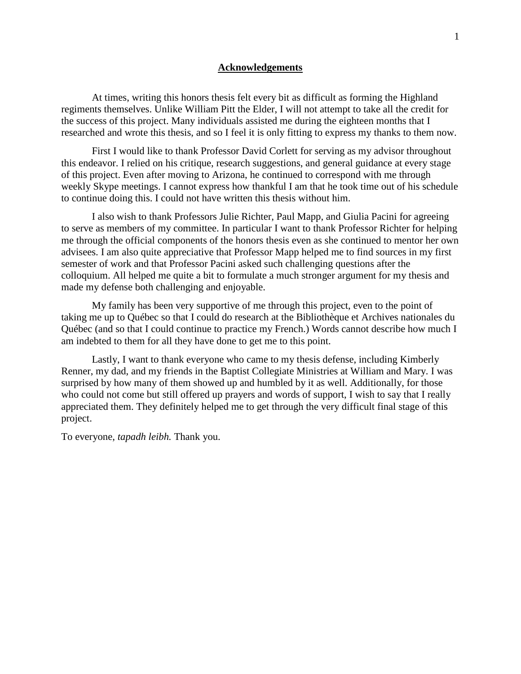#### **Acknowledgements**

At times, writing this honors thesis felt every bit as difficult as forming the Highland regiments themselves. Unlike William Pitt the Elder, I will not attempt to take all the credit for the success of this project. Many individuals assisted me during the eighteen months that I researched and wrote this thesis, and so I feel it is only fitting to express my thanks to them now.

First I would like to thank Professor David Corlett for serving as my advisor throughout this endeavor. I relied on his critique, research suggestions, and general guidance at every stage of this project. Even after moving to Arizona, he continued to correspond with me through weekly Skype meetings. I cannot express how thankful I am that he took time out of his schedule to continue doing this. I could not have written this thesis without him.

I also wish to thank Professors Julie Richter, Paul Mapp, and Giulia Pacini for agreeing to serve as members of my committee. In particular I want to thank Professor Richter for helping me through the official components of the honors thesis even as she continued to mentor her own advisees. I am also quite appreciative that Professor Mapp helped me to find sources in my first semester of work and that Professor Pacini asked such challenging questions after the colloquium. All helped me quite a bit to formulate a much stronger argument for my thesis and made my defense both challenging and enjoyable.

My family has been very supportive of me through this project, even to the point of taking me up to Québec so that I could do research at the Bibliothèque et Archives nationales du Québec (and so that I could continue to practice my French.) Words cannot describe how much I am indebted to them for all they have done to get me to this point.

Lastly, I want to thank everyone who came to my thesis defense, including Kimberly Renner, my dad, and my friends in the Baptist Collegiate Ministries at William and Mary. I was surprised by how many of them showed up and humbled by it as well. Additionally, for those who could not come but still offered up prayers and words of support, I wish to say that I really appreciated them. They definitely helped me to get through the very difficult final stage of this project.

To everyone, *tapadh leibh.* Thank you.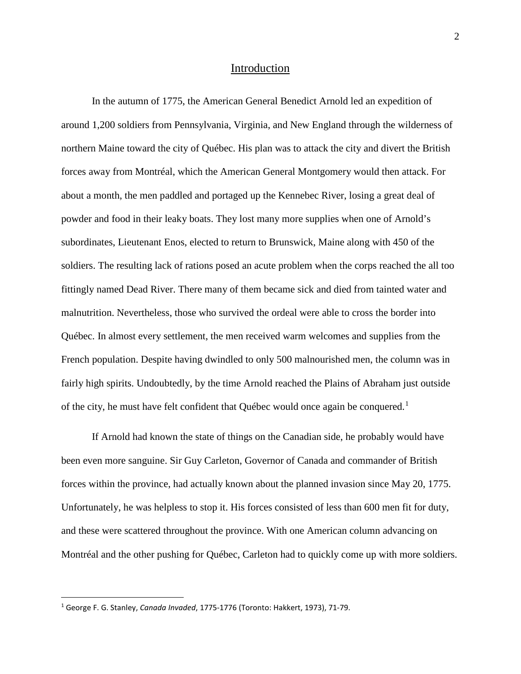## Introduction

In the autumn of 1775, the American General Benedict Arnold led an expedition of around 1,200 soldiers from Pennsylvania, Virginia, and New England through the wilderness of northern Maine toward the city of Québec. His plan was to attack the city and divert the British forces away from Montréal, which the American General Montgomery would then attack. For about a month, the men paddled and portaged up the Kennebec River, losing a great deal of powder and food in their leaky boats. They lost many more supplies when one of Arnold's subordinates, Lieutenant Enos, elected to return to Brunswick, Maine along with 450 of the soldiers. The resulting lack of rations posed an acute problem when the corps reached the all too fittingly named Dead River. There many of them became sick and died from tainted water and malnutrition. Nevertheless, those who survived the ordeal were able to cross the border into Québec. In almost every settlement, the men received warm welcomes and supplies from the French population. Despite having dwindled to only 500 malnourished men, the column was in fairly high spirits. Undoubtedly, by the time Arnold reached the Plains of Abraham just outside of the city, he must have felt confident that Québec would once again be conquered.<sup>[1](#page-4-0)</sup>

If Arnold had known the state of things on the Canadian side, he probably would have been even more sanguine. Sir Guy Carleton, Governor of Canada and commander of British forces within the province, had actually known about the planned invasion since May 20, 1775. Unfortunately, he was helpless to stop it. His forces consisted of less than 600 men fit for duty, and these were scattered throughout the province. With one American column advancing on Montréal and the other pushing for Québec, Carleton had to quickly come up with more soldiers.

<span id="page-4-0"></span><sup>1</sup> George F. G. Stanley, *Canada Invaded*, 1775-1776 (Toronto: Hakkert, 1973), 71-79.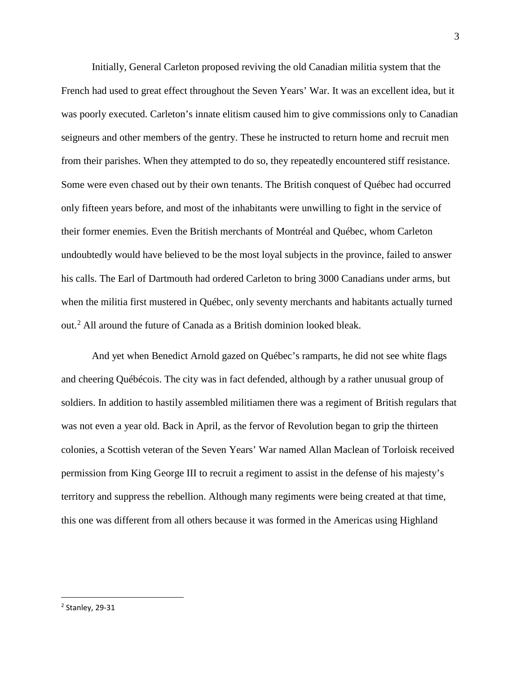Initially, General Carleton proposed reviving the old Canadian militia system that the French had used to great effect throughout the Seven Years' War. It was an excellent idea, but it was poorly executed. Carleton's innate elitism caused him to give commissions only to Canadian seigneurs and other members of the gentry. These he instructed to return home and recruit men from their parishes. When they attempted to do so, they repeatedly encountered stiff resistance. Some were even chased out by their own tenants. The British conquest of Québec had occurred only fifteen years before, and most of the inhabitants were unwilling to fight in the service of their former enemies. Even the British merchants of Montréal and Québec, whom Carleton undoubtedly would have believed to be the most loyal subjects in the province, failed to answer his calls. The Earl of Dartmouth had ordered Carleton to bring 3000 Canadians under arms, but when the militia first mustered in Québec, only seventy merchants and habitants actually turned out. [2](#page-5-0) All around the future of Canada as a British dominion looked bleak.

And yet when Benedict Arnold gazed on Québec's ramparts, he did not see white flags and cheering Québécois. The city was in fact defended, although by a rather unusual group of soldiers. In addition to hastily assembled militiamen there was a regiment of British regulars that was not even a year old. Back in April, as the fervor of Revolution began to grip the thirteen colonies, a Scottish veteran of the Seven Years' War named Allan Maclean of Torloisk received permission from King George III to recruit a regiment to assist in the defense of his majesty's territory and suppress the rebellion. Although many regiments were being created at that time, this one was different from all others because it was formed in the Americas using Highland

<span id="page-5-0"></span><sup>2</sup> Stanley, 29-31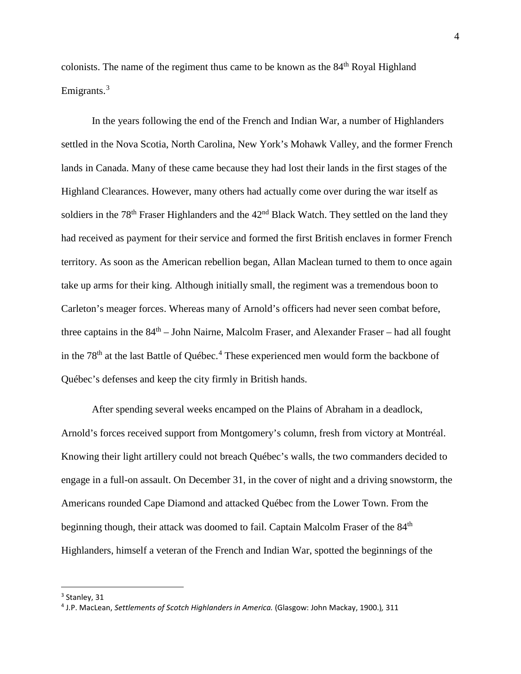colonists. The name of the regiment thus came to be known as the 84<sup>th</sup> Royal Highland Emigrants. $3$ 

In the years following the end of the French and Indian War, a number of Highlanders settled in the Nova Scotia, North Carolina, New York's Mohawk Valley, and the former French lands in Canada. Many of these came because they had lost their lands in the first stages of the Highland Clearances. However, many others had actually come over during the war itself as soldiers in the  $78<sup>th</sup>$  Fraser Highlanders and the  $42<sup>nd</sup>$  Black Watch. They settled on the land they had received as payment for their service and formed the first British enclaves in former French territory. As soon as the American rebellion began, Allan Maclean turned to them to once again take up arms for their king. Although initially small, the regiment was a tremendous boon to Carleton's meager forces. Whereas many of Arnold's officers had never seen combat before, three captains in the  $84<sup>th</sup> - John Nairne$ , Malcolm Fraser, and Alexander Fraser – had all fought in the 78<sup>th</sup> at the last Battle of Québec.<sup>[4](#page-6-1)</sup> These experienced men would form the backbone of Québec's defenses and keep the city firmly in British hands.

After spending several weeks encamped on the Plains of Abraham in a deadlock, Arnold's forces received support from Montgomery's column, fresh from victory at Montréal. Knowing their light artillery could not breach Québec's walls, the two commanders decided to engage in a full-on assault. On December 31, in the cover of night and a driving snowstorm, the Americans rounded Cape Diamond and attacked Québec from the Lower Town. From the beginning though, their attack was doomed to fail. Captain Malcolm Fraser of the 84<sup>th</sup> Highlanders, himself a veteran of the French and Indian War, spotted the beginnings of the

<span id="page-6-0"></span><sup>&</sup>lt;sup>3</sup> Stanley, 31

<span id="page-6-1"></span><sup>4</sup> J.P. MacLean, *Settlements of Scotch Highlanders in America.* (Glasgow: John Mackay, 1900.)*,* 311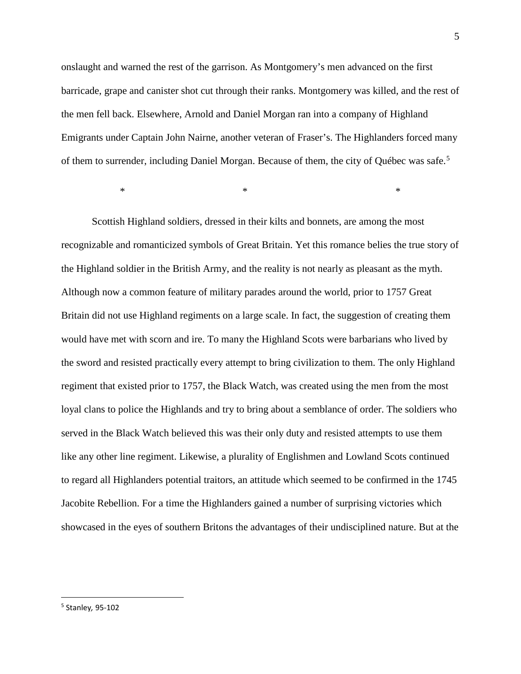onslaught and warned the rest of the garrison. As Montgomery's men advanced on the first barricade, grape and canister shot cut through their ranks. Montgomery was killed, and the rest of the men fell back. Elsewhere, Arnold and Daniel Morgan ran into a company of Highland Emigrants under Captain John Nairne, another veteran of Fraser's. The Highlanders forced many of them to surrender, including Daniel Morgan. Because of them, the city of Québec was safe.<sup>[5](#page-7-0)</sup>

 $*$   $*$ 

Scottish Highland soldiers, dressed in their kilts and bonnets, are among the most recognizable and romanticized symbols of Great Britain. Yet this romance belies the true story of the Highland soldier in the British Army, and the reality is not nearly as pleasant as the myth. Although now a common feature of military parades around the world, prior to 1757 Great Britain did not use Highland regiments on a large scale. In fact, the suggestion of creating them would have met with scorn and ire. To many the Highland Scots were barbarians who lived by the sword and resisted practically every attempt to bring civilization to them. The only Highland regiment that existed prior to 1757, the Black Watch, was created using the men from the most loyal clans to police the Highlands and try to bring about a semblance of order. The soldiers who served in the Black Watch believed this was their only duty and resisted attempts to use them like any other line regiment. Likewise, a plurality of Englishmen and Lowland Scots continued to regard all Highlanders potential traitors, an attitude which seemed to be confirmed in the 1745 Jacobite Rebellion. For a time the Highlanders gained a number of surprising victories which showcased in the eyes of southern Britons the advantages of their undisciplined nature. But at the

<span id="page-7-0"></span><sup>5</sup> Stanley*,* 95-102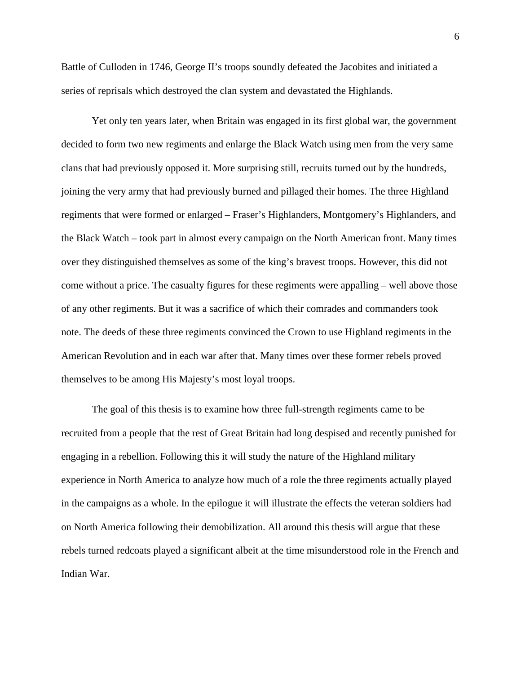Battle of Culloden in 1746, George II's troops soundly defeated the Jacobites and initiated a series of reprisals which destroyed the clan system and devastated the Highlands.

Yet only ten years later, when Britain was engaged in its first global war, the government decided to form two new regiments and enlarge the Black Watch using men from the very same clans that had previously opposed it. More surprising still, recruits turned out by the hundreds, joining the very army that had previously burned and pillaged their homes. The three Highland regiments that were formed or enlarged – Fraser's Highlanders, Montgomery's Highlanders, and the Black Watch – took part in almost every campaign on the North American front. Many times over they distinguished themselves as some of the king's bravest troops. However, this did not come without a price. The casualty figures for these regiments were appalling – well above those of any other regiments. But it was a sacrifice of which their comrades and commanders took note. The deeds of these three regiments convinced the Crown to use Highland regiments in the American Revolution and in each war after that. Many times over these former rebels proved themselves to be among His Majesty's most loyal troops.

The goal of this thesis is to examine how three full-strength regiments came to be recruited from a people that the rest of Great Britain had long despised and recently punished for engaging in a rebellion. Following this it will study the nature of the Highland military experience in North America to analyze how much of a role the three regiments actually played in the campaigns as a whole. In the epilogue it will illustrate the effects the veteran soldiers had on North America following their demobilization. All around this thesis will argue that these rebels turned redcoats played a significant albeit at the time misunderstood role in the French and Indian War.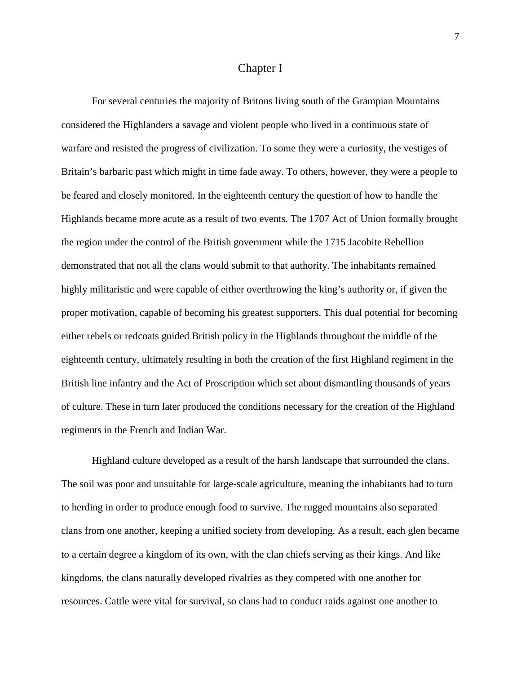# Chapter I

For several centuries the majority of Britons living south of the Grampian Mountains considered the Highlanders a savage and violent people who lived in a continuous state of warfare and resisted the progress of civilization. To some they were a curiosity, the vestiges of Britain's barbaric past which might in time fade away. To others, however, they were a people to be feared and closely monitored. In the eighteenth century the question of how to handle the Highlands became more acute as a result of two events. The 1707 Act of Union formally brought the region under the control of the British government while the 1715 Jacobite Rebellion demonstrated that not all the clans would submit to that authority. The inhabitants remained highly militaristic and were capable of either overthrowing the king's authority or, if given the proper motivation, capable of becoming his greatest supporters. This dual potential for becoming either rebels or redcoats guided British policy in the Highlands throughout the middle of the eighteenth century, ultimately resulting in both the creation of the first Highland regiment in the British line infantry and the Act of Proscription which set about dismantling thousands of years of culture. These in turn later produced the conditions necessary for the creation of the Highland regiments in the French and Indian War.

Highland culture developed as a result of the harsh landscape that surrounded the clans. The soil was poor and unsuitable for large-scale agriculture, meaning the inhabitants had to turn to herding in order to produce enough food to survive. The rugged mountains also separated clans from one another, keeping a unified society from developing. As a result, each glen became to a certain degree a kingdom of its own, with the clan chiefs serving as their kings. And like kingdoms, the clans naturally developed rivalries as they competed with one another for resources. Cattle were vital for survival, so clans had to conduct raids against one another to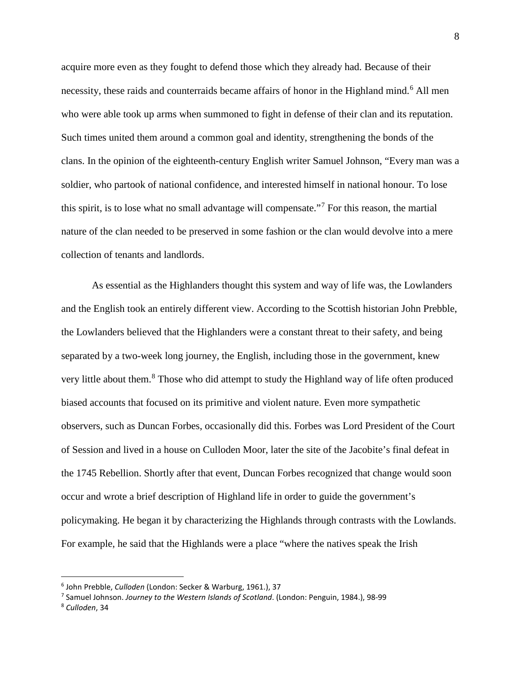acquire more even as they fought to defend those which they already had. Because of their necessity, these raids and counterraids became affairs of honor in the Highland mind. [6](#page-10-0) All men who were able took up arms when summoned to fight in defense of their clan and its reputation. Such times united them around a common goal and identity, strengthening the bonds of the clans. In the opinion of the eighteenth-century English writer Samuel Johnson, "Every man was a soldier, who partook of national confidence, and interested himself in national honour. To lose this spirit, is to lose what no small advantage will compensate."[7](#page-10-1) For this reason, the martial nature of the clan needed to be preserved in some fashion or the clan would devolve into a mere collection of tenants and landlords.

As essential as the Highlanders thought this system and way of life was, the Lowlanders and the English took an entirely different view. According to the Scottish historian John Prebble, the Lowlanders believed that the Highlanders were a constant threat to their safety, and being separated by a two-week long journey, the English, including those in the government, knew very little about them.<sup>[8](#page-10-2)</sup> Those who did attempt to study the Highland way of life often produced biased accounts that focused on its primitive and violent nature. Even more sympathetic observers, such as Duncan Forbes, occasionally did this. Forbes was Lord President of the Court of Session and lived in a house on Culloden Moor, later the site of the Jacobite's final defeat in the 1745 Rebellion. Shortly after that event, Duncan Forbes recognized that change would soon occur and wrote a brief description of Highland life in order to guide the government's policymaking. He began it by characterizing the Highlands through contrasts with the Lowlands. For example, he said that the Highlands were a place "where the natives speak the Irish

<span id="page-10-0"></span><sup>6</sup> John Prebble, *Culloden* (London: Secker & Warburg, 1961.), 37

<span id="page-10-1"></span><sup>7</sup> Samuel Johnson. *Journey to the Western Islands of Scotland*. (London: Penguin, 1984.), 98-99

<span id="page-10-2"></span><sup>8</sup> *Culloden*, 34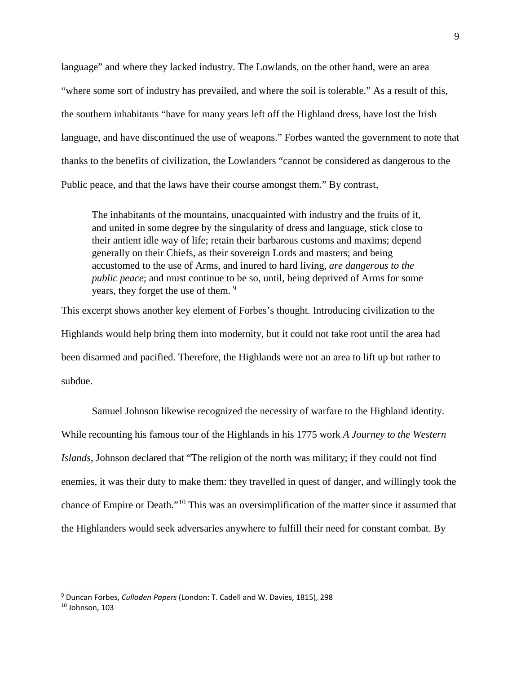language" and where they lacked industry. The Lowlands, on the other hand, were an area "where some sort of industry has prevailed, and where the soil is tolerable." As a result of this, the southern inhabitants "have for many years left off the Highland dress, have lost the Irish language, and have discontinued the use of weapons." Forbes wanted the government to note that thanks to the benefits of civilization, the Lowlanders "cannot be considered as dangerous to the Public peace, and that the laws have their course amongst them." By contrast,

The inhabitants of the mountains, unacquainted with industry and the fruits of it, and united in some degree by the singularity of dress and language, stick close to their antient idle way of life; retain their barbarous customs and maxims; depend generally on their Chiefs, as their sovereign Lords and masters; and being accustomed to the use of Arms, and inured to hard living, *are dangerous to the public peace*; and must continue to be so, until, being deprived of Arms for some years, they forget the use of them. <sup>[9](#page-11-0)</sup>

This excerpt shows another key element of Forbes's thought. Introducing civilization to the Highlands would help bring them into modernity, but it could not take root until the area had been disarmed and pacified. Therefore, the Highlands were not an area to lift up but rather to subdue.

Samuel Johnson likewise recognized the necessity of warfare to the Highland identity. While recounting his famous tour of the Highlands in his 1775 work *A Journey to the Western Islands*, Johnson declared that "The religion of the north was military; if they could not find enemies, it was their duty to make them: they travelled in quest of danger, and willingly took the chance of Empire or Death."[10](#page-11-1) This was an oversimplification of the matter since it assumed that the Highlanders would seek adversaries anywhere to fulfill their need for constant combat. By

<span id="page-11-0"></span><sup>9</sup> Duncan Forbes, *Culloden Papers* (London: T. Cadell and W. Davies, 1815), 298

<span id="page-11-1"></span> $10$  Johnson, 103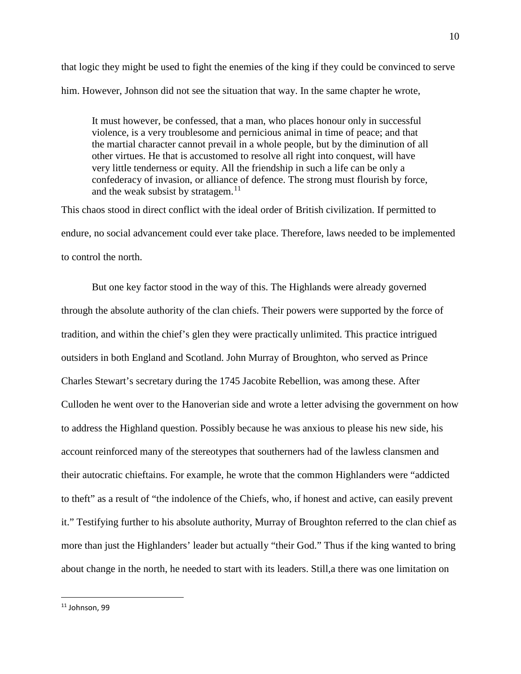that logic they might be used to fight the enemies of the king if they could be convinced to serve him. However, Johnson did not see the situation that way. In the same chapter he wrote,

It must however, be confessed, that a man, who places honour only in successful violence, is a very troublesome and pernicious animal in time of peace; and that the martial character cannot prevail in a whole people, but by the diminution of all other virtues. He that is accustomed to resolve all right into conquest, will have very little tenderness or equity. All the friendship in such a life can be only a confederacy of invasion, or alliance of defence. The strong must flourish by force, and the weak subsist by stratagem. $11$ 

This chaos stood in direct conflict with the ideal order of British civilization. If permitted to endure, no social advancement could ever take place. Therefore, laws needed to be implemented to control the north.

But one key factor stood in the way of this. The Highlands were already governed through the absolute authority of the clan chiefs. Their powers were supported by the force of tradition, and within the chief's glen they were practically unlimited. This practice intrigued outsiders in both England and Scotland. John Murray of Broughton, who served as Prince Charles Stewart's secretary during the 1745 Jacobite Rebellion, was among these. After Culloden he went over to the Hanoverian side and wrote a letter advising the government on how to address the Highland question. Possibly because he was anxious to please his new side, his account reinforced many of the stereotypes that southerners had of the lawless clansmen and their autocratic chieftains. For example, he wrote that the common Highlanders were "addicted to theft" as a result of "the indolence of the Chiefs, who, if honest and active, can easily prevent it." Testifying further to his absolute authority, Murray of Broughton referred to the clan chief as more than just the Highlanders' leader but actually "their God." Thus if the king wanted to bring about change in the north, he needed to start with its leaders. Still,a there was one limitation on

<span id="page-12-0"></span> $11$  Johnson, 99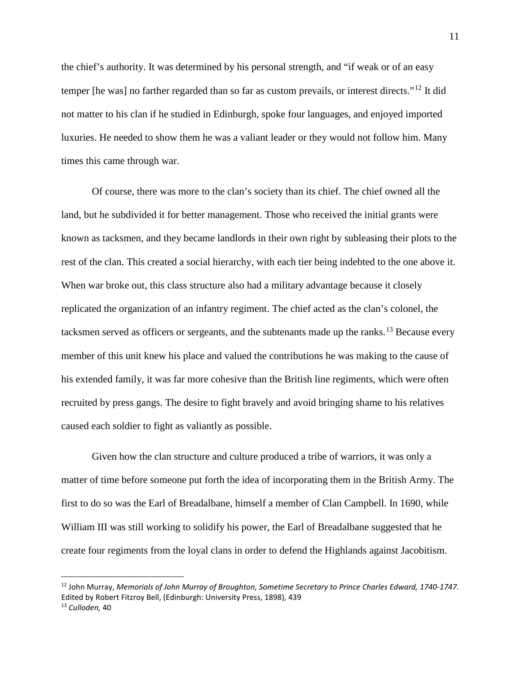the chief's authority. It was determined by his personal strength, and "if weak or of an easy temper [he was] no farther regarded than so far as custom prevails, or interest directs."[12](#page-13-0) It did not matter to his clan if he studied in Edinburgh, spoke four languages, and enjoyed imported luxuries. He needed to show them he was a valiant leader or they would not follow him. Many times this came through war.

Of course, there was more to the clan's society than its chief. The chief owned all the land, but he subdivided it for better management. Those who received the initial grants were known as tacksmen, and they became landlords in their own right by subleasing their plots to the rest of the clan. This created a social hierarchy, with each tier being indebted to the one above it. When war broke out, this class structure also had a military advantage because it closely replicated the organization of an infantry regiment. The chief acted as the clan's colonel, the tacksmen served as officers or sergeants, and the subtenants made up the ranks.<sup>[13](#page-13-1)</sup> Because every member of this unit knew his place and valued the contributions he was making to the cause of his extended family, it was far more cohesive than the British line regiments, which were often recruited by press gangs. The desire to fight bravely and avoid bringing shame to his relatives caused each soldier to fight as valiantly as possible.

Given how the clan structure and culture produced a tribe of warriors, it was only a matter of time before someone put forth the idea of incorporating them in the British Army. The first to do so was the Earl of Breadalbane, himself a member of Clan Campbell. In 1690, while William III was still working to solidify his power, the Earl of Breadalbane suggested that he create four regiments from the loyal clans in order to defend the Highlands against Jacobitism.

<span id="page-13-1"></span><span id="page-13-0"></span><sup>12</sup> John Murray, *Memorials of John Murray of Broughton, Sometime Secretary to Prince Charles Edward, 1740-1747.* Edited by Robert Fitzroy Bell, (Edinburgh: University Press, 1898), 439 <sup>13</sup> *Culloden,* 40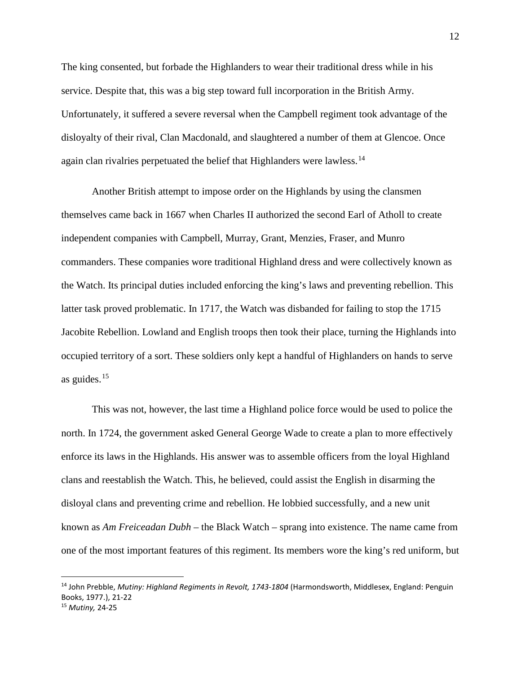The king consented, but forbade the Highlanders to wear their traditional dress while in his service. Despite that, this was a big step toward full incorporation in the British Army. Unfortunately, it suffered a severe reversal when the Campbell regiment took advantage of the disloyalty of their rival, Clan Macdonald, and slaughtered a number of them at Glencoe. Once again clan rivalries perpetuated the belief that Highlanders were lawless.<sup>[14](#page-14-0)</sup>

Another British attempt to impose order on the Highlands by using the clansmen themselves came back in 1667 when Charles II authorized the second Earl of Atholl to create independent companies with Campbell, Murray, Grant, Menzies, Fraser, and Munro commanders. These companies wore traditional Highland dress and were collectively known as the Watch. Its principal duties included enforcing the king's laws and preventing rebellion. This latter task proved problematic. In 1717, the Watch was disbanded for failing to stop the 1715 Jacobite Rebellion. Lowland and English troops then took their place, turning the Highlands into occupied territory of a sort. These soldiers only kept a handful of Highlanders on hands to serve as guides.[15](#page-14-1)

This was not, however, the last time a Highland police force would be used to police the north. In 1724, the government asked General George Wade to create a plan to more effectively enforce its laws in the Highlands. His answer was to assemble officers from the loyal Highland clans and reestablish the Watch. This, he believed, could assist the English in disarming the disloyal clans and preventing crime and rebellion. He lobbied successfully, and a new unit known as *Am Freiceadan Dubh* – the Black Watch – sprang into existence. The name came from one of the most important features of this regiment. Its members wore the king's red uniform, but

<span id="page-14-1"></span><span id="page-14-0"></span><sup>14</sup> John Prebble, *Mutiny: Highland Regiments in Revolt, 1743-1804* (Harmondsworth, Middlesex, England: Penguin Books, 1977.), 21-22 <sup>15</sup> *Mutiny,* 24-25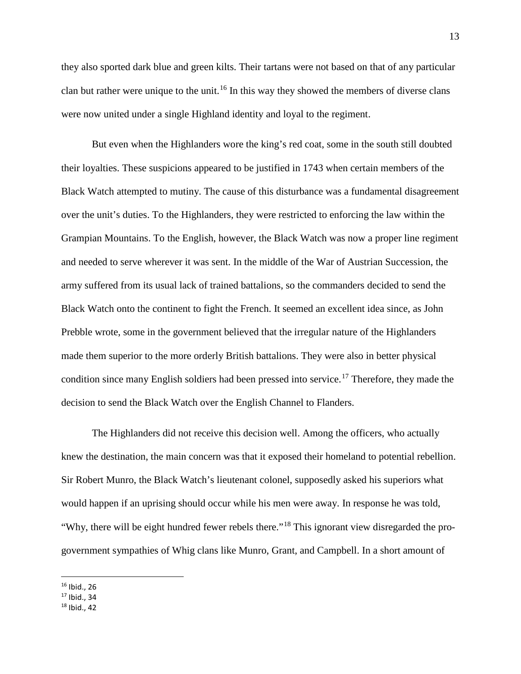they also sported dark blue and green kilts. Their tartans were not based on that of any particular clan but rather were unique to the unit.<sup>[16](#page-15-0)</sup> In this way they showed the members of diverse clans were now united under a single Highland identity and loyal to the regiment.

But even when the Highlanders wore the king's red coat, some in the south still doubted their loyalties. These suspicions appeared to be justified in 1743 when certain members of the Black Watch attempted to mutiny. The cause of this disturbance was a fundamental disagreement over the unit's duties. To the Highlanders, they were restricted to enforcing the law within the Grampian Mountains. To the English, however, the Black Watch was now a proper line regiment and needed to serve wherever it was sent. In the middle of the War of Austrian Succession, the army suffered from its usual lack of trained battalions, so the commanders decided to send the Black Watch onto the continent to fight the French. It seemed an excellent idea since, as John Prebble wrote, some in the government believed that the irregular nature of the Highlanders made them superior to the more orderly British battalions. They were also in better physical condition since many English soldiers had been pressed into service. [17](#page-15-1) Therefore, they made the decision to send the Black Watch over the English Channel to Flanders.

The Highlanders did not receive this decision well. Among the officers, who actually knew the destination, the main concern was that it exposed their homeland to potential rebellion. Sir Robert Munro, the Black Watch's lieutenant colonel, supposedly asked his superiors what would happen if an uprising should occur while his men were away. In response he was told, "Why, there will be eight hundred fewer rebels there."<sup>[18](#page-15-2)</sup> This ignorant view disregarded the progovernment sympathies of Whig clans like Munro, Grant, and Campbell. In a short amount of

<span id="page-15-0"></span> $16$  Ibid., 26

<span id="page-15-1"></span> $17$  Ibid., 34

<span id="page-15-2"></span> $18$  Ibid., 42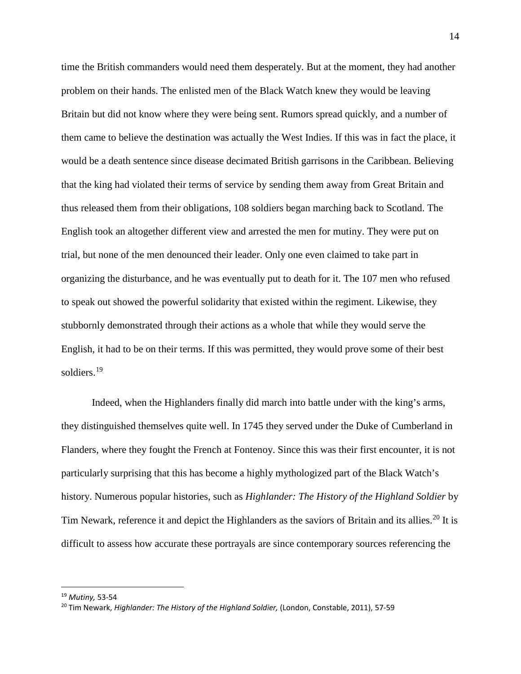time the British commanders would need them desperately. But at the moment, they had another problem on their hands. The enlisted men of the Black Watch knew they would be leaving Britain but did not know where they were being sent. Rumors spread quickly, and a number of them came to believe the destination was actually the West Indies. If this was in fact the place, it would be a death sentence since disease decimated British garrisons in the Caribbean. Believing that the king had violated their terms of service by sending them away from Great Britain and thus released them from their obligations, 108 soldiers began marching back to Scotland. The English took an altogether different view and arrested the men for mutiny. They were put on trial, but none of the men denounced their leader. Only one even claimed to take part in organizing the disturbance, and he was eventually put to death for it. The 107 men who refused to speak out showed the powerful solidarity that existed within the regiment. Likewise, they stubbornly demonstrated through their actions as a whole that while they would serve the English, it had to be on their terms. If this was permitted, they would prove some of their best soldiers.[19](#page-16-0)

Indeed, when the Highlanders finally did march into battle under with the king's arms, they distinguished themselves quite well. In 1745 they served under the Duke of Cumberland in Flanders, where they fought the French at Fontenoy. Since this was their first encounter, it is not particularly surprising that this has become a highly mythologized part of the Black Watch's history. Numerous popular histories, such as *Highlander: The History of the Highland Soldier* by Tim Newark, reference it and depict the Highlanders as the saviors of Britain and its allies.<sup>[20](#page-16-1)</sup> It is difficult to assess how accurate these portrayals are since contemporary sources referencing the

<span id="page-16-0"></span><sup>19</sup> *Mutiny,* 53-54

<span id="page-16-1"></span><sup>&</sup>lt;sup>20</sup> Tim Newark, *Highlander: The History of the Highland Soldier*, (London, Constable, 2011), 57-59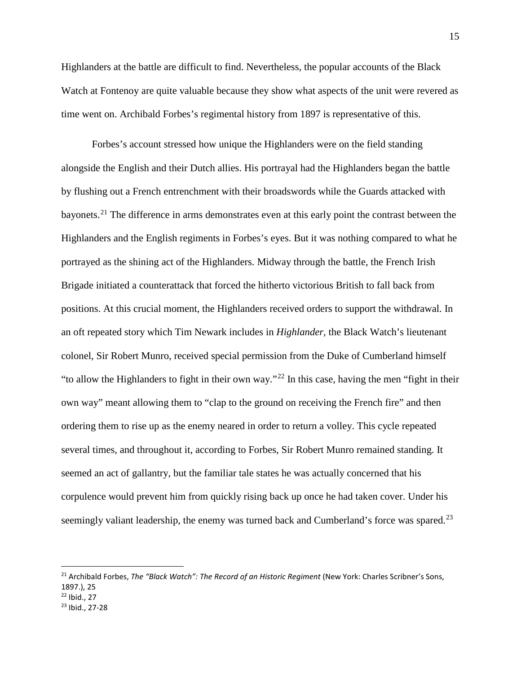Highlanders at the battle are difficult to find. Nevertheless, the popular accounts of the Black Watch at Fontenoy are quite valuable because they show what aspects of the unit were revered as time went on. Archibald Forbes's regimental history from 1897 is representative of this.

Forbes's account stressed how unique the Highlanders were on the field standing alongside the English and their Dutch allies. His portrayal had the Highlanders began the battle by flushing out a French entrenchment with their broadswords while the Guards attacked with bayonets.<sup>[21](#page-17-0)</sup> The difference in arms demonstrates even at this early point the contrast between the Highlanders and the English regiments in Forbes's eyes. But it was nothing compared to what he portrayed as the shining act of the Highlanders. Midway through the battle, the French Irish Brigade initiated a counterattack that forced the hitherto victorious British to fall back from positions. At this crucial moment, the Highlanders received orders to support the withdrawal. In an oft repeated story which Tim Newark includes in *Highlander*, the Black Watch's lieutenant colonel, Sir Robert Munro, received special permission from the Duke of Cumberland himself "to allow the Highlanders to fight in their own way."<sup>[22](#page-17-1)</sup> In this case, having the men "fight in their" own way" meant allowing them to "clap to the ground on receiving the French fire" and then ordering them to rise up as the enemy neared in order to return a volley. This cycle repeated several times, and throughout it, according to Forbes, Sir Robert Munro remained standing. It seemed an act of gallantry, but the familiar tale states he was actually concerned that his corpulence would prevent him from quickly rising back up once he had taken cover. Under his seemingly valiant leadership, the enemy was turned back and Cumberland's force was spared.<sup>[23](#page-17-2)</sup>

<span id="page-17-0"></span><sup>21</sup> Archibald Forbes, *The "Black Watch": The Record of an Historic Regiment* (New York: Charles Scribner's Sons, 1897.), 25

<span id="page-17-1"></span><sup>22</sup> Ibid., 27

<span id="page-17-2"></span><sup>23</sup> Ibid., 27-28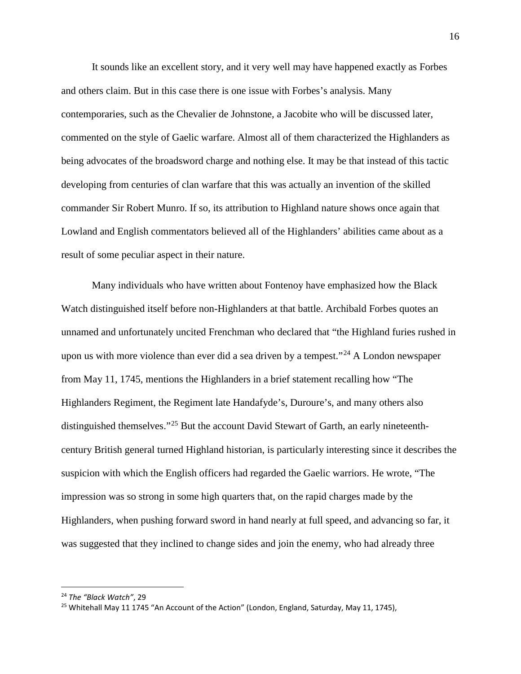It sounds like an excellent story, and it very well may have happened exactly as Forbes and others claim. But in this case there is one issue with Forbes's analysis. Many contemporaries, such as the Chevalier de Johnstone, a Jacobite who will be discussed later, commented on the style of Gaelic warfare. Almost all of them characterized the Highlanders as being advocates of the broadsword charge and nothing else. It may be that instead of this tactic developing from centuries of clan warfare that this was actually an invention of the skilled commander Sir Robert Munro. If so, its attribution to Highland nature shows once again that Lowland and English commentators believed all of the Highlanders' abilities came about as a result of some peculiar aspect in their nature.

Many individuals who have written about Fontenoy have emphasized how the Black Watch distinguished itself before non-Highlanders at that battle. Archibald Forbes quotes an unnamed and unfortunately uncited Frenchman who declared that "the Highland furies rushed in upon us with more violence than ever did a sea driven by a tempest."<sup>[24](#page-18-0)</sup> A London newspaper from May 11, 1745, mentions the Highlanders in a brief statement recalling how "The Highlanders Regiment, the Regiment late Handafyde's, Duroure's, and many others also distinguished themselves."[25](#page-18-1) But the account David Stewart of Garth, an early nineteenthcentury British general turned Highland historian, is particularly interesting since it describes the suspicion with which the English officers had regarded the Gaelic warriors. He wrote, "The impression was so strong in some high quarters that, on the rapid charges made by the Highlanders, when pushing forward sword in hand nearly at full speed, and advancing so far, it was suggested that they inclined to change sides and join the enemy, who had already three

<span id="page-18-0"></span><sup>24</sup> *The "Black Watch"*, 29

<span id="page-18-1"></span><sup>&</sup>lt;sup>25</sup> Whitehall May 11 1745 "An Account of the Action" (London, England, Saturday, May 11, 1745),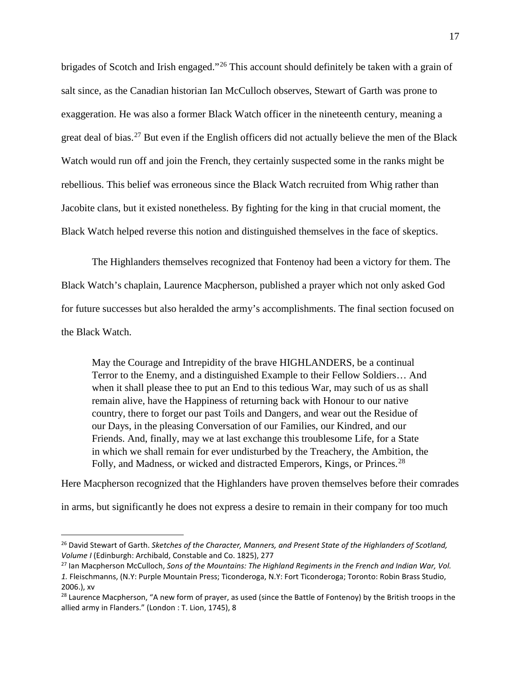brigades of Scotch and Irish engaged."<sup>[26](#page-19-0)</sup> This account should definitely be taken with a grain of salt since, as the Canadian historian Ian McCulloch observes, Stewart of Garth was prone to exaggeration. He was also a former Black Watch officer in the nineteenth century, meaning a great deal of bias.<sup>[27](#page-19-1)</sup> But even if the English officers did not actually believe the men of the Black Watch would run off and join the French, they certainly suspected some in the ranks might be rebellious. This belief was erroneous since the Black Watch recruited from Whig rather than Jacobite clans, but it existed nonetheless. By fighting for the king in that crucial moment, the Black Watch helped reverse this notion and distinguished themselves in the face of skeptics.

The Highlanders themselves recognized that Fontenoy had been a victory for them. The Black Watch's chaplain, Laurence Macpherson, published a prayer which not only asked God for future successes but also heralded the army's accomplishments. The final section focused on the Black Watch.

May the Courage and Intrepidity of the brave HIGHLANDERS, be a continual Terror to the Enemy, and a distinguished Example to their Fellow Soldiers… And when it shall please thee to put an End to this tedious War, may such of us as shall remain alive, have the Happiness of returning back with Honour to our native country, there to forget our past Toils and Dangers, and wear out the Residue of our Days, in the pleasing Conversation of our Families, our Kindred, and our Friends. And, finally, may we at last exchange this troublesome Life, for a State in which we shall remain for ever undisturbed by the Treachery, the Ambition, the Folly, and Madness, or wicked and distracted Emperors, Kings, or Princes.<sup>[28](#page-19-2)</sup>

Here Macpherson recognized that the Highlanders have proven themselves before their comrades

in arms, but significantly he does not express a desire to remain in their company for too much

<span id="page-19-0"></span><sup>26</sup> David Stewart of Garth. *Sketches of the Character, Manners, and Present State of the Highlanders of Scotland, Volume I* (Edinburgh: Archibald, Constable and Co. 1825), 277

<span id="page-19-1"></span><sup>27</sup> Ian Macpherson McCulloch, *Sons of the Mountains: The Highland Regiments in the French and Indian War, Vol.* 

*<sup>1.</sup>* Fleischmanns, (N.Y: Purple Mountain Press; Ticonderoga, N.Y: Fort Ticonderoga; Toronto: Robin Brass Studio, 2006.), xv

<span id="page-19-2"></span> $28$  Laurence Macpherson, "A new form of prayer, as used (since the Battle of Fontenoy) by the British troops in the allied army in Flanders." (London : T. Lion, 1745), 8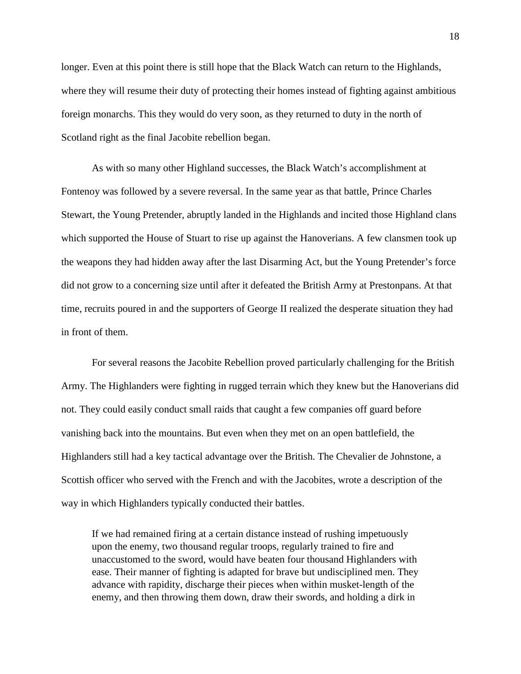longer. Even at this point there is still hope that the Black Watch can return to the Highlands, where they will resume their duty of protecting their homes instead of fighting against ambitious foreign monarchs. This they would do very soon, as they returned to duty in the north of Scotland right as the final Jacobite rebellion began.

As with so many other Highland successes, the Black Watch's accomplishment at Fontenoy was followed by a severe reversal. In the same year as that battle, Prince Charles Stewart, the Young Pretender, abruptly landed in the Highlands and incited those Highland clans which supported the House of Stuart to rise up against the Hanoverians. A few clansmen took up the weapons they had hidden away after the last Disarming Act, but the Young Pretender's force did not grow to a concerning size until after it defeated the British Army at Prestonpans. At that time, recruits poured in and the supporters of George II realized the desperate situation they had in front of them.

For several reasons the Jacobite Rebellion proved particularly challenging for the British Army. The Highlanders were fighting in rugged terrain which they knew but the Hanoverians did not. They could easily conduct small raids that caught a few companies off guard before vanishing back into the mountains. But even when they met on an open battlefield, the Highlanders still had a key tactical advantage over the British. The Chevalier de Johnstone, a Scottish officer who served with the French and with the Jacobites, wrote a description of the way in which Highlanders typically conducted their battles.

If we had remained firing at a certain distance instead of rushing impetuously upon the enemy, two thousand regular troops, regularly trained to fire and unaccustomed to the sword, would have beaten four thousand Highlanders with ease. Their manner of fighting is adapted for brave but undisciplined men. They advance with rapidity, discharge their pieces when within musket-length of the enemy, and then throwing them down, draw their swords, and holding a dirk in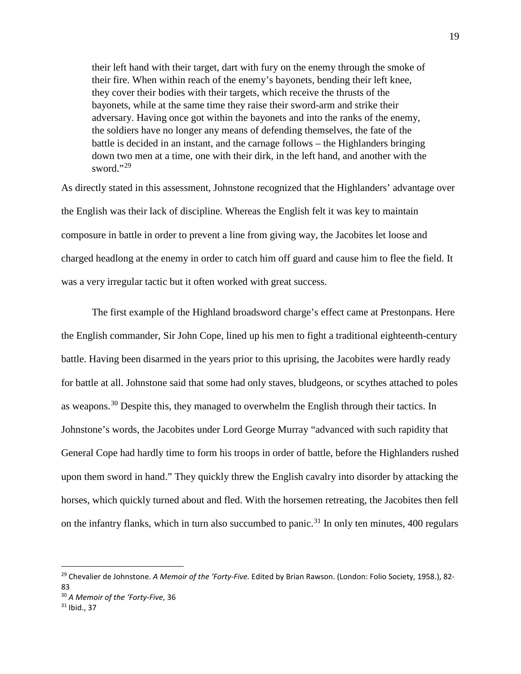their left hand with their target, dart with fury on the enemy through the smoke of their fire. When within reach of the enemy's bayonets, bending their left knee, they cover their bodies with their targets, which receive the thrusts of the bayonets, while at the same time they raise their sword-arm and strike their adversary. Having once got within the bayonets and into the ranks of the enemy, the soldiers have no longer any means of defending themselves, the fate of the battle is decided in an instant, and the carnage follows – the Highlanders bringing down two men at a time, one with their dirk, in the left hand, and another with the sword." $^{29}$  $^{29}$  $^{29}$ 

As directly stated in this assessment, Johnstone recognized that the Highlanders' advantage over the English was their lack of discipline. Whereas the English felt it was key to maintain composure in battle in order to prevent a line from giving way, the Jacobites let loose and charged headlong at the enemy in order to catch him off guard and cause him to flee the field. It was a very irregular tactic but it often worked with great success.

The first example of the Highland broadsword charge's effect came at Prestonpans. Here the English commander, Sir John Cope, lined up his men to fight a traditional eighteenth-century battle. Having been disarmed in the years prior to this uprising, the Jacobites were hardly ready for battle at all. Johnstone said that some had only staves, bludgeons, or scythes attached to poles as weapons.<sup>[30](#page-21-1)</sup> Despite this, they managed to overwhelm the English through their tactics. In Johnstone's words, the Jacobites under Lord George Murray "advanced with such rapidity that General Cope had hardly time to form his troops in order of battle, before the Highlanders rushed upon them sword in hand." They quickly threw the English cavalry into disorder by attacking the horses, which quickly turned about and fled. With the horsemen retreating, the Jacobites then fell on the infantry flanks, which in turn also succumbed to panic.<sup>[31](#page-21-2)</sup> In only ten minutes, 400 regulars

<span id="page-21-0"></span><sup>29</sup> Chevalier de Johnstone. *A Memoir of the 'Forty-Five.* Edited by Brian Rawson. (London: Folio Society, 1958.), 82- 83

<span id="page-21-1"></span><sup>30</sup> *A Memoir of the 'Forty-Five*, 36

<span id="page-21-2"></span> $31$  Ibid., 37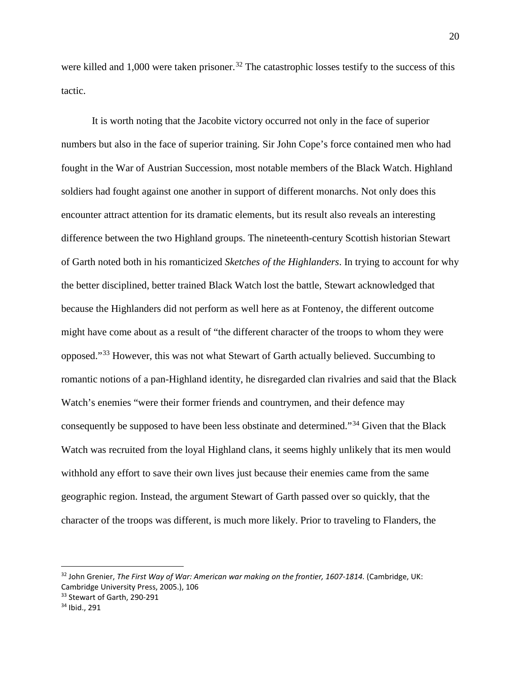were killed and 1,000 were taken prisoner.<sup>[32](#page-22-0)</sup> The catastrophic losses testify to the success of this tactic.

It is worth noting that the Jacobite victory occurred not only in the face of superior numbers but also in the face of superior training. Sir John Cope's force contained men who had fought in the War of Austrian Succession, most notable members of the Black Watch. Highland soldiers had fought against one another in support of different monarchs. Not only does this encounter attract attention for its dramatic elements, but its result also reveals an interesting difference between the two Highland groups. The nineteenth-century Scottish historian Stewart of Garth noted both in his romanticized *Sketches of the Highlanders*. In trying to account for why the better disciplined, better trained Black Watch lost the battle, Stewart acknowledged that because the Highlanders did not perform as well here as at Fontenoy, the different outcome might have come about as a result of "the different character of the troops to whom they were opposed."[33](#page-22-1) However, this was not what Stewart of Garth actually believed. Succumbing to romantic notions of a pan-Highland identity, he disregarded clan rivalries and said that the Black Watch's enemies "were their former friends and countrymen, and their defence may consequently be supposed to have been less obstinate and determined."[34](#page-22-2) Given that the Black Watch was recruited from the loyal Highland clans, it seems highly unlikely that its men would withhold any effort to save their own lives just because their enemies came from the same geographic region. Instead, the argument Stewart of Garth passed over so quickly, that the character of the troops was different, is much more likely. Prior to traveling to Flanders, the

<span id="page-22-0"></span><sup>32</sup> John Grenier, *The First Way of War: American war making on the frontier, 1607-1814.* (Cambridge, UK: Cambridge University Press, 2005.), 106

<span id="page-22-1"></span><sup>33</sup> Stewart of Garth, 290-291

<span id="page-22-2"></span><sup>34</sup> Ibid., 291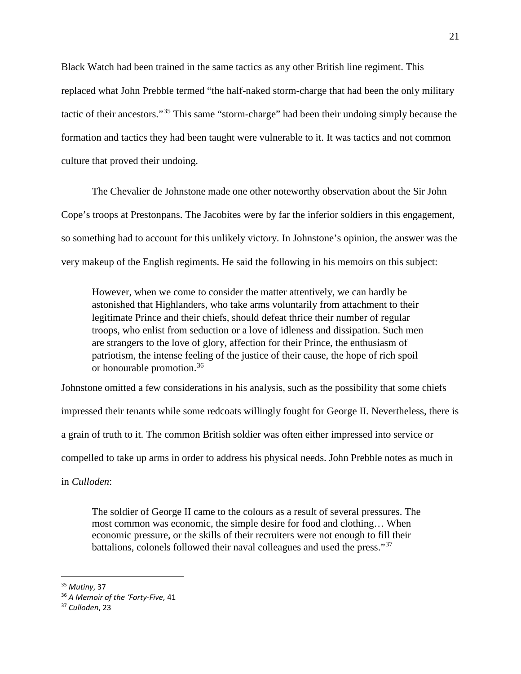Black Watch had been trained in the same tactics as any other British line regiment. This replaced what John Prebble termed "the half-naked storm-charge that had been the only military tactic of their ancestors."[35](#page-23-0) This same "storm-charge" had been their undoing simply because the formation and tactics they had been taught were vulnerable to it. It was tactics and not common culture that proved their undoing.

The Chevalier de Johnstone made one other noteworthy observation about the Sir John Cope's troops at Prestonpans. The Jacobites were by far the inferior soldiers in this engagement, so something had to account for this unlikely victory. In Johnstone's opinion, the answer was the very makeup of the English regiments. He said the following in his memoirs on this subject:

However, when we come to consider the matter attentively, we can hardly be astonished that Highlanders, who take arms voluntarily from attachment to their legitimate Prince and their chiefs, should defeat thrice their number of regular troops, who enlist from seduction or a love of idleness and dissipation. Such men are strangers to the love of glory, affection for their Prince, the enthusiasm of patriotism, the intense feeling of the justice of their cause, the hope of rich spoil or honourable promotion.[36](#page-23-1)

Johnstone omitted a few considerations in his analysis, such as the possibility that some chiefs impressed their tenants while some redcoats willingly fought for George II. Nevertheless, there is a grain of truth to it. The common British soldier was often either impressed into service or compelled to take up arms in order to address his physical needs. John Prebble notes as much in

in *Culloden*:

The soldier of George II came to the colours as a result of several pressures. The most common was economic, the simple desire for food and clothing… When economic pressure, or the skills of their recruiters were not enough to fill their battalions, colonels followed their naval colleagues and used the press."<sup>[37](#page-23-2)</sup>

<span id="page-23-0"></span><sup>35</sup> *Mutiny*, 37

<span id="page-23-1"></span><sup>36</sup> *A Memoir of the 'Forty-Five*, 41

<span id="page-23-2"></span><sup>37</sup> *Culloden*, 23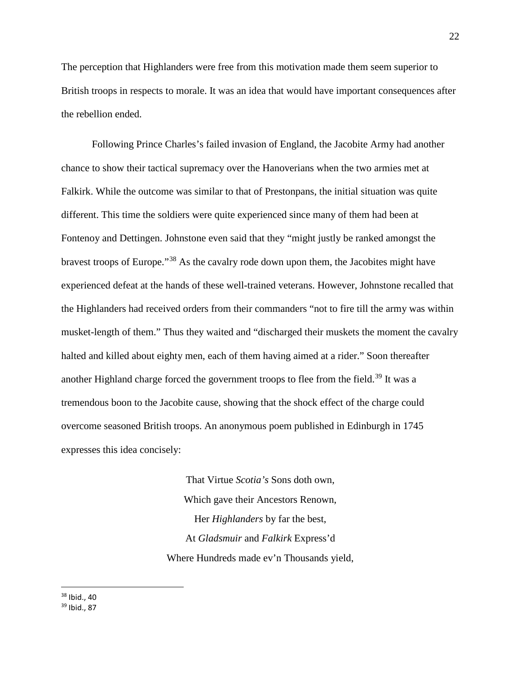The perception that Highlanders were free from this motivation made them seem superior to British troops in respects to morale. It was an idea that would have important consequences after the rebellion ended.

Following Prince Charles's failed invasion of England, the Jacobite Army had another chance to show their tactical supremacy over the Hanoverians when the two armies met at Falkirk. While the outcome was similar to that of Prestonpans, the initial situation was quite different. This time the soldiers were quite experienced since many of them had been at Fontenoy and Dettingen. Johnstone even said that they "might justly be ranked amongst the bravest troops of Europe."[38](#page-24-0) As the cavalry rode down upon them, the Jacobites might have experienced defeat at the hands of these well-trained veterans. However, Johnstone recalled that the Highlanders had received orders from their commanders "not to fire till the army was within musket-length of them." Thus they waited and "discharged their muskets the moment the cavalry halted and killed about eighty men, each of them having aimed at a rider." Soon thereafter another Highland charge forced the government troops to flee from the field.<sup>[39](#page-24-1)</sup> It was a tremendous boon to the Jacobite cause, showing that the shock effect of the charge could overcome seasoned British troops. An anonymous poem published in Edinburgh in 1745 expresses this idea concisely:

> That Virtue *Scotia's* Sons doth own, Which gave their Ancestors Renown, Her *Highlanders* by far the best, At *Gladsmuir* and *Falkirk* Express'd Where Hundreds made ev'n Thousands yield,

<span id="page-24-1"></span><span id="page-24-0"></span> $38$  Ibid., 40 <sup>39</sup> Ibid., 87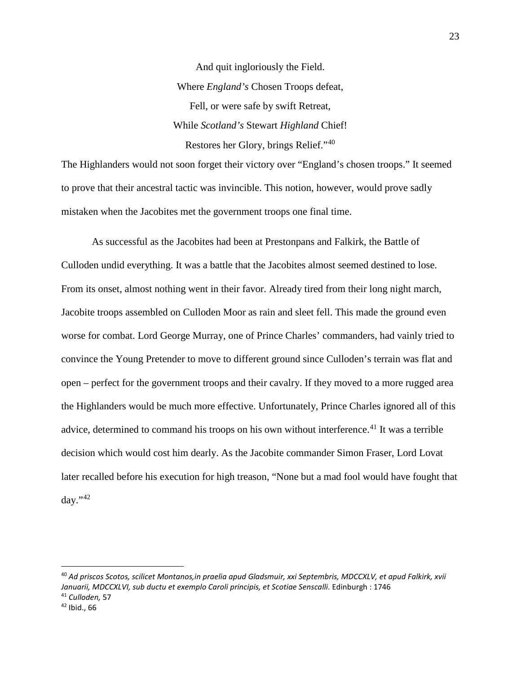And quit ingloriously the Field. Where *England's* Chosen Troops defeat, Fell, or were safe by swift Retreat, While *Scotland's* Stewart *Highland* Chief! Restores her Glory, brings Relief."[40](#page-25-0)

The Highlanders would not soon forget their victory over "England's chosen troops." It seemed to prove that their ancestral tactic was invincible. This notion, however, would prove sadly mistaken when the Jacobites met the government troops one final time.

As successful as the Jacobites had been at Prestonpans and Falkirk, the Battle of Culloden undid everything. It was a battle that the Jacobites almost seemed destined to lose. From its onset, almost nothing went in their favor. Already tired from their long night march, Jacobite troops assembled on Culloden Moor as rain and sleet fell. This made the ground even worse for combat. Lord George Murray, one of Prince Charles' commanders, had vainly tried to convince the Young Pretender to move to different ground since Culloden's terrain was flat and open – perfect for the government troops and their cavalry. If they moved to a more rugged area the Highlanders would be much more effective. Unfortunately, Prince Charles ignored all of this advice, determined to command his troops on his own without interference.<sup>[41](#page-25-1)</sup> It was a terrible decision which would cost him dearly. As the Jacobite commander Simon Fraser, Lord Lovat later recalled before his execution for high treason, "None but a mad fool would have fought that day." $42$ 

<span id="page-25-0"></span><sup>40</sup> *Ad priscos Scotos, scilicet Montanos,in praelia apud Gladsmuir, xxi Septembris, MDCCXLV, et apud Falkirk, xvii Januarii, MDCCXLVI, sub ductu et exemplo Caroli principis, et Scotiae Senscalli*. Edinburgh : 1746 <sup>41</sup> *Culloden,* 57

<span id="page-25-2"></span><span id="page-25-1"></span> $42$  Ibid., 66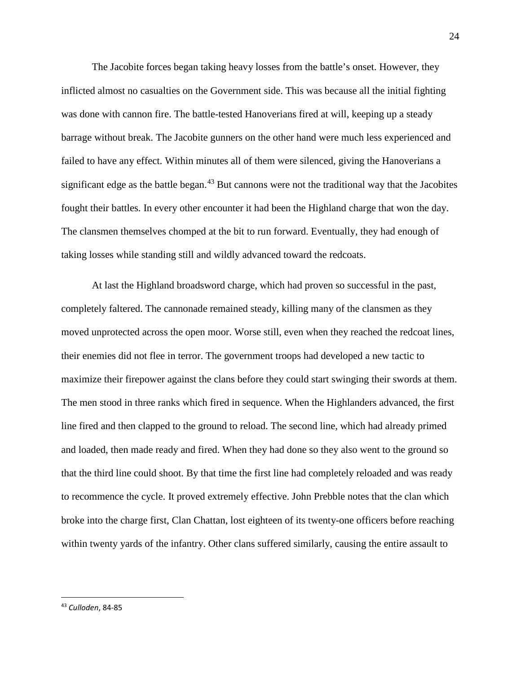The Jacobite forces began taking heavy losses from the battle's onset. However, they inflicted almost no casualties on the Government side. This was because all the initial fighting was done with cannon fire. The battle-tested Hanoverians fired at will, keeping up a steady barrage without break. The Jacobite gunners on the other hand were much less experienced and failed to have any effect. Within minutes all of them were silenced, giving the Hanoverians a significant edge as the battle began.<sup>[43](#page-26-0)</sup> But cannons were not the traditional way that the Jacobites fought their battles. In every other encounter it had been the Highland charge that won the day. The clansmen themselves chomped at the bit to run forward. Eventually, they had enough of taking losses while standing still and wildly advanced toward the redcoats.

At last the Highland broadsword charge, which had proven so successful in the past, completely faltered. The cannonade remained steady, killing many of the clansmen as they moved unprotected across the open moor. Worse still, even when they reached the redcoat lines, their enemies did not flee in terror. The government troops had developed a new tactic to maximize their firepower against the clans before they could start swinging their swords at them. The men stood in three ranks which fired in sequence. When the Highlanders advanced, the first line fired and then clapped to the ground to reload. The second line, which had already primed and loaded, then made ready and fired. When they had done so they also went to the ground so that the third line could shoot. By that time the first line had completely reloaded and was ready to recommence the cycle. It proved extremely effective. John Prebble notes that the clan which broke into the charge first, Clan Chattan, lost eighteen of its twenty-one officers before reaching within twenty yards of the infantry. Other clans suffered similarly, causing the entire assault to

<span id="page-26-0"></span><sup>43</sup> *Culloden*, 84-85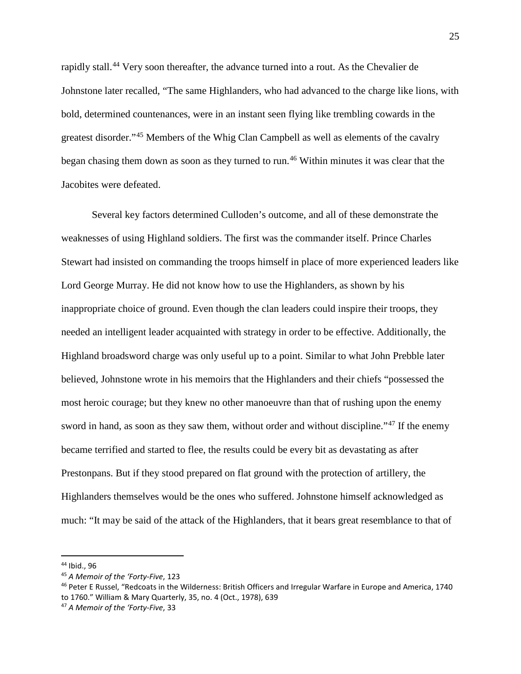rapidly stall.<sup>[44](#page-27-0)</sup> Very soon thereafter, the advance turned into a rout. As the Chevalier de Johnstone later recalled, "The same Highlanders, who had advanced to the charge like lions, with bold, determined countenances, were in an instant seen flying like trembling cowards in the greatest disorder."[45](#page-27-1) Members of the Whig Clan Campbell as well as elements of the cavalry began chasing them down as soon as they turned to run. [46](#page-27-2) Within minutes it was clear that the Jacobites were defeated.

Several key factors determined Culloden's outcome, and all of these demonstrate the weaknesses of using Highland soldiers. The first was the commander itself. Prince Charles Stewart had insisted on commanding the troops himself in place of more experienced leaders like Lord George Murray. He did not know how to use the Highlanders, as shown by his inappropriate choice of ground. Even though the clan leaders could inspire their troops, they needed an intelligent leader acquainted with strategy in order to be effective. Additionally, the Highland broadsword charge was only useful up to a point. Similar to what John Prebble later believed, Johnstone wrote in his memoirs that the Highlanders and their chiefs "possessed the most heroic courage; but they knew no other manoeuvre than that of rushing upon the enemy sword in hand, as soon as they saw them, without order and without discipline."<sup>[47](#page-27-3)</sup> If the enemy became terrified and started to flee, the results could be every bit as devastating as after Prestonpans. But if they stood prepared on flat ground with the protection of artillery, the Highlanders themselves would be the ones who suffered. Johnstone himself acknowledged as much: "It may be said of the attack of the Highlanders, that it bears great resemblance to that of

<span id="page-27-0"></span><sup>44</sup> Ibid., 96

<span id="page-27-1"></span><sup>45</sup> *A Memoir of the 'Forty-Five*, 123

<span id="page-27-2"></span><sup>46</sup> Peter E Russel, "Redcoats in the Wilderness: British Officers and Irregular Warfare in Europe and America, 1740 to 1760." William & Mary Quarterly, 35, no. 4 (Oct., 1978), 639

<span id="page-27-3"></span><sup>47</sup> *A Memoir of the 'Forty-Five*, 33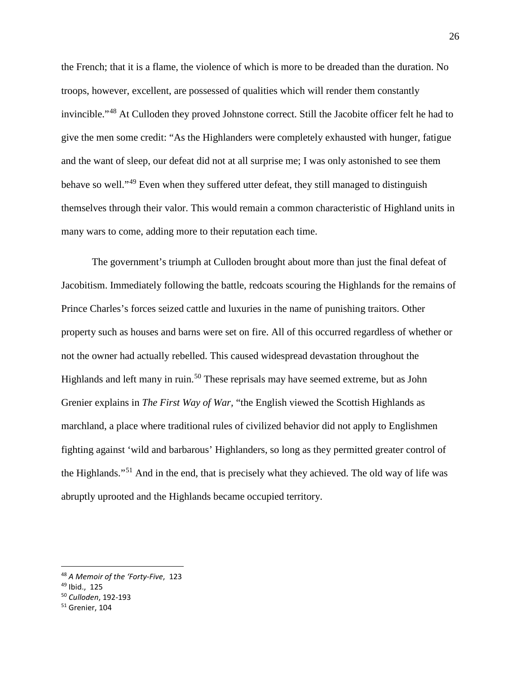the French; that it is a flame, the violence of which is more to be dreaded than the duration. No troops, however, excellent, are possessed of qualities which will render them constantly invincible."[48](#page-28-0) At Culloden they proved Johnstone correct. Still the Jacobite officer felt he had to give the men some credit: "As the Highlanders were completely exhausted with hunger, fatigue and the want of sleep, our defeat did not at all surprise me; I was only astonished to see them behave so well."[49](#page-28-1) Even when they suffered utter defeat, they still managed to distinguish themselves through their valor. This would remain a common characteristic of Highland units in many wars to come, adding more to their reputation each time.

The government's triumph at Culloden brought about more than just the final defeat of Jacobitism. Immediately following the battle, redcoats scouring the Highlands for the remains of Prince Charles's forces seized cattle and luxuries in the name of punishing traitors. Other property such as houses and barns were set on fire. All of this occurred regardless of whether or not the owner had actually rebelled. This caused widespread devastation throughout the Highlands and left many in ruin.<sup>[50](#page-28-2)</sup> These reprisals may have seemed extreme, but as John Grenier explains in *The First Way of War,* "the English viewed the Scottish Highlands as marchland, a place where traditional rules of civilized behavior did not apply to Englishmen fighting against 'wild and barbarous' Highlanders, so long as they permitted greater control of the Highlands."[51](#page-28-3) And in the end, that is precisely what they achieved. The old way of life was abruptly uprooted and the Highlands became occupied territory.

<span id="page-28-0"></span><sup>48</sup> *A Memoir of the 'Forty-Five*, 123

<span id="page-28-1"></span><sup>49</sup> Ibid., 125

<span id="page-28-2"></span><sup>50</sup> *Culloden*, 192-193

<span id="page-28-3"></span><sup>51</sup> Grenier, 104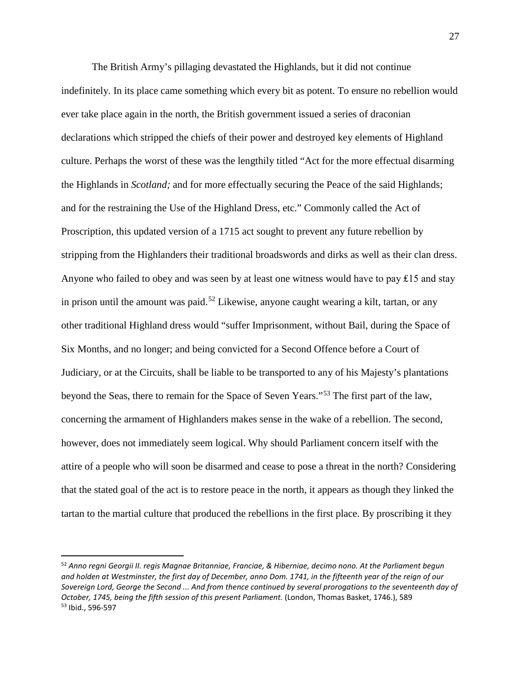The British Army's pillaging devastated the Highlands, but it did not continue indefinitely. In its place came something which every bit as potent. To ensure no rebellion would ever take place again in the north, the British government issued a series of draconian declarations which stripped the chiefs of their power and destroyed key elements of Highland culture. Perhaps the worst of these was the lengthily titled "Act for the more effectual disarming the Highlands in *Scotland;* and for more effectually securing the Peace of the said Highlands; and for the restraining the Use of the Highland Dress, etc." Commonly called the Act of Proscription, this updated version of a 1715 act sought to prevent any future rebellion by stripping from the Highlanders their traditional broadswords and dirks as well as their clan dress. Anyone who failed to obey and was seen by at least one witness would have to pay  $£15$  and stay in prison until the amount was paid.<sup>[52](#page-29-0)</sup> Likewise, anyone caught wearing a kilt, tartan, or any other traditional Highland dress would "suffer Imprisonment, without Bail, during the Space of Six Months, and no longer; and being convicted for a Second Offence before a Court of Judiciary, or at the Circuits, shall be liable to be transported to any of his Majesty's plantations beyond the Seas, there to remain for the Space of Seven Years."[53](#page-29-1) The first part of the law, concerning the armament of Highlanders makes sense in the wake of a rebellion. The second, however, does not immediately seem logical. Why should Parliament concern itself with the attire of a people who will soon be disarmed and cease to pose a threat in the north? Considering that the stated goal of the act is to restore peace in the north, it appears as though they linked the tartan to the martial culture that produced the rebellions in the first place. By proscribing it they

<span id="page-29-1"></span><span id="page-29-0"></span><sup>52</sup> *Anno regni Georgii II. regis Magnae Britanniae, Franciae, & Hiberniae, decimo nono. At the Parliament begun and holden at Westminster, the first day of December, anno Dom. 1741, in the fifteenth year of the reign of our Sovereign Lord, George the Second ... And from thence continued by several prorogations to the seventeenth day of October, 1745, being the fifth session of this present Parliament.* (London, Thomas Basket, 1746.), 589 <sup>53</sup> Ibid., 596-597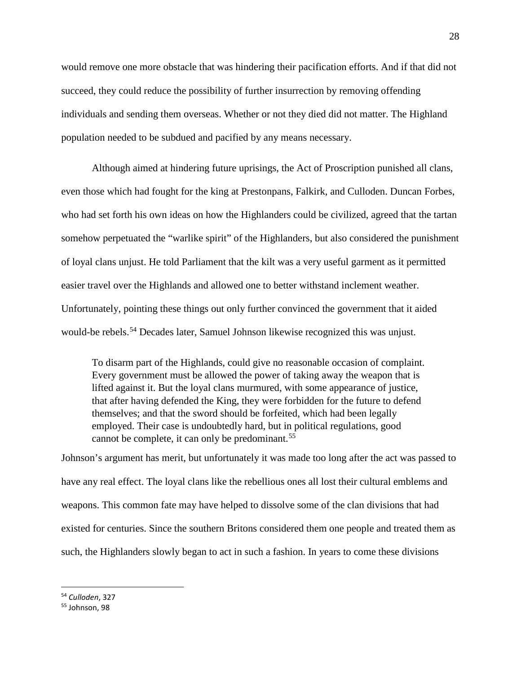would remove one more obstacle that was hindering their pacification efforts. And if that did not succeed, they could reduce the possibility of further insurrection by removing offending individuals and sending them overseas. Whether or not they died did not matter. The Highland population needed to be subdued and pacified by any means necessary.

Although aimed at hindering future uprisings, the Act of Proscription punished all clans, even those which had fought for the king at Prestonpans, Falkirk, and Culloden. Duncan Forbes, who had set forth his own ideas on how the Highlanders could be civilized, agreed that the tartan somehow perpetuated the "warlike spirit" of the Highlanders, but also considered the punishment of loyal clans unjust. He told Parliament that the kilt was a very useful garment as it permitted easier travel over the Highlands and allowed one to better withstand inclement weather. Unfortunately, pointing these things out only further convinced the government that it aided would-be rebels.<sup>[54](#page-30-0)</sup> Decades later, Samuel Johnson likewise recognized this was unjust.

To disarm part of the Highlands, could give no reasonable occasion of complaint. Every government must be allowed the power of taking away the weapon that is lifted against it. But the loyal clans murmured, with some appearance of justice, that after having defended the King, they were forbidden for the future to defend themselves; and that the sword should be forfeited, which had been legally employed. Their case is undoubtedly hard, but in political regulations, good cannot be complete, it can only be predominant.<sup>[55](#page-30-1)</sup>

Johnson's argument has merit, but unfortunately it was made too long after the act was passed to have any real effect. The loyal clans like the rebellious ones all lost their cultural emblems and weapons. This common fate may have helped to dissolve some of the clan divisions that had existed for centuries. Since the southern Britons considered them one people and treated them as such, the Highlanders slowly began to act in such a fashion. In years to come these divisions

<span id="page-30-0"></span><sup>54</sup> *Culloden*, 327

<span id="page-30-1"></span><sup>55</sup> Johnson, 98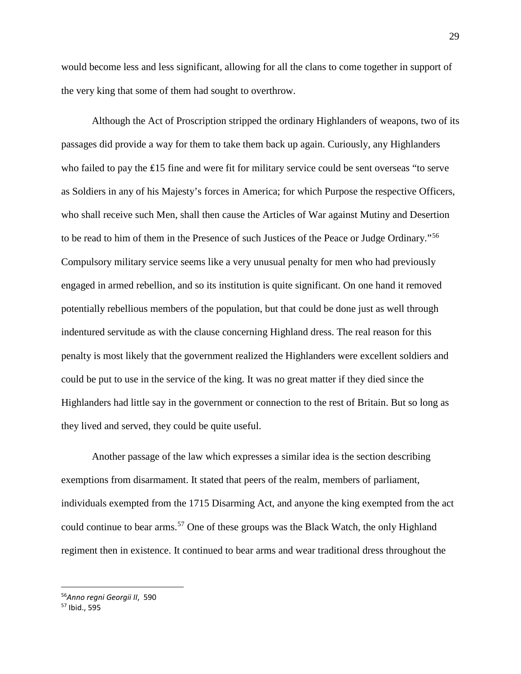would become less and less significant, allowing for all the clans to come together in support of the very king that some of them had sought to overthrow.

Although the Act of Proscription stripped the ordinary Highlanders of weapons, two of its passages did provide a way for them to take them back up again. Curiously, any Highlanders who failed to pay the £15 fine and were fit for military service could be sent overseas "to serve as Soldiers in any of his Majesty's forces in America; for which Purpose the respective Officers, who shall receive such Men, shall then cause the Articles of War against Mutiny and Desertion to be read to him of them in the Presence of such Justices of the Peace or Judge Ordinary."[56](#page-31-0) Compulsory military service seems like a very unusual penalty for men who had previously engaged in armed rebellion, and so its institution is quite significant. On one hand it removed potentially rebellious members of the population, but that could be done just as well through indentured servitude as with the clause concerning Highland dress. The real reason for this penalty is most likely that the government realized the Highlanders were excellent soldiers and could be put to use in the service of the king. It was no great matter if they died since the Highlanders had little say in the government or connection to the rest of Britain. But so long as they lived and served, they could be quite useful.

Another passage of the law which expresses a similar idea is the section describing exemptions from disarmament. It stated that peers of the realm, members of parliament, individuals exempted from the 1715 Disarming Act, and anyone the king exempted from the act could continue to bear arms. [57](#page-31-1) One of these groups was the Black Watch, the only Highland regiment then in existence. It continued to bear arms and wear traditional dress throughout the

<span id="page-31-0"></span><sup>56</sup>*Anno regni Georgii II*, 590

<span id="page-31-1"></span><sup>57</sup> Ibid., 595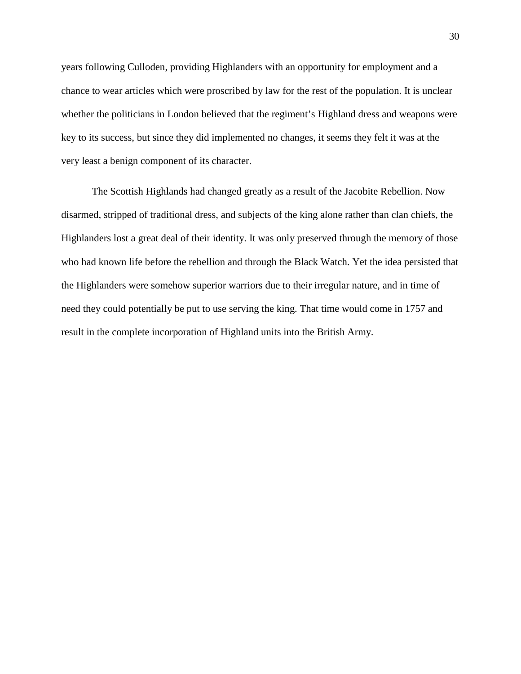years following Culloden, providing Highlanders with an opportunity for employment and a chance to wear articles which were proscribed by law for the rest of the population. It is unclear whether the politicians in London believed that the regiment's Highland dress and weapons were key to its success, but since they did implemented no changes, it seems they felt it was at the very least a benign component of its character.

The Scottish Highlands had changed greatly as a result of the Jacobite Rebellion. Now disarmed, stripped of traditional dress, and subjects of the king alone rather than clan chiefs, the Highlanders lost a great deal of their identity. It was only preserved through the memory of those who had known life before the rebellion and through the Black Watch. Yet the idea persisted that the Highlanders were somehow superior warriors due to their irregular nature, and in time of need they could potentially be put to use serving the king. That time would come in 1757 and result in the complete incorporation of Highland units into the British Army.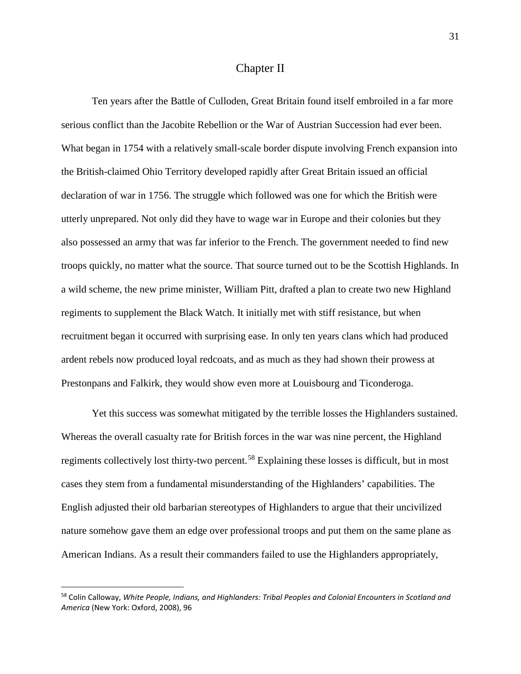## Chapter II

Ten years after the Battle of Culloden, Great Britain found itself embroiled in a far more serious conflict than the Jacobite Rebellion or the War of Austrian Succession had ever been. What began in 1754 with a relatively small-scale border dispute involving French expansion into the British-claimed Ohio Territory developed rapidly after Great Britain issued an official declaration of war in 1756. The struggle which followed was one for which the British were utterly unprepared. Not only did they have to wage war in Europe and their colonies but they also possessed an army that was far inferior to the French. The government needed to find new troops quickly, no matter what the source. That source turned out to be the Scottish Highlands. In a wild scheme, the new prime minister, William Pitt, drafted a plan to create two new Highland regiments to supplement the Black Watch. It initially met with stiff resistance, but when recruitment began it occurred with surprising ease. In only ten years clans which had produced ardent rebels now produced loyal redcoats, and as much as they had shown their prowess at Prestonpans and Falkirk, they would show even more at Louisbourg and Ticonderoga.

Yet this success was somewhat mitigated by the terrible losses the Highlanders sustained. Whereas the overall casualty rate for British forces in the war was nine percent, the Highland regiments collectively lost thirty-two percent.<sup>[58](#page-33-0)</sup> Explaining these losses is difficult, but in most cases they stem from a fundamental misunderstanding of the Highlanders' capabilities. The English adjusted their old barbarian stereotypes of Highlanders to argue that their uncivilized nature somehow gave them an edge over professional troops and put them on the same plane as American Indians. As a result their commanders failed to use the Highlanders appropriately,

<span id="page-33-0"></span><sup>58</sup> Colin Calloway, *White People, Indians, and Highlanders: Tribal Peoples and Colonial Encounters in Scotland and America* (New York: Oxford, 2008), 96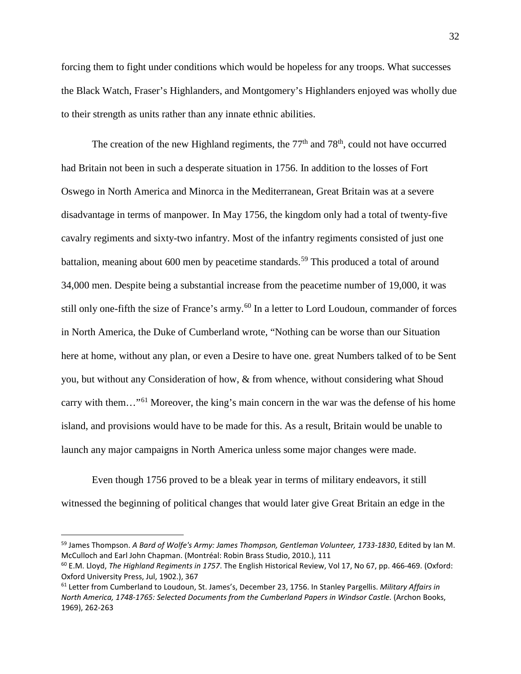forcing them to fight under conditions which would be hopeless for any troops. What successes the Black Watch, Fraser's Highlanders, and Montgomery's Highlanders enjoyed was wholly due to their strength as units rather than any innate ethnic abilities.

The creation of the new Highland regiments, the  $77<sup>th</sup>$  and  $78<sup>th</sup>$ , could not have occurred had Britain not been in such a desperate situation in 1756. In addition to the losses of Fort Oswego in North America and Minorca in the Mediterranean, Great Britain was at a severe disadvantage in terms of manpower. In May 1756, the kingdom only had a total of twenty-five cavalry regiments and sixty-two infantry. Most of the infantry regiments consisted of just one battalion, meaning about 600 men by peacetime standards.<sup>[59](#page-34-0)</sup> This produced a total of around 34,000 men. Despite being a substantial increase from the peacetime number of 19,000, it was still only one-fifth the size of France's army.<sup>[60](#page-34-1)</sup> In a letter to Lord Loudoun, commander of forces in North America, the Duke of Cumberland wrote, "Nothing can be worse than our Situation here at home, without any plan, or even a Desire to have one. great Numbers talked of to be Sent you, but without any Consideration of how, & from whence, without considering what Shoud carry with them…"[61](#page-34-2) Moreover, the king's main concern in the war was the defense of his home island, and provisions would have to be made for this. As a result, Britain would be unable to launch any major campaigns in North America unless some major changes were made.

Even though 1756 proved to be a bleak year in terms of military endeavors, it still witnessed the beginning of political changes that would later give Great Britain an edge in the

<span id="page-34-0"></span><sup>59</sup> James Thompson. *A Bard of Wolfe's Army: James Thompson, Gentleman Volunteer, 1733-1830*, Edited by Ian M. McCulloch and Earl John Chapman. (Montréal: Robin Brass Studio, 2010.), 111

<span id="page-34-1"></span><sup>60</sup> E.M. Lloyd, *The Highland Regiments in 1757*. The English Historical Review, Vol 17, No 67, pp. 466-469. (Oxford: Oxford University Press, Jul, 1902.), 367

<span id="page-34-2"></span><sup>61</sup> Letter from Cumberland to Loudoun, St. James's, December 23, 1756. In Stanley Pargellis. *Military Affairs in North America, 1748-1765: Selected Documents from the Cumberland Papers in Windsor Castle.* (Archon Books, 1969), 262-263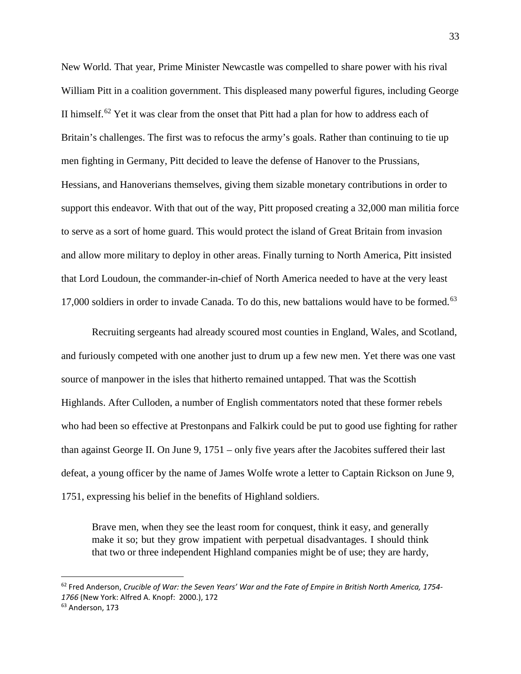New World. That year, Prime Minister Newcastle was compelled to share power with his rival William Pitt in a coalition government. This displeased many powerful figures, including George II himself.<sup>[62](#page-35-0)</sup> Yet it was clear from the onset that Pitt had a plan for how to address each of Britain's challenges. The first was to refocus the army's goals. Rather than continuing to tie up men fighting in Germany, Pitt decided to leave the defense of Hanover to the Prussians, Hessians, and Hanoverians themselves, giving them sizable monetary contributions in order to support this endeavor. With that out of the way, Pitt proposed creating a 32,000 man militia force to serve as a sort of home guard. This would protect the island of Great Britain from invasion and allow more military to deploy in other areas. Finally turning to North America, Pitt insisted that Lord Loudoun, the commander-in-chief of North America needed to have at the very least 17,000 soldiers in order to invade Canada. To do this, new battalions would have to be formed. [63](#page-35-1)

Recruiting sergeants had already scoured most counties in England, Wales, and Scotland, and furiously competed with one another just to drum up a few new men. Yet there was one vast source of manpower in the isles that hitherto remained untapped. That was the Scottish Highlands. After Culloden, a number of English commentators noted that these former rebels who had been so effective at Prestonpans and Falkirk could be put to good use fighting for rather than against George II. On June 9, 1751 – only five years after the Jacobites suffered their last defeat, a young officer by the name of James Wolfe wrote a letter to Captain Rickson on June 9, 1751, expressing his belief in the benefits of Highland soldiers.

Brave men, when they see the least room for conquest, think it easy, and generally make it so; but they grow impatient with perpetual disadvantages. I should think that two or three independent Highland companies might be of use; they are hardy,

<span id="page-35-0"></span><sup>62</sup> Fred Anderson, *Crucible of War: the Seven Years' War and the Fate of Empire in British North America, 1754- 1766* (New York: Alfred A. Knopf: 2000.), 172

<span id="page-35-1"></span><sup>63</sup> Anderson, 173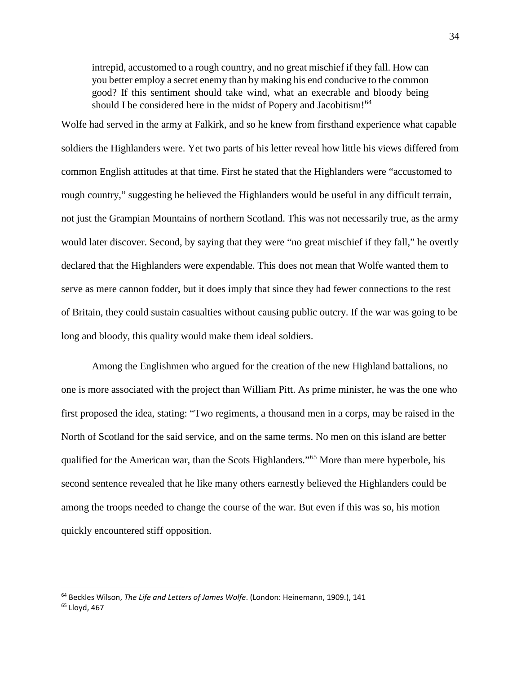intrepid, accustomed to a rough country, and no great mischief if they fall. How can you better employ a secret enemy than by making his end conducive to the common good? If this sentiment should take wind, what an execrable and bloody being should I be considered here in the midst of Popery and Jacobitism!<sup>[64](#page-36-0)</sup>

Wolfe had served in the army at Falkirk, and so he knew from firsthand experience what capable soldiers the Highlanders were. Yet two parts of his letter reveal how little his views differed from common English attitudes at that time. First he stated that the Highlanders were "accustomed to rough country," suggesting he believed the Highlanders would be useful in any difficult terrain, not just the Grampian Mountains of northern Scotland. This was not necessarily true, as the army would later discover. Second, by saying that they were "no great mischief if they fall," he overtly declared that the Highlanders were expendable. This does not mean that Wolfe wanted them to serve as mere cannon fodder, but it does imply that since they had fewer connections to the rest of Britain, they could sustain casualties without causing public outcry. If the war was going to be long and bloody, this quality would make them ideal soldiers.

Among the Englishmen who argued for the creation of the new Highland battalions, no one is more associated with the project than William Pitt. As prime minister, he was the one who first proposed the idea, stating: "Two regiments, a thousand men in a corps, may be raised in the North of Scotland for the said service, and on the same terms. No men on this island are better qualified for the American war, than the Scots Highlanders."[65](#page-36-1) More than mere hyperbole, his second sentence revealed that he like many others earnestly believed the Highlanders could be among the troops needed to change the course of the war. But even if this was so, his motion quickly encountered stiff opposition.

<span id="page-36-1"></span><span id="page-36-0"></span><sup>64</sup> Beckles Wilson, *The Life and Letters of James Wolfe*. (London: Heinemann, 1909.), 141 <sup>65</sup> Lloyd, 467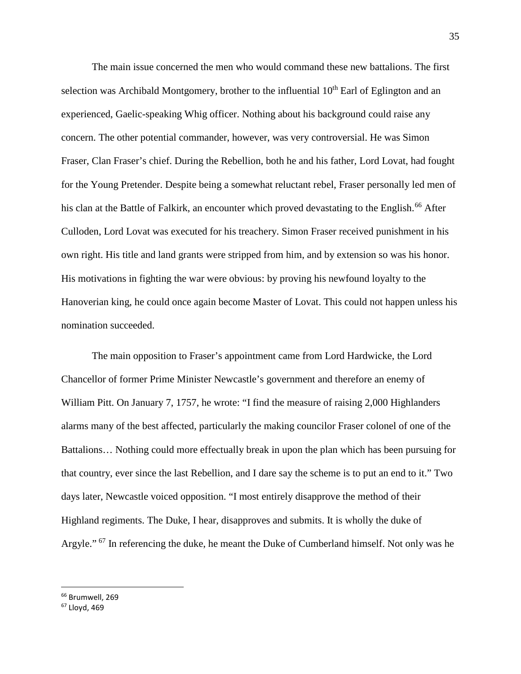The main issue concerned the men who would command these new battalions. The first selection was Archibald Montgomery, brother to the influential  $10<sup>th</sup>$  Earl of Eglington and an experienced, Gaelic-speaking Whig officer. Nothing about his background could raise any concern. The other potential commander, however, was very controversial. He was Simon Fraser, Clan Fraser's chief. During the Rebellion, both he and his father, Lord Lovat, had fought for the Young Pretender. Despite being a somewhat reluctant rebel, Fraser personally led men of his clan at the Battle of Falkirk, an encounter which proved devastating to the English.<sup>[66](#page-37-0)</sup> After Culloden, Lord Lovat was executed for his treachery. Simon Fraser received punishment in his own right. His title and land grants were stripped from him, and by extension so was his honor. His motivations in fighting the war were obvious: by proving his newfound loyalty to the Hanoverian king, he could once again become Master of Lovat. This could not happen unless his nomination succeeded.

The main opposition to Fraser's appointment came from Lord Hardwicke, the Lord Chancellor of former Prime Minister Newcastle's government and therefore an enemy of William Pitt. On January 7, 1757, he wrote: "I find the measure of raising 2,000 Highlanders alarms many of the best affected, particularly the making councilor Fraser colonel of one of the Battalions… Nothing could more effectually break in upon the plan which has been pursuing for that country, ever since the last Rebellion, and I dare say the scheme is to put an end to it." Two days later, Newcastle voiced opposition. "I most entirely disapprove the method of their Highland regiments. The Duke, I hear, disapproves and submits. It is wholly the duke of Argyle."<sup>[67](#page-37-1)</sup> In referencing the duke, he meant the Duke of Cumberland himself. Not only was he

<span id="page-37-1"></span><span id="page-37-0"></span><sup>67</sup> Lloyd, 469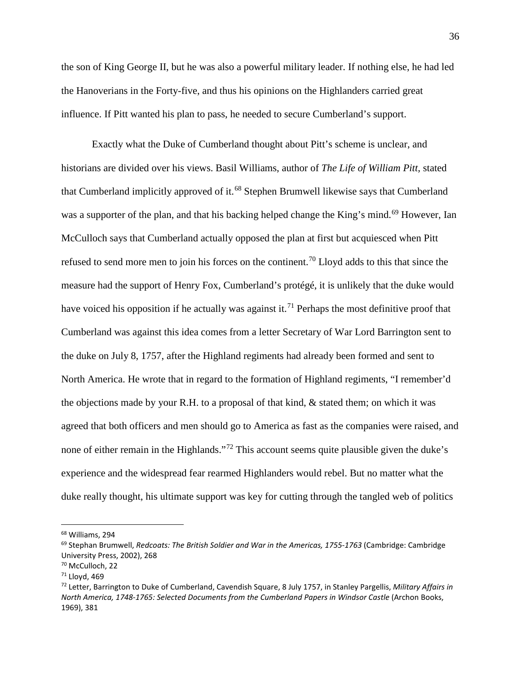the son of King George II, but he was also a powerful military leader. If nothing else, he had led the Hanoverians in the Forty-five, and thus his opinions on the Highlanders carried great influence. If Pitt wanted his plan to pass, he needed to secure Cumberland's support.

Exactly what the Duke of Cumberland thought about Pitt's scheme is unclear, and historians are divided over his views. Basil Williams, author of *The Life of William Pitt,* stated that Cumberland implicitly approved of it.<sup>[68](#page-38-0)</sup> Stephen Brumwell likewise says that Cumberland was a supporter of the plan, and that his backing helped change the King's mind.<sup>[69](#page-38-1)</sup> However, Ian McCulloch says that Cumberland actually opposed the plan at first but acquiesced when Pitt refused to send more men to join his forces on the continent.<sup>[70](#page-38-2)</sup> Lloyd adds to this that since the measure had the support of Henry Fox, Cumberland's protégé, it is unlikely that the duke would have voiced his opposition if he actually was against it.<sup>[71](#page-38-3)</sup> Perhaps the most definitive proof that Cumberland was against this idea comes from a letter Secretary of War Lord Barrington sent to the duke on July 8, 1757, after the Highland regiments had already been formed and sent to North America. He wrote that in regard to the formation of Highland regiments, "I remember'd the objections made by your R.H. to a proposal of that kind, & stated them; on which it was agreed that both officers and men should go to America as fast as the companies were raised, and none of either remain in the Highlands."<sup>[72](#page-38-4)</sup> This account seems quite plausible given the duke's experience and the widespread fear rearmed Highlanders would rebel. But no matter what the duke really thought, his ultimate support was key for cutting through the tangled web of politics

<span id="page-38-0"></span><sup>68</sup> Williams, 294

<span id="page-38-1"></span><sup>69</sup> Stephan Brumwell, *Redcoats: The British Soldier and War in the Americas, 1755-1763* (Cambridge: Cambridge University Press, 2002), 268

<span id="page-38-2"></span><sup>70</sup> McCulloch, 22

<span id="page-38-3"></span><sup>71</sup> Lloyd, 469

<span id="page-38-4"></span><sup>72</sup> Letter, Barrington to Duke of Cumberland, Cavendish Square, 8 July 1757, in Stanley Pargellis, *Military Affairs in North America, 1748-1765: Selected Documents from the Cumberland Papers in Windsor Castle* (Archon Books, 1969), 381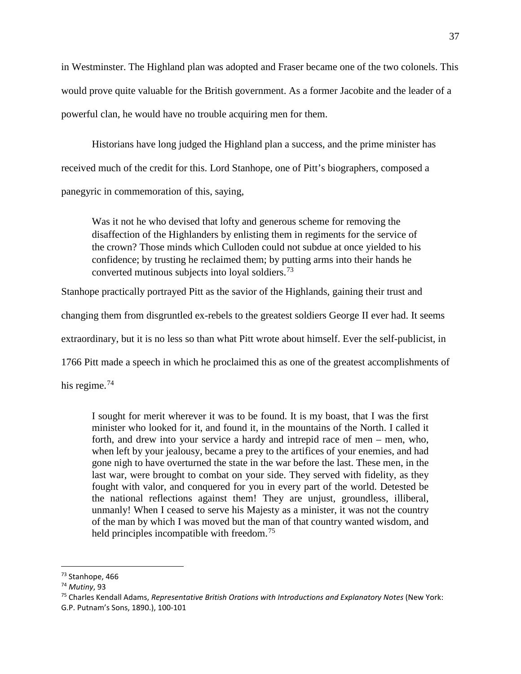in Westminster. The Highland plan was adopted and Fraser became one of the two colonels. This would prove quite valuable for the British government. As a former Jacobite and the leader of a powerful clan, he would have no trouble acquiring men for them.

Historians have long judged the Highland plan a success, and the prime minister has received much of the credit for this. Lord Stanhope, one of Pitt's biographers, composed a panegyric in commemoration of this, saying,

Was it not he who devised that lofty and generous scheme for removing the disaffection of the Highlanders by enlisting them in regiments for the service of the crown? Those minds which Culloden could not subdue at once yielded to his confidence; by trusting he reclaimed them; by putting arms into their hands he converted mutinous subjects into loyal soldiers.[73](#page-39-0)

Stanhope practically portrayed Pitt as the savior of the Highlands, gaining their trust and

changing them from disgruntled ex-rebels to the greatest soldiers George II ever had. It seems

extraordinary, but it is no less so than what Pitt wrote about himself. Ever the self-publicist, in

1766 Pitt made a speech in which he proclaimed this as one of the greatest accomplishments of

his regime. $74$ 

I sought for merit wherever it was to be found. It is my boast, that I was the first minister who looked for it, and found it, in the mountains of the North. I called it forth, and drew into your service a hardy and intrepid race of men – men, who, when left by your jealousy, became a prey to the artifices of your enemies, and had gone nigh to have overturned the state in the war before the last. These men, in the last war, were brought to combat on your side. They served with fidelity, as they fought with valor, and conquered for you in every part of the world. Detested be the national reflections against them! They are unjust, groundless, illiberal, unmanly! When I ceased to serve his Majesty as a minister, it was not the country of the man by which I was moved but the man of that country wanted wisdom, and held principles incompatible with freedom.<sup>[75](#page-39-2)</sup>

<span id="page-39-0"></span><sup>73</sup> Stanhope, 466

<span id="page-39-1"></span><sup>74</sup> *Mutiny*, 93

<span id="page-39-2"></span><sup>75</sup> Charles Kendall Adams, *Representative British Orations with Introductions and Explanatory Notes* (New York:

G.P. Putnam's Sons, 1890.), 100-101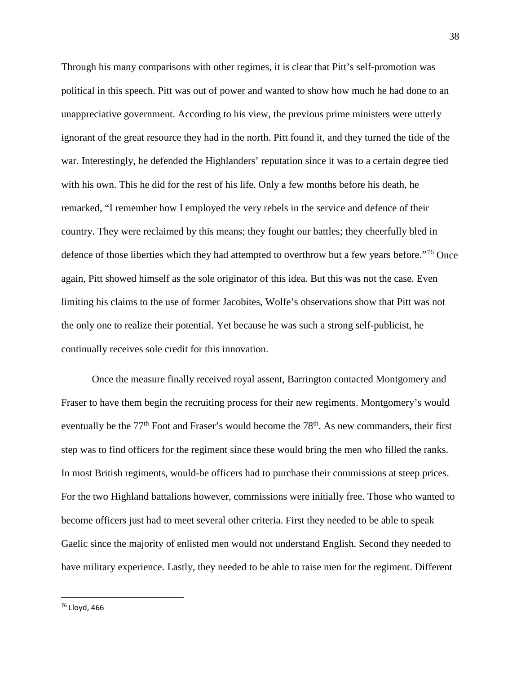Through his many comparisons with other regimes, it is clear that Pitt's self-promotion was political in this speech. Pitt was out of power and wanted to show how much he had done to an unappreciative government. According to his view, the previous prime ministers were utterly ignorant of the great resource they had in the north. Pitt found it, and they turned the tide of the war. Interestingly, he defended the Highlanders' reputation since it was to a certain degree tied with his own. This he did for the rest of his life. Only a few months before his death, he remarked, "I remember how I employed the very rebels in the service and defence of their country. They were reclaimed by this means; they fought our battles; they cheerfully bled in defence of those liberties which they had attempted to overthrow but a few years before."<sup>[76](#page-40-0)</sup> Once again, Pitt showed himself as the sole originator of this idea. But this was not the case. Even limiting his claims to the use of former Jacobites, Wolfe's observations show that Pitt was not the only one to realize their potential. Yet because he was such a strong self-publicist, he continually receives sole credit for this innovation.

Once the measure finally received royal assent, Barrington contacted Montgomery and Fraser to have them begin the recruiting process for their new regiments. Montgomery's would eventually be the  $77<sup>th</sup>$  Foot and Fraser's would become the  $78<sup>th</sup>$ . As new commanders, their first step was to find officers for the regiment since these would bring the men who filled the ranks. In most British regiments, would-be officers had to purchase their commissions at steep prices. For the two Highland battalions however, commissions were initially free. Those who wanted to become officers just had to meet several other criteria. First they needed to be able to speak Gaelic since the majority of enlisted men would not understand English. Second they needed to have military experience. Lastly, they needed to be able to raise men for the regiment. Different

38

<span id="page-40-0"></span><sup>76</sup> Lloyd, 466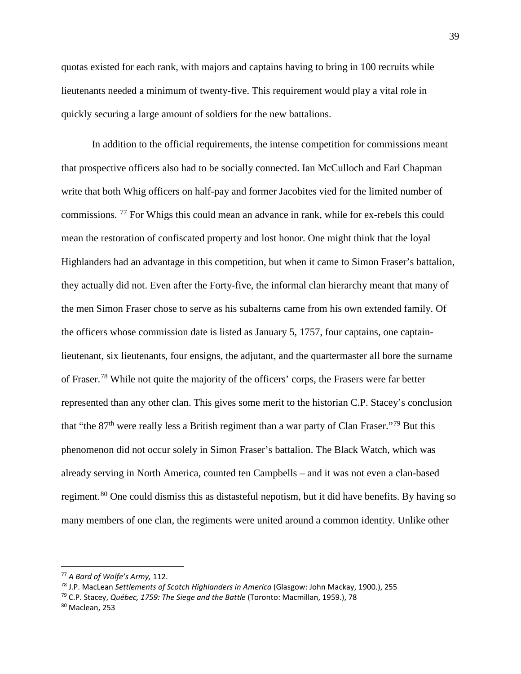quotas existed for each rank, with majors and captains having to bring in 100 recruits while lieutenants needed a minimum of twenty-five. This requirement would play a vital role in quickly securing a large amount of soldiers for the new battalions.

In addition to the official requirements, the intense competition for commissions meant that prospective officers also had to be socially connected. Ian McCulloch and Earl Chapman write that both Whig officers on half-pay and former Jacobites vied for the limited number of commissions. [77](#page-41-0) For Whigs this could mean an advance in rank, while for ex-rebels this could mean the restoration of confiscated property and lost honor. One might think that the loyal Highlanders had an advantage in this competition, but when it came to Simon Fraser's battalion, they actually did not. Even after the Forty-five, the informal clan hierarchy meant that many of the men Simon Fraser chose to serve as his subalterns came from his own extended family. Of the officers whose commission date is listed as January 5, 1757, four captains, one captainlieutenant, six lieutenants, four ensigns, the adjutant, and the quartermaster all bore the surname of Fraser.<sup>[78](#page-41-1)</sup> While not quite the majority of the officers' corps, the Frasers were far better represented than any other clan. This gives some merit to the historian C.P. Stacey's conclusion that "the  $87<sup>th</sup>$  were really less a British regiment than a war party of Clan Fraser."<sup>[79](#page-41-2)</sup> But this phenomenon did not occur solely in Simon Fraser's battalion. The Black Watch, which was already serving in North America, counted ten Campbells – and it was not even a clan-based regiment.<sup>[80](#page-41-3)</sup> One could dismiss this as distasteful nepotism, but it did have benefits. By having so many members of one clan, the regiments were united around a common identity. Unlike other

<span id="page-41-0"></span><sup>77</sup> *A Bard of Wolfe's Army,* 112.

<span id="page-41-1"></span><sup>78</sup> J.P. MacLean *Settlements of Scotch Highlanders in America* (Glasgow: John Mackay, 1900.), 255

<span id="page-41-2"></span><sup>79</sup> C.P. Stacey, *Québec, 1759: The Siege and the Battle* (Toronto: Macmillan, 1959.), 78

<span id="page-41-3"></span><sup>80</sup> Maclean, 253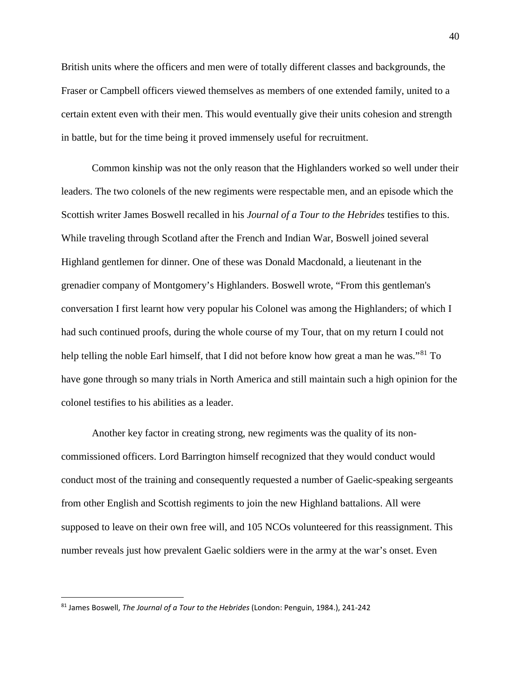British units where the officers and men were of totally different classes and backgrounds, the Fraser or Campbell officers viewed themselves as members of one extended family, united to a certain extent even with their men. This would eventually give their units cohesion and strength in battle, but for the time being it proved immensely useful for recruitment.

Common kinship was not the only reason that the Highlanders worked so well under their leaders. The two colonels of the new regiments were respectable men, and an episode which the Scottish writer James Boswell recalled in his *Journal of a Tour to the Hebrides* testifies to this. While traveling through Scotland after the French and Indian War, Boswell joined several Highland gentlemen for dinner. One of these was Donald Macdonald, a lieutenant in the grenadier company of Montgomery's Highlanders. Boswell wrote, "From this gentleman's conversation I first learnt how very popular his Colonel was among the Highlanders; of which I had such continued proofs, during the whole course of my Tour, that on my return I could not help telling the noble Earl himself, that I did not before know how great a man he was."<sup>[81](#page-42-0)</sup> To have gone through so many trials in North America and still maintain such a high opinion for the colonel testifies to his abilities as a leader.

Another key factor in creating strong, new regiments was the quality of its noncommissioned officers. Lord Barrington himself recognized that they would conduct would conduct most of the training and consequently requested a number of Gaelic-speaking sergeants from other English and Scottish regiments to join the new Highland battalions. All were supposed to leave on their own free will, and 105 NCOs volunteered for this reassignment. This number reveals just how prevalent Gaelic soldiers were in the army at the war's onset. Even

<span id="page-42-0"></span><sup>81</sup> James Boswell, *The Journal of a Tour to the Hebrides* (London: Penguin, 1984.), 241-242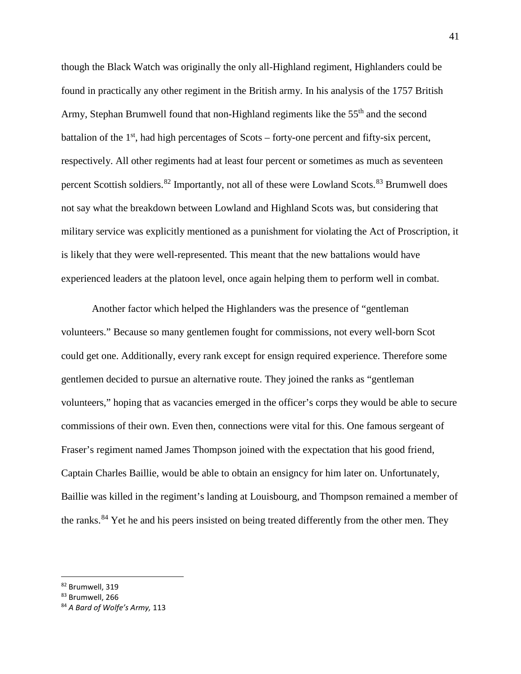though the Black Watch was originally the only all-Highland regiment, Highlanders could be found in practically any other regiment in the British army. In his analysis of the 1757 British Army, Stephan Brumwell found that non-Highland regiments like the 55<sup>th</sup> and the second battalion of the  $1<sup>st</sup>$ , had high percentages of Scots – forty-one percent and fifty-six percent, respectively. All other regiments had at least four percent or sometimes as much as seventeen percent Scottish soldiers.<sup>[82](#page-43-0)</sup> Importantly, not all of these were Lowland Scots.<sup>[83](#page-43-1)</sup> Brumwell does not say what the breakdown between Lowland and Highland Scots was, but considering that military service was explicitly mentioned as a punishment for violating the Act of Proscription, it is likely that they were well-represented. This meant that the new battalions would have experienced leaders at the platoon level, once again helping them to perform well in combat.

Another factor which helped the Highlanders was the presence of "gentleman volunteers." Because so many gentlemen fought for commissions, not every well-born Scot could get one. Additionally, every rank except for ensign required experience. Therefore some gentlemen decided to pursue an alternative route. They joined the ranks as "gentleman volunteers," hoping that as vacancies emerged in the officer's corps they would be able to secure commissions of their own. Even then, connections were vital for this. One famous sergeant of Fraser's regiment named James Thompson joined with the expectation that his good friend, Captain Charles Baillie, would be able to obtain an ensigncy for him later on. Unfortunately, Baillie was killed in the regiment's landing at Louisbourg, and Thompson remained a member of the ranks.<sup>[84](#page-43-2)</sup> Yet he and his peers insisted on being treated differently from the other men. They

<span id="page-43-0"></span><sup>82</sup> Brumwell, 319

<span id="page-43-1"></span><sup>83</sup> Brumwell, 266

<span id="page-43-2"></span><sup>84</sup> *A Bard of Wolfe's Army,* 113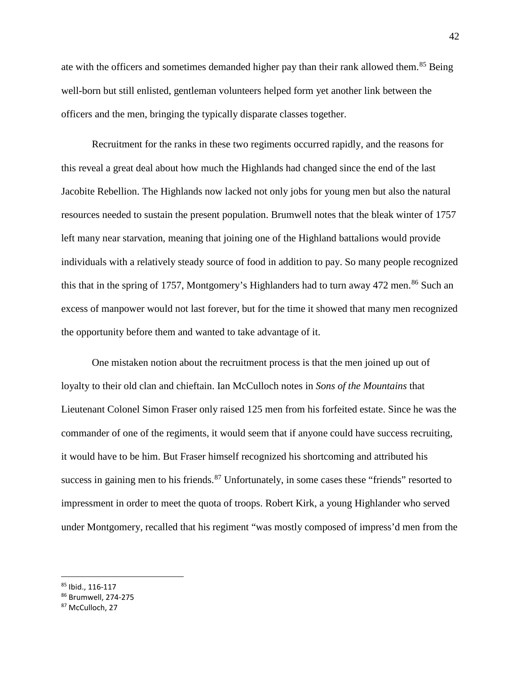ate with the officers and sometimes demanded higher pay than their rank allowed them.<sup>[85](#page-44-0)</sup> Being well-born but still enlisted, gentleman volunteers helped form yet another link between the officers and the men, bringing the typically disparate classes together.

Recruitment for the ranks in these two regiments occurred rapidly, and the reasons for this reveal a great deal about how much the Highlands had changed since the end of the last Jacobite Rebellion. The Highlands now lacked not only jobs for young men but also the natural resources needed to sustain the present population. Brumwell notes that the bleak winter of 1757 left many near starvation, meaning that joining one of the Highland battalions would provide individuals with a relatively steady source of food in addition to pay. So many people recognized this that in the spring of 1757, Montgomery's Highlanders had to turn away 472 men.<sup>[86](#page-44-1)</sup> Such an excess of manpower would not last forever, but for the time it showed that many men recognized the opportunity before them and wanted to take advantage of it.

One mistaken notion about the recruitment process is that the men joined up out of loyalty to their old clan and chieftain. Ian McCulloch notes in *Sons of the Mountains* that Lieutenant Colonel Simon Fraser only raised 125 men from his forfeited estate. Since he was the commander of one of the regiments, it would seem that if anyone could have success recruiting, it would have to be him. But Fraser himself recognized his shortcoming and attributed his success in gaining men to his friends.<sup>[87](#page-44-2)</sup> Unfortunately, in some cases these "friends" resorted to impressment in order to meet the quota of troops. Robert Kirk, a young Highlander who served under Montgomery, recalled that his regiment "was mostly composed of impress'd men from the

<span id="page-44-0"></span><sup>85</sup> Ibid., 116-117

<span id="page-44-1"></span><sup>86</sup> Brumwell, 274-275

<span id="page-44-2"></span><sup>87</sup> McCulloch, 27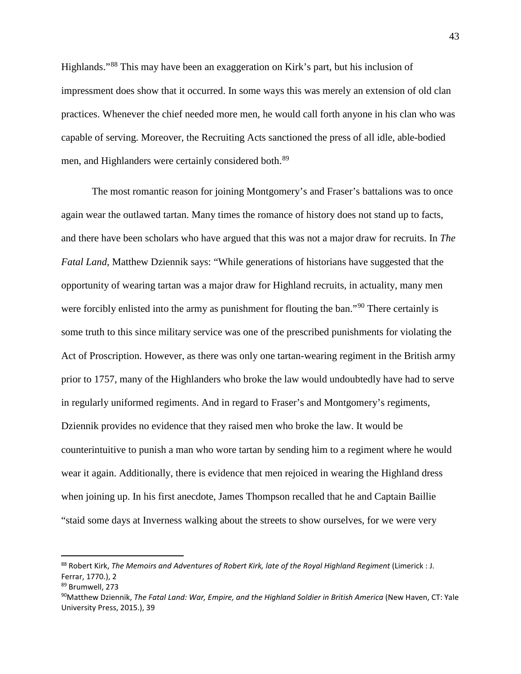Highlands."[88](#page-45-0) This may have been an exaggeration on Kirk's part, but his inclusion of impressment does show that it occurred. In some ways this was merely an extension of old clan practices. Whenever the chief needed more men, he would call forth anyone in his clan who was capable of serving. Moreover, the Recruiting Acts sanctioned the press of all idle, able-bodied men, and Highlanders were certainly considered both.<sup>[89](#page-45-1)</sup>

The most romantic reason for joining Montgomery's and Fraser's battalions was to once again wear the outlawed tartan. Many times the romance of history does not stand up to facts, and there have been scholars who have argued that this was not a major draw for recruits. In *The Fatal Land*, Matthew Dziennik says: "While generations of historians have suggested that the opportunity of wearing tartan was a major draw for Highland recruits, in actuality, many men were forcibly enlisted into the army as punishment for flouting the ban."<sup>[90](#page-45-2)</sup> There certainly is some truth to this since military service was one of the prescribed punishments for violating the Act of Proscription. However, as there was only one tartan-wearing regiment in the British army prior to 1757, many of the Highlanders who broke the law would undoubtedly have had to serve in regularly uniformed regiments. And in regard to Fraser's and Montgomery's regiments, Dziennik provides no evidence that they raised men who broke the law. It would be counterintuitive to punish a man who wore tartan by sending him to a regiment where he would wear it again. Additionally, there is evidence that men rejoiced in wearing the Highland dress when joining up. In his first anecdote, James Thompson recalled that he and Captain Baillie "staid some days at Inverness walking about the streets to show ourselves, for we were very

<span id="page-45-0"></span><sup>88</sup> Robert Kirk, *The Memoirs and Adventures of Robert Kirk, late of the Royal Highland Regiment* (Limerick : J. Ferrar, 1770.), 2

<span id="page-45-1"></span><sup>89</sup> Brumwell, 273

<span id="page-45-2"></span><sup>90</sup>Matthew Dziennik, *The Fatal Land: War, Empire, and the Highland Soldier in British America* (New Haven, CT: Yale University Press, 2015.), 39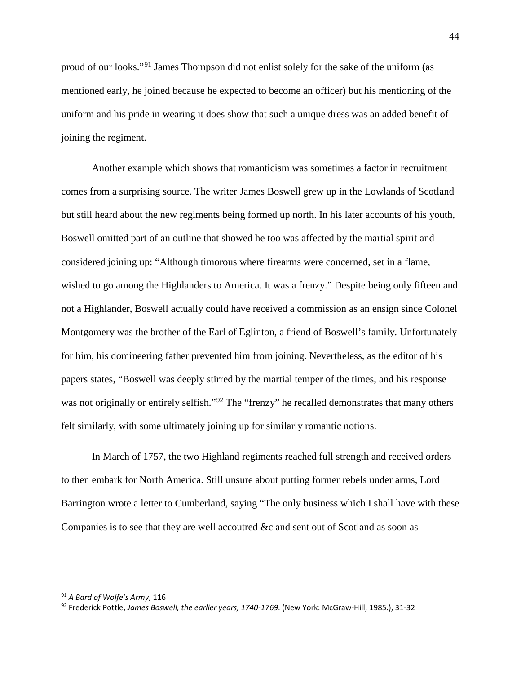proud of our looks."[91](#page-46-0) James Thompson did not enlist solely for the sake of the uniform (as mentioned early, he joined because he expected to become an officer) but his mentioning of the uniform and his pride in wearing it does show that such a unique dress was an added benefit of joining the regiment.

Another example which shows that romanticism was sometimes a factor in recruitment comes from a surprising source. The writer James Boswell grew up in the Lowlands of Scotland but still heard about the new regiments being formed up north. In his later accounts of his youth, Boswell omitted part of an outline that showed he too was affected by the martial spirit and considered joining up: "Although timorous where firearms were concerned, set in a flame, wished to go among the Highlanders to America. It was a frenzy." Despite being only fifteen and not a Highlander, Boswell actually could have received a commission as an ensign since Colonel Montgomery was the brother of the Earl of Eglinton, a friend of Boswell's family. Unfortunately for him, his domineering father prevented him from joining. Nevertheless, as the editor of his papers states, "Boswell was deeply stirred by the martial temper of the times, and his response was not originally or entirely selfish."<sup>[92](#page-46-1)</sup> The "frenzy" he recalled demonstrates that many others felt similarly, with some ultimately joining up for similarly romantic notions.

In March of 1757, the two Highland regiments reached full strength and received orders to then embark for North America. Still unsure about putting former rebels under arms, Lord Barrington wrote a letter to Cumberland, saying "The only business which I shall have with these Companies is to see that they are well accoutred &c and sent out of Scotland as soon as

<span id="page-46-0"></span><sup>91</sup> *A Bard of Wolfe's Army*, 116

<span id="page-46-1"></span><sup>92</sup> Frederick Pottle, *James Boswell, the earlier years, 1740-1769*. (New York: McGraw-Hill, 1985.), 31-32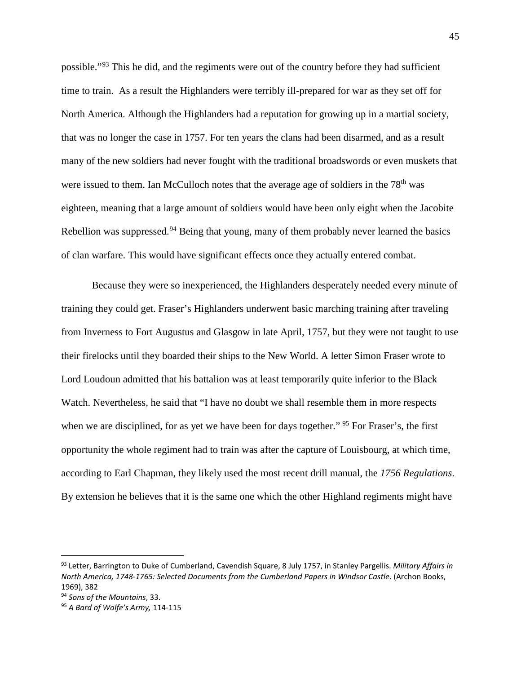possible."[93](#page-47-0) This he did, and the regiments were out of the country before they had sufficient time to train. As a result the Highlanders were terribly ill-prepared for war as they set off for North America. Although the Highlanders had a reputation for growing up in a martial society, that was no longer the case in 1757. For ten years the clans had been disarmed, and as a result many of the new soldiers had never fought with the traditional broadswords or even muskets that were issued to them. Ian McCulloch notes that the average age of soldiers in the 78<sup>th</sup> was eighteen, meaning that a large amount of soldiers would have been only eight when the Jacobite Rebellion was suppressed.<sup>[94](#page-47-1)</sup> Being that young, many of them probably never learned the basics of clan warfare. This would have significant effects once they actually entered combat.

Because they were so inexperienced, the Highlanders desperately needed every minute of training they could get. Fraser's Highlanders underwent basic marching training after traveling from Inverness to Fort Augustus and Glasgow in late April, 1757, but they were not taught to use their firelocks until they boarded their ships to the New World. A letter Simon Fraser wrote to Lord Loudoun admitted that his battalion was at least temporarily quite inferior to the Black Watch. Nevertheless, he said that "I have no doubt we shall resemble them in more respects when we are disciplined, for as yet we have been for days together." <sup>[95](#page-47-2)</sup> For Fraser's, the first opportunity the whole regiment had to train was after the capture of Louisbourg, at which time, according to Earl Chapman, they likely used the most recent drill manual, the *1756 Regulations*. By extension he believes that it is the same one which the other Highland regiments might have

<span id="page-47-0"></span><sup>93</sup> Letter, Barrington to Duke of Cumberland, Cavendish Square, 8 July 1757, in Stanley Pargellis. *Military Affairs in North America, 1748-1765: Selected Documents from the Cumberland Papers in Windsor Castle.* (Archon Books, 1969), 382

<span id="page-47-1"></span><sup>94</sup> *Sons of the Mountains*, 33.

<span id="page-47-2"></span><sup>95</sup> *A Bard of Wolfe's Army,* 114-115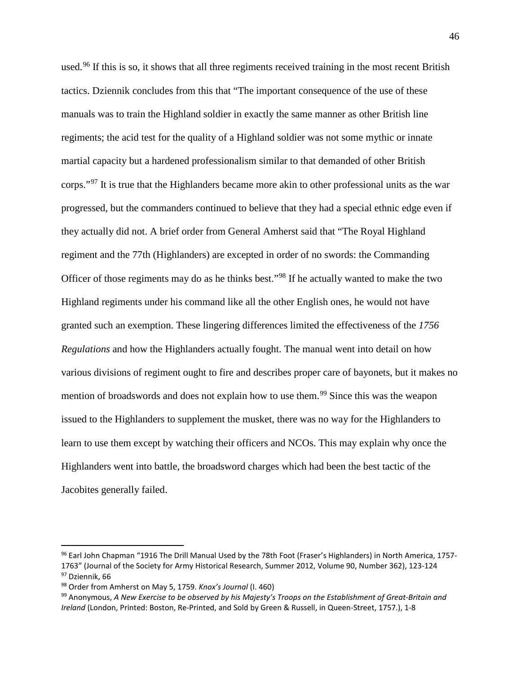used.<sup>[96](#page-48-0)</sup> If this is so, it shows that all three regiments received training in the most recent British tactics. Dziennik concludes from this that "The important consequence of the use of these manuals was to train the Highland soldier in exactly the same manner as other British line regiments; the acid test for the quality of a Highland soldier was not some mythic or innate martial capacity but a hardened professionalism similar to that demanded of other British corps."[97](#page-48-1) It is true that the Highlanders became more akin to other professional units as the war progressed, but the commanders continued to believe that they had a special ethnic edge even if they actually did not. A brief order from General Amherst said that "The Royal Highland regiment and the 77th (Highlanders) are excepted in order of no swords: the Commanding Officer of those regiments may do as he thinks best."[98](#page-48-2) If he actually wanted to make the two Highland regiments under his command like all the other English ones, he would not have granted such an exemption. These lingering differences limited the effectiveness of the *1756 Regulations* and how the Highlanders actually fought. The manual went into detail on how various divisions of regiment ought to fire and describes proper care of bayonets, but it makes no mention of broadswords and does not explain how to use them.<sup>[99](#page-48-3)</sup> Since this was the weapon issued to the Highlanders to supplement the musket, there was no way for the Highlanders to learn to use them except by watching their officers and NCOs. This may explain why once the Highlanders went into battle, the broadsword charges which had been the best tactic of the Jacobites generally failed.

<span id="page-48-0"></span><sup>96</sup> Earl John Chapman "1916 The Drill Manual Used by the 78th Foot (Fraser's Highlanders) in North America, 1757- 1763" (Journal of the Society for Army Historical Research, Summer 2012, Volume 90, Number 362), 123-124 97 Dziennik, 66

<span id="page-48-2"></span><span id="page-48-1"></span><sup>98</sup> Order from Amherst on May 5, 1759. *Knox's Journal* (I. 460)

<span id="page-48-3"></span><sup>99</sup> Anonymous, *A New Exercise to be observed by his Majesty's Troops on the Establishment of Great-Britain and Ireland* (London, Printed: Boston, Re-Printed, and Sold by Green & Russell, in Queen-Street, 1757.), 1-8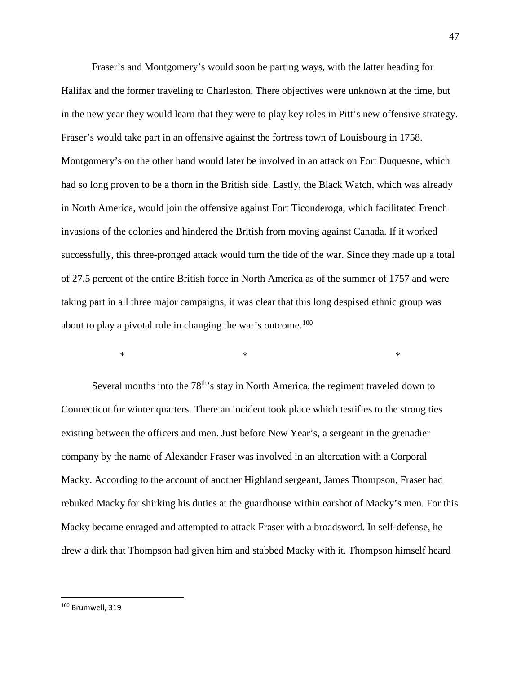Fraser's and Montgomery's would soon be parting ways, with the latter heading for Halifax and the former traveling to Charleston. There objectives were unknown at the time, but in the new year they would learn that they were to play key roles in Pitt's new offensive strategy. Fraser's would take part in an offensive against the fortress town of Louisbourg in 1758. Montgomery's on the other hand would later be involved in an attack on Fort Duquesne, which had so long proven to be a thorn in the British side. Lastly, the Black Watch, which was already in North America, would join the offensive against Fort Ticonderoga, which facilitated French invasions of the colonies and hindered the British from moving against Canada. If it worked successfully, this three-pronged attack would turn the tide of the war. Since they made up a total of 27.5 percent of the entire British force in North America as of the summer of 1757 and were taking part in all three major campaigns, it was clear that this long despised ethnic group was about to play a pivotal role in changing the war's outcome.<sup>[100](#page-49-0)</sup>

 $*$  \*  $*$  \*

Several months into the  $78<sup>th</sup>$ 's stay in North America, the regiment traveled down to Connecticut for winter quarters. There an incident took place which testifies to the strong ties existing between the officers and men. Just before New Year's, a sergeant in the grenadier company by the name of Alexander Fraser was involved in an altercation with a Corporal Macky. According to the account of another Highland sergeant, James Thompson, Fraser had rebuked Macky for shirking his duties at the guardhouse within earshot of Macky's men. For this Macky became enraged and attempted to attack Fraser with a broadsword. In self-defense, he drew a dirk that Thompson had given him and stabbed Macky with it. Thompson himself heard

<span id="page-49-0"></span><sup>100</sup> Brumwell, 319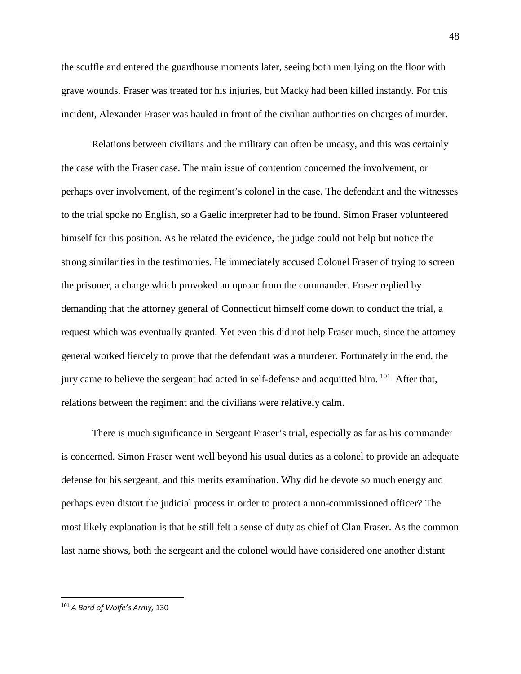the scuffle and entered the guardhouse moments later, seeing both men lying on the floor with grave wounds. Fraser was treated for his injuries, but Macky had been killed instantly. For this incident, Alexander Fraser was hauled in front of the civilian authorities on charges of murder.

Relations between civilians and the military can often be uneasy, and this was certainly the case with the Fraser case. The main issue of contention concerned the involvement, or perhaps over involvement, of the regiment's colonel in the case. The defendant and the witnesses to the trial spoke no English, so a Gaelic interpreter had to be found. Simon Fraser volunteered himself for this position. As he related the evidence, the judge could not help but notice the strong similarities in the testimonies. He immediately accused Colonel Fraser of trying to screen the prisoner, a charge which provoked an uproar from the commander. Fraser replied by demanding that the attorney general of Connecticut himself come down to conduct the trial, a request which was eventually granted. Yet even this did not help Fraser much, since the attorney general worked fiercely to prove that the defendant was a murderer. Fortunately in the end, the jury came to believe the sergeant had acted in self-defense and acquitted him. <sup>[101](#page-50-0)</sup> After that, relations between the regiment and the civilians were relatively calm.

There is much significance in Sergeant Fraser's trial, especially as far as his commander is concerned. Simon Fraser went well beyond his usual duties as a colonel to provide an adequate defense for his sergeant, and this merits examination. Why did he devote so much energy and perhaps even distort the judicial process in order to protect a non-commissioned officer? The most likely explanation is that he still felt a sense of duty as chief of Clan Fraser. As the common last name shows, both the sergeant and the colonel would have considered one another distant

<span id="page-50-0"></span><sup>101</sup> *A Bard of Wolfe's Army,* 130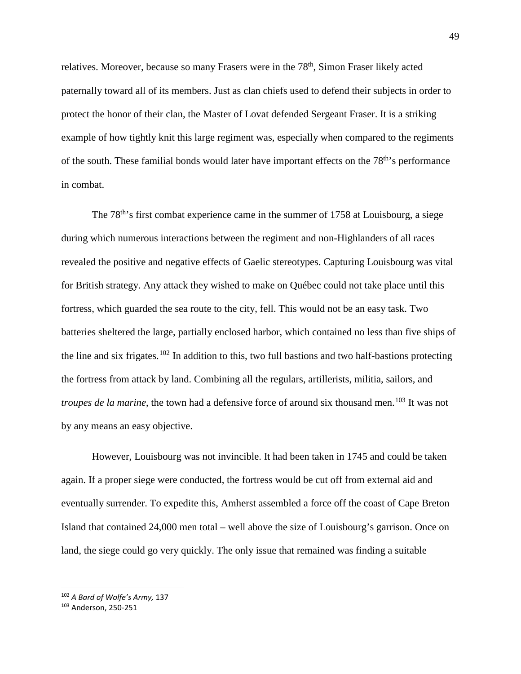relatives. Moreover, because so many Frasers were in the 78<sup>th</sup>, Simon Fraser likely acted paternally toward all of its members. Just as clan chiefs used to defend their subjects in order to protect the honor of their clan, the Master of Lovat defended Sergeant Fraser. It is a striking example of how tightly knit this large regiment was, especially when compared to the regiments of the south. These familial bonds would later have important effects on the 78<sup>th</sup>'s performance in combat.

The 78<sup>th</sup>'s first combat experience came in the summer of 1758 at Louisbourg, a siege during which numerous interactions between the regiment and non-Highlanders of all races revealed the positive and negative effects of Gaelic stereotypes. Capturing Louisbourg was vital for British strategy. Any attack they wished to make on Québec could not take place until this fortress, which guarded the sea route to the city, fell. This would not be an easy task. Two batteries sheltered the large, partially enclosed harbor, which contained no less than five ships of the line and six frigates.<sup>[102](#page-51-0)</sup> In addition to this, two full bastions and two half-bastions protecting the fortress from attack by land. Combining all the regulars, artillerists, militia, sailors, and *troupes de la marine*, the town had a defensive force of around six thousand men. [103](#page-51-1) It was not by any means an easy objective.

However, Louisbourg was not invincible. It had been taken in 1745 and could be taken again. If a proper siege were conducted, the fortress would be cut off from external aid and eventually surrender. To expedite this, Amherst assembled a force off the coast of Cape Breton Island that contained 24,000 men total – well above the size of Louisbourg's garrison. Once on land, the siege could go very quickly. The only issue that remained was finding a suitable

<span id="page-51-0"></span><sup>102</sup> *A Bard of Wolfe's Army,* 137

<span id="page-51-1"></span><sup>103</sup> Anderson, 250-251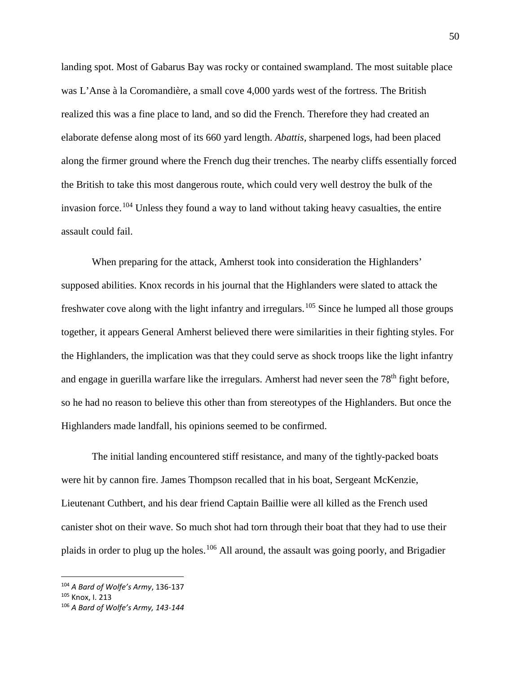landing spot. Most of Gabarus Bay was rocky or contained swampland. The most suitable place was L'Anse à la Coromandière, a small cove 4,000 yards west of the fortress. The British realized this was a fine place to land, and so did the French. Therefore they had created an elaborate defense along most of its 660 yard length. *Abattis,* sharpened logs, had been placed along the firmer ground where the French dug their trenches. The nearby cliffs essentially forced the British to take this most dangerous route, which could very well destroy the bulk of the invasion force. [104](#page-52-0) Unless they found a way to land without taking heavy casualties, the entire assault could fail.

When preparing for the attack, Amherst took into consideration the Highlanders' supposed abilities. Knox records in his journal that the Highlanders were slated to attack the freshwater cove along with the light infantry and irregulars.<sup>[105](#page-52-1)</sup> Since he lumped all those groups together, it appears General Amherst believed there were similarities in their fighting styles. For the Highlanders, the implication was that they could serve as shock troops like the light infantry and engage in guerilla warfare like the irregulars. Amherst had never seen the 78<sup>th</sup> fight before, so he had no reason to believe this other than from stereotypes of the Highlanders. But once the Highlanders made landfall, his opinions seemed to be confirmed.

The initial landing encountered stiff resistance, and many of the tightly-packed boats were hit by cannon fire. James Thompson recalled that in his boat, Sergeant McKenzie, Lieutenant Cuthbert, and his dear friend Captain Baillie were all killed as the French used canister shot on their wave. So much shot had torn through their boat that they had to use their plaids in order to plug up the holes.<sup>[106](#page-52-2)</sup> All around, the assault was going poorly, and Brigadier

<span id="page-52-0"></span><sup>104</sup> *A Bard of Wolfe's Army*, 136-137

<span id="page-52-1"></span><sup>105</sup> Knox, I. 213

<span id="page-52-2"></span><sup>106</sup> *A Bard of Wolfe's Army, 143-144*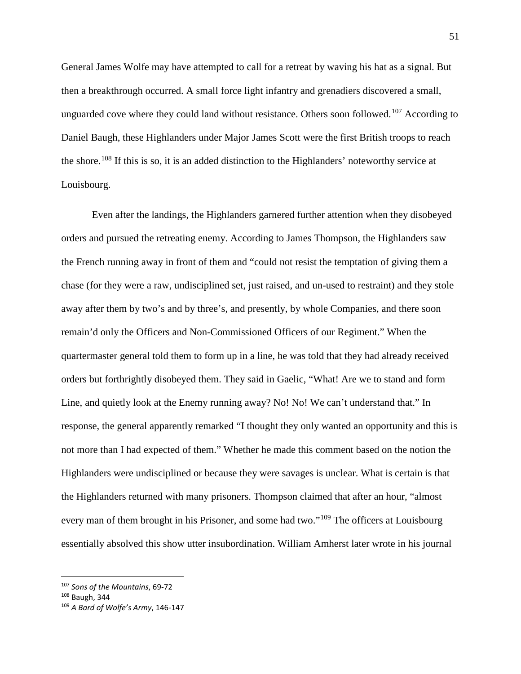General James Wolfe may have attempted to call for a retreat by waving his hat as a signal. But then a breakthrough occurred. A small force light infantry and grenadiers discovered a small, unguarded cove where they could land without resistance. Others soon followed.<sup>[107](#page-53-0)</sup> According to Daniel Baugh, these Highlanders under Major James Scott were the first British troops to reach the shore.[108](#page-53-1) If this is so, it is an added distinction to the Highlanders' noteworthy service at Louisbourg.

Even after the landings, the Highlanders garnered further attention when they disobeyed orders and pursued the retreating enemy. According to James Thompson, the Highlanders saw the French running away in front of them and "could not resist the temptation of giving them a chase (for they were a raw, undisciplined set, just raised, and un-used to restraint) and they stole away after them by two's and by three's, and presently, by whole Companies, and there soon remain'd only the Officers and Non-Commissioned Officers of our Regiment." When the quartermaster general told them to form up in a line, he was told that they had already received orders but forthrightly disobeyed them. They said in Gaelic, "What! Are we to stand and form Line, and quietly look at the Enemy running away? No! No! We can't understand that." In response, the general apparently remarked "I thought they only wanted an opportunity and this is not more than I had expected of them." Whether he made this comment based on the notion the Highlanders were undisciplined or because they were savages is unclear. What is certain is that the Highlanders returned with many prisoners. Thompson claimed that after an hour, "almost every man of them brought in his Prisoner, and some had two."<sup>[109](#page-53-2)</sup> The officers at Louisbourg essentially absolved this show utter insubordination. William Amherst later wrote in his journal

<span id="page-53-0"></span><sup>107</sup> *Sons of the Mountains*, 69-72

<span id="page-53-1"></span><sup>108</sup> Baugh, 344

<span id="page-53-2"></span><sup>109</sup> *A Bard of Wolfe's Army*, 146-147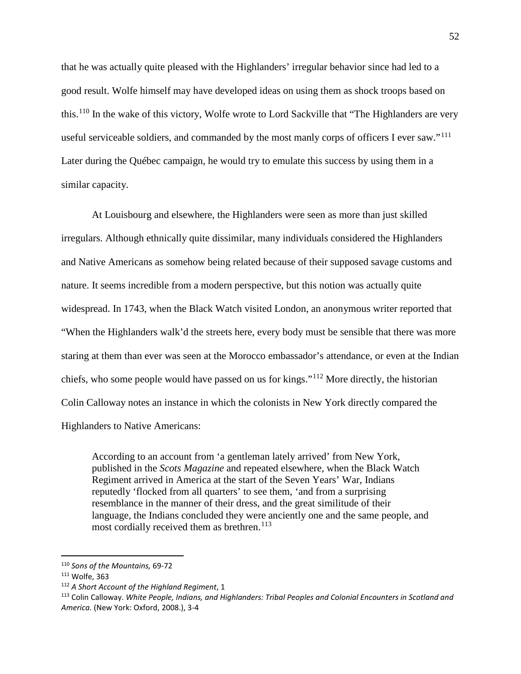that he was actually quite pleased with the Highlanders' irregular behavior since had led to a good result. Wolfe himself may have developed ideas on using them as shock troops based on this.<sup>[110](#page-54-0)</sup> In the wake of this victory, Wolfe wrote to Lord Sackville that "The Highlanders are very useful serviceable soldiers, and commanded by the most manly corps of officers I ever saw."<sup>[111](#page-54-1)</sup> Later during the Québec campaign, he would try to emulate this success by using them in a similar capacity.

At Louisbourg and elsewhere, the Highlanders were seen as more than just skilled irregulars. Although ethnically quite dissimilar, many individuals considered the Highlanders and Native Americans as somehow being related because of their supposed savage customs and nature. It seems incredible from a modern perspective, but this notion was actually quite widespread. In 1743, when the Black Watch visited London, an anonymous writer reported that "When the Highlanders walk'd the streets here, every body must be sensible that there was more staring at them than ever was seen at the Morocco embassador's attendance, or even at the Indian chiefs, who some people would have passed on us for kings."[112](#page-54-2) More directly, the historian Colin Calloway notes an instance in which the colonists in New York directly compared the Highlanders to Native Americans:

According to an account from 'a gentleman lately arrived' from New York, published in the *Scots Magazine* and repeated elsewhere, when the Black Watch Regiment arrived in America at the start of the Seven Years' War, Indians reputedly 'flocked from all quarters' to see them, 'and from a surprising resemblance in the manner of their dress, and the great similitude of their language, the Indians concluded they were anciently one and the same people, and most cordially received them as brethren. [113](#page-54-3)

<span id="page-54-0"></span><sup>110</sup> *Sons of the Mountains,* 69-72

<span id="page-54-1"></span><sup>111</sup> Wolfe, 363

<span id="page-54-2"></span><sup>112</sup> *A Short Account of the Highland Regiment*, 1

<span id="page-54-3"></span><sup>113</sup> Colin Calloway. *White People, Indians, and Highlanders: Tribal Peoples and Colonial Encounters in Scotland and America.* (New York: Oxford, 2008.), 3-4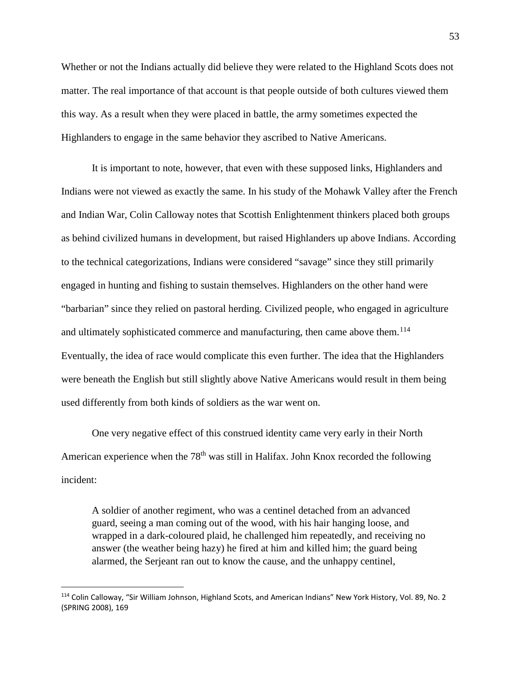Whether or not the Indians actually did believe they were related to the Highland Scots does not matter. The real importance of that account is that people outside of both cultures viewed them this way. As a result when they were placed in battle, the army sometimes expected the Highlanders to engage in the same behavior they ascribed to Native Americans.

It is important to note, however, that even with these supposed links, Highlanders and Indians were not viewed as exactly the same. In his study of the Mohawk Valley after the French and Indian War, Colin Calloway notes that Scottish Enlightenment thinkers placed both groups as behind civilized humans in development, but raised Highlanders up above Indians. According to the technical categorizations, Indians were considered "savage" since they still primarily engaged in hunting and fishing to sustain themselves. Highlanders on the other hand were "barbarian" since they relied on pastoral herding. Civilized people, who engaged in agriculture and ultimately sophisticated commerce and manufacturing, then came above them.<sup>[114](#page-55-0)</sup> Eventually, the idea of race would complicate this even further. The idea that the Highlanders were beneath the English but still slightly above Native Americans would result in them being used differently from both kinds of soldiers as the war went on.

One very negative effect of this construed identity came very early in their North American experience when the  $78<sup>th</sup>$  was still in Halifax. John Knox recorded the following incident:

A soldier of another regiment, who was a centinel detached from an advanced guard, seeing a man coming out of the wood, with his hair hanging loose, and wrapped in a dark-coloured plaid, he challenged him repeatedly, and receiving no answer (the weather being hazy) he fired at him and killed him; the guard being alarmed, the Serjeant ran out to know the cause, and the unhappy centinel,

<span id="page-55-0"></span><sup>114</sup> Colin Calloway, "Sir William Johnson, Highland Scots, and American Indians" New York History, Vol. 89, No. 2 (SPRING 2008), 169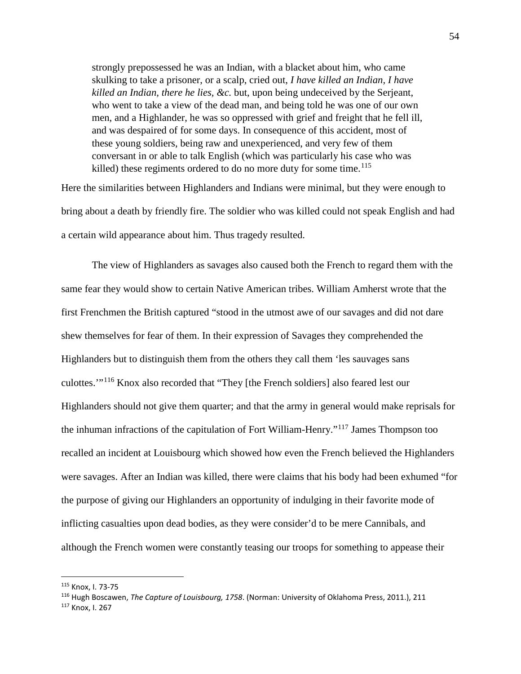strongly prepossessed he was an Indian, with a blacket about him, who came skulking to take a prisoner, or a scalp, cried out, *I have killed an Indian, I have killed an Indian, there he lies, &c.* but, upon being undeceived by the Serjeant, who went to take a view of the dead man, and being told he was one of our own men, and a Highlander, he was so oppressed with grief and freight that he fell ill, and was despaired of for some days. In consequence of this accident, most of these young soldiers, being raw and unexperienced, and very few of them conversant in or able to talk English (which was particularly his case who was killed) these regiments ordered to do no more duty for some time.<sup>[115](#page-56-0)</sup>

Here the similarities between Highlanders and Indians were minimal, but they were enough to bring about a death by friendly fire. The soldier who was killed could not speak English and had a certain wild appearance about him. Thus tragedy resulted.

The view of Highlanders as savages also caused both the French to regard them with the same fear they would show to certain Native American tribes. William Amherst wrote that the first Frenchmen the British captured "stood in the utmost awe of our savages and did not dare shew themselves for fear of them. In their expression of Savages they comprehended the Highlanders but to distinguish them from the others they call them 'les sauvages sans culottes.'"[116](#page-56-1) Knox also recorded that "They [the French soldiers] also feared lest our Highlanders should not give them quarter; and that the army in general would make reprisals for the inhuman infractions of the capitulation of Fort William-Henry."[117](#page-56-2) James Thompson too recalled an incident at Louisbourg which showed how even the French believed the Highlanders were savages. After an Indian was killed, there were claims that his body had been exhumed "for the purpose of giving our Highlanders an opportunity of indulging in their favorite mode of inflicting casualties upon dead bodies, as they were consider'd to be mere Cannibals, and although the French women were constantly teasing our troops for something to appease their

<span id="page-56-0"></span><sup>115</sup> Knox, I. 73-75

<span id="page-56-2"></span><span id="page-56-1"></span><sup>116</sup> Hugh Boscawen, *The Capture of Louisbourg, 1758*. (Norman: University of Oklahoma Press, 2011.), 211 <sup>117</sup> Knox, I. 267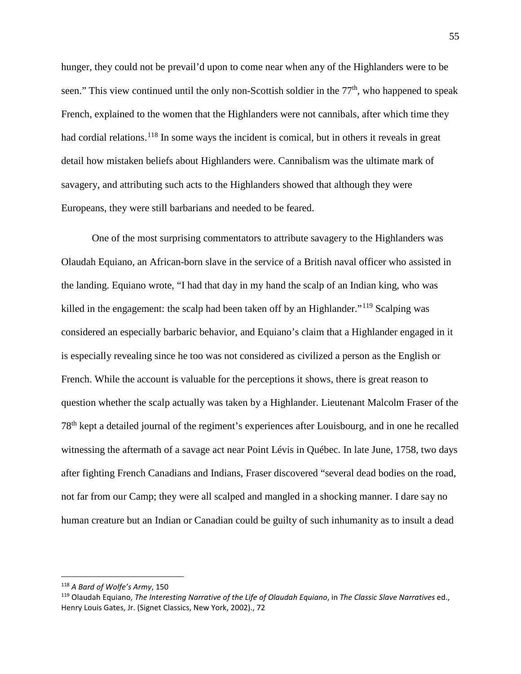hunger, they could not be prevail'd upon to come near when any of the Highlanders were to be seen." This view continued until the only non-Scottish soldier in the  $77<sup>th</sup>$ , who happened to speak French, explained to the women that the Highlanders were not cannibals, after which time they had cordial relations.<sup>[118](#page-57-0)</sup> In some ways the incident is comical, but in others it reveals in great detail how mistaken beliefs about Highlanders were. Cannibalism was the ultimate mark of savagery, and attributing such acts to the Highlanders showed that although they were Europeans, they were still barbarians and needed to be feared.

One of the most surprising commentators to attribute savagery to the Highlanders was Olaudah Equiano, an African-born slave in the service of a British naval officer who assisted in the landing. Equiano wrote, "I had that day in my hand the scalp of an Indian king, who was killed in the engagement: the scalp had been taken off by an Highlander."<sup>[119](#page-57-1)</sup> Scalping was considered an especially barbaric behavior, and Equiano's claim that a Highlander engaged in it is especially revealing since he too was not considered as civilized a person as the English or French. While the account is valuable for the perceptions it shows, there is great reason to question whether the scalp actually was taken by a Highlander. Lieutenant Malcolm Fraser of the 78th kept a detailed journal of the regiment's experiences after Louisbourg, and in one he recalled witnessing the aftermath of a savage act near Point Lévis in Québec. In late June, 1758, two days after fighting French Canadians and Indians, Fraser discovered "several dead bodies on the road, not far from our Camp; they were all scalped and mangled in a shocking manner. I dare say no human creature but an Indian or Canadian could be guilty of such inhumanity as to insult a dead

<span id="page-57-0"></span><sup>118</sup> *A Bard of Wolfe's Army*, 150

<span id="page-57-1"></span><sup>119</sup> Olaudah Equiano, *The Interesting Narrative of the Life of Olaudah Equiano*, in *The Classic Slave Narratives* ed., Henry Louis Gates, Jr. (Signet Classics, New York, 2002)., 72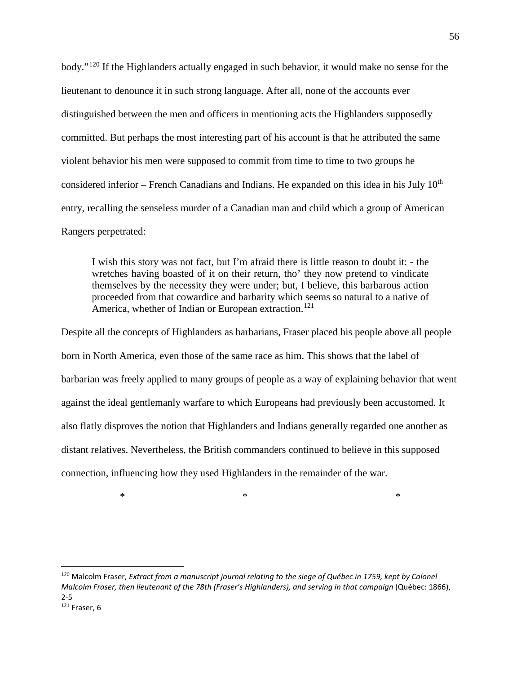body."[120](#page-58-0) If the Highlanders actually engaged in such behavior, it would make no sense for the lieutenant to denounce it in such strong language. After all, none of the accounts ever distinguished between the men and officers in mentioning acts the Highlanders supposedly committed. But perhaps the most interesting part of his account is that he attributed the same violent behavior his men were supposed to commit from time to time to two groups he considered inferior – French Canadians and Indians. He expanded on this idea in his July  $10<sup>th</sup>$ entry, recalling the senseless murder of a Canadian man and child which a group of American Rangers perpetrated:

I wish this story was not fact, but I'm afraid there is little reason to doubt it: - the wretches having boasted of it on their return, tho' they now pretend to vindicate themselves by the necessity they were under; but, I believe, this barbarous action proceeded from that cowardice and barbarity which seems so natural to a native of America, whether of Indian or European extraction.<sup>[121](#page-58-1)</sup>

Despite all the concepts of Highlanders as barbarians, Fraser placed his people above all people born in North America, even those of the same race as him. This shows that the label of barbarian was freely applied to many groups of people as a way of explaining behavior that went against the ideal gentlemanly warfare to which Europeans had previously been accustomed. It also flatly disproves the notion that Highlanders and Indians generally regarded one another as distant relatives. Nevertheless, the British commanders continued to believe in this supposed connection, influencing how they used Highlanders in the remainder of the war.

 $*$   $*$ 

<span id="page-58-1"></span><span id="page-58-0"></span><sup>120</sup> Malcolm Fraser, *Extract from a manuscript journal relating to the siege of Québec in 1759, kept by Colonel Malcolm Fraser, then lieutenant of the 78th (Fraser's Highlanders), and serving in that campaign* (Québec: 1866), 2-5  $121$  Fraser, 6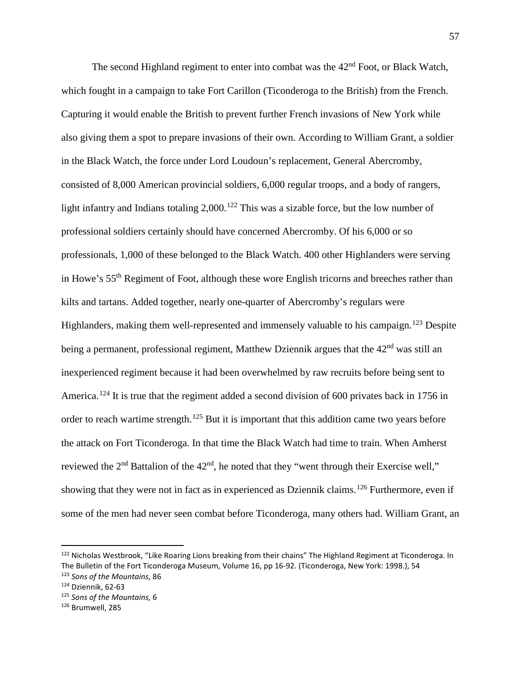The second Highland regiment to enter into combat was the  $42<sup>nd</sup>$  Foot, or Black Watch, which fought in a campaign to take Fort Carillon (Ticonderoga to the British) from the French. Capturing it would enable the British to prevent further French invasions of New York while also giving them a spot to prepare invasions of their own. According to William Grant, a soldier in the Black Watch, the force under Lord Loudoun's replacement, General Abercromby, consisted of 8,000 American provincial soldiers, 6,000 regular troops, and a body of rangers, light infantry and Indians totaling 2,000.<sup>[122](#page-59-0)</sup> This was a sizable force, but the low number of professional soldiers certainly should have concerned Abercromby. Of his 6,000 or so professionals, 1,000 of these belonged to the Black Watch. 400 other Highlanders were serving in Howe's 55th Regiment of Foot, although these wore English tricorns and breeches rather than kilts and tartans. Added together, nearly one-quarter of Abercromby's regulars were Highlanders, making them well-represented and immensely valuable to his campaign.<sup>[123](#page-59-1)</sup> Despite being a permanent, professional regiment, Matthew Dziennik argues that the 42<sup>nd</sup> was still an inexperienced regiment because it had been overwhelmed by raw recruits before being sent to America.<sup>[124](#page-59-2)</sup> It is true that the regiment added a second division of 600 privates back in 1756 in order to reach wartime strength.<sup>[125](#page-59-3)</sup> But it is important that this addition came two years before the attack on Fort Ticonderoga. In that time the Black Watch had time to train. When Amherst reviewed the  $2<sup>nd</sup>$  Battalion of the  $42<sup>nd</sup>$ , he noted that they "went through their Exercise well," showing that they were not in fact as in experienced as Dziennik claims.<sup>[126](#page-59-4)</sup> Furthermore, even if some of the men had never seen combat before Ticonderoga, many others had. William Grant, an

<span id="page-59-0"></span><sup>&</sup>lt;sup>122</sup> Nicholas Westbrook, "Like Roaring Lions breaking from their chains" The Highland Regiment at Ticonderoga. In The Bulletin of the Fort Ticonderoga Museum, Volume 16, pp 16-92. (Ticonderoga, New York: 1998.), 54

<span id="page-59-1"></span><sup>123</sup> *Sons of the Mountains*, 86

<span id="page-59-2"></span><sup>124</sup> Dziennik, 62-63

<span id="page-59-3"></span><sup>125</sup> *Sons of the Mountains,* 6

<span id="page-59-4"></span><sup>126</sup> Brumwell, 285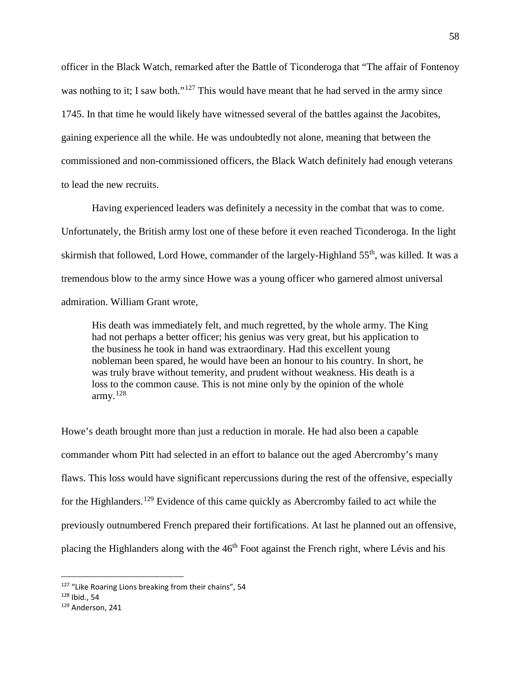officer in the Black Watch, remarked after the Battle of Ticonderoga that "The affair of Fontenoy was nothing to it; I saw both."<sup>[127](#page-60-0)</sup> This would have meant that he had served in the army since 1745. In that time he would likely have witnessed several of the battles against the Jacobites, gaining experience all the while. He was undoubtedly not alone, meaning that between the commissioned and non-commissioned officers, the Black Watch definitely had enough veterans to lead the new recruits.

Having experienced leaders was definitely a necessity in the combat that was to come. Unfortunately, the British army lost one of these before it even reached Ticonderoga. In the light skirmish that followed, Lord Howe, commander of the largely-Highland 55<sup>th</sup>, was killed. It was a tremendous blow to the army since Howe was a young officer who garnered almost universal admiration. William Grant wrote,

His death was immediately felt, and much regretted, by the whole army. The King had not perhaps a better officer; his genius was very great, but his application to the business he took in hand was extraordinary. Had this excellent young nobleman been spared, he would have been an honour to his country. In short, he was truly brave without temerity, and prudent without weakness. His death is a loss to the common cause. This is not mine only by the opinion of the whole army. $128$ 

Howe's death brought more than just a reduction in morale. He had also been a capable commander whom Pitt had selected in an effort to balance out the aged Abercromby's many flaws. This loss would have significant repercussions during the rest of the offensive, especially for the Highlanders.<sup>[129](#page-60-2)</sup> Evidence of this came quickly as Abercromby failed to act while the previously outnumbered French prepared their fortifications. At last he planned out an offensive, placing the Highlanders along with the  $46<sup>th</sup>$  Foot against the French right, where Lévis and his

<span id="page-60-0"></span><sup>&</sup>lt;sup>127</sup> "Like Roaring Lions breaking from their chains", 54

<span id="page-60-1"></span><sup>128</sup> Ibid., 54

<span id="page-60-2"></span><sup>129</sup> Anderson, 241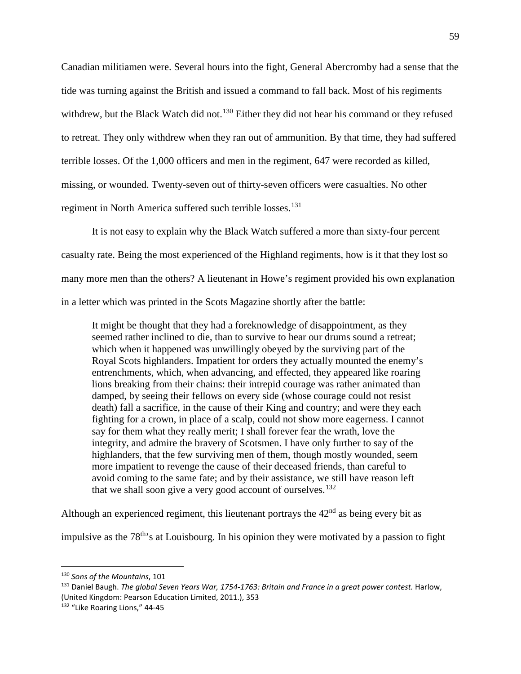Canadian militiamen were. Several hours into the fight, General Abercromby had a sense that the tide was turning against the British and issued a command to fall back. Most of his regiments withdrew, but the Black Watch did not.<sup>[130](#page-61-0)</sup> Either they did not hear his command or they refused to retreat. They only withdrew when they ran out of ammunition. By that time, they had suffered terrible losses. Of the 1,000 officers and men in the regiment, 647 were recorded as killed, missing, or wounded. Twenty-seven out of thirty-seven officers were casualties. No other regiment in North America suffered such terrible losses.[131](#page-61-1)

It is not easy to explain why the Black Watch suffered a more than sixty-four percent casualty rate. Being the most experienced of the Highland regiments, how is it that they lost so many more men than the others? A lieutenant in Howe's regiment provided his own explanation in a letter which was printed in the Scots Magazine shortly after the battle:

It might be thought that they had a foreknowledge of disappointment, as they seemed rather inclined to die, than to survive to hear our drums sound a retreat; which when it happened was unwillingly obeyed by the surviving part of the Royal Scots highlanders. Impatient for orders they actually mounted the enemy's entrenchments, which, when advancing, and effected, they appeared like roaring lions breaking from their chains: their intrepid courage was rather animated than damped, by seeing their fellows on every side (whose courage could not resist death) fall a sacrifice, in the cause of their King and country; and were they each fighting for a crown, in place of a scalp, could not show more eagerness. I cannot say for them what they really merit; I shall forever fear the wrath, love the integrity, and admire the bravery of Scotsmen. I have only further to say of the highlanders, that the few surviving men of them, though mostly wounded, seem more impatient to revenge the cause of their deceased friends, than careful to avoid coming to the same fate; and by their assistance, we still have reason left that we shall soon give a very good account of ourselves.<sup>[132](#page-61-2)</sup>

Although an experienced regiment, this lieutenant portrays the  $42<sup>nd</sup>$  as being every bit as

impulsive as the  $78<sup>th</sup>$ 's at Louisbourg. In his opinion they were motivated by a passion to fight

<span id="page-61-0"></span><sup>130</sup> *Sons of the Mountains*, 101

<span id="page-61-1"></span><sup>&</sup>lt;sup>131</sup> Daniel Baugh. *The global Seven Years War, 1754-1763: Britain and France in a great power contest. Harlow,* (United Kingdom: Pearson Education Limited, 2011.), 353

<span id="page-61-2"></span><sup>132 &</sup>quot;Like Roaring Lions," 44-45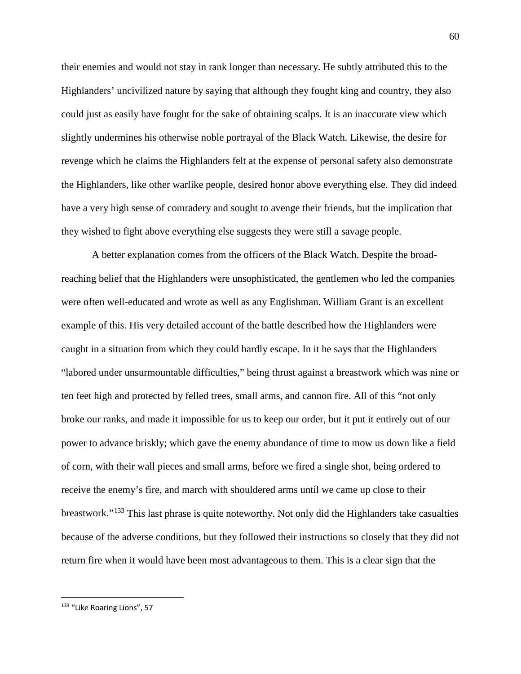their enemies and would not stay in rank longer than necessary. He subtly attributed this to the Highlanders' uncivilized nature by saying that although they fought king and country, they also could just as easily have fought for the sake of obtaining scalps. It is an inaccurate view which slightly undermines his otherwise noble portrayal of the Black Watch. Likewise, the desire for revenge which he claims the Highlanders felt at the expense of personal safety also demonstrate the Highlanders, like other warlike people, desired honor above everything else. They did indeed have a very high sense of comradery and sought to avenge their friends, but the implication that they wished to fight above everything else suggests they were still a savage people.

A better explanation comes from the officers of the Black Watch. Despite the broadreaching belief that the Highlanders were unsophisticated, the gentlemen who led the companies were often well-educated and wrote as well as any Englishman. William Grant is an excellent example of this. His very detailed account of the battle described how the Highlanders were caught in a situation from which they could hardly escape. In it he says that the Highlanders "labored under unsurmountable difficulties," being thrust against a breastwork which was nine or ten feet high and protected by felled trees, small arms, and cannon fire. All of this "not only broke our ranks, and made it impossible for us to keep our order, but it put it entirely out of our power to advance briskly; which gave the enemy abundance of time to mow us down like a field of corn, with their wall pieces and small arms, before we fired a single shot, being ordered to receive the enemy's fire, and march with shouldered arms until we came up close to their breastwork."[133](#page-62-0) This last phrase is quite noteworthy. Not only did the Highlanders take casualties because of the adverse conditions, but they followed their instructions so closely that they did not return fire when it would have been most advantageous to them. This is a clear sign that the

<span id="page-62-0"></span><sup>133 &</sup>quot;Like Roaring Lions", 57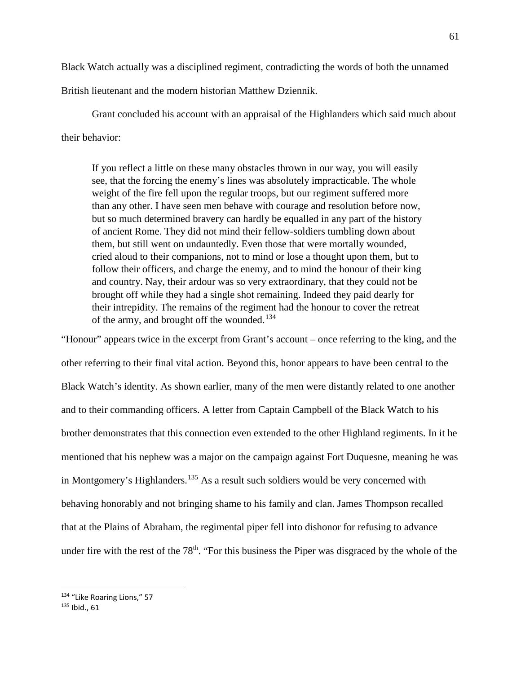Black Watch actually was a disciplined regiment, contradicting the words of both the unnamed

British lieutenant and the modern historian Matthew Dziennik.

Grant concluded his account with an appraisal of the Highlanders which said much about their behavior:

If you reflect a little on these many obstacles thrown in our way, you will easily see, that the forcing the enemy's lines was absolutely impracticable. The whole weight of the fire fell upon the regular troops, but our regiment suffered more than any other. I have seen men behave with courage and resolution before now, but so much determined bravery can hardly be equalled in any part of the history of ancient Rome. They did not mind their fellow-soldiers tumbling down about them, but still went on undauntedly. Even those that were mortally wounded, cried aloud to their companions, not to mind or lose a thought upon them, but to follow their officers, and charge the enemy, and to mind the honour of their king and country. Nay, their ardour was so very extraordinary, that they could not be brought off while they had a single shot remaining. Indeed they paid dearly for their intrepidity. The remains of the regiment had the honour to cover the retreat of the army, and brought off the wounded.<sup>[134](#page-63-0)</sup>

"Honour" appears twice in the excerpt from Grant's account – once referring to the king, and the other referring to their final vital action. Beyond this, honor appears to have been central to the Black Watch's identity. As shown earlier, many of the men were distantly related to one another and to their commanding officers. A letter from Captain Campbell of the Black Watch to his brother demonstrates that this connection even extended to the other Highland regiments. In it he mentioned that his nephew was a major on the campaign against Fort Duquesne, meaning he was in Montgomery's Highlanders.<sup>[135](#page-63-1)</sup> As a result such soldiers would be very concerned with behaving honorably and not bringing shame to his family and clan. James Thompson recalled that at the Plains of Abraham, the regimental piper fell into dishonor for refusing to advance under fire with the rest of the  $78<sup>th</sup>$ . "For this business the Piper was disgraced by the whole of the

<span id="page-63-0"></span><sup>134 &</sup>quot;Like Roaring Lions," 57

<span id="page-63-1"></span> $135$  Ibid., 61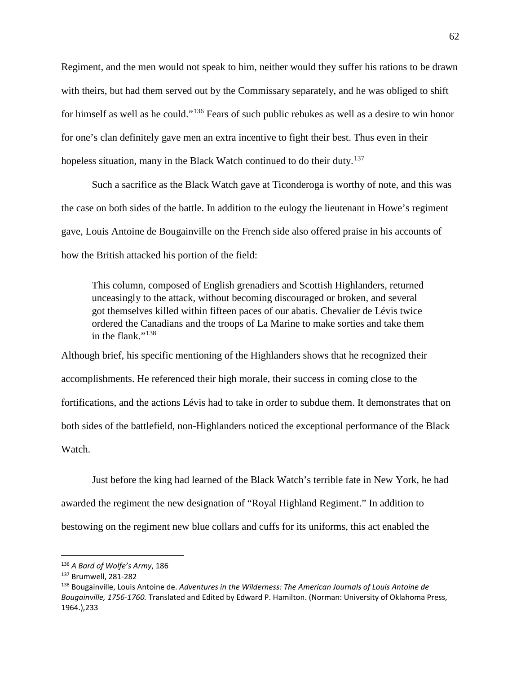Regiment, and the men would not speak to him, neither would they suffer his rations to be drawn with theirs, but had them served out by the Commissary separately, and he was obliged to shift for himself as well as he could."[136](#page-64-0) Fears of such public rebukes as well as a desire to win honor for one's clan definitely gave men an extra incentive to fight their best. Thus even in their hopeless situation, many in the Black Watch continued to do their duty.<sup>[137](#page-64-1)</sup>

Such a sacrifice as the Black Watch gave at Ticonderoga is worthy of note, and this was the case on both sides of the battle. In addition to the eulogy the lieutenant in Howe's regiment gave, Louis Antoine de Bougainville on the French side also offered praise in his accounts of how the British attacked his portion of the field:

This column, composed of English grenadiers and Scottish Highlanders, returned unceasingly to the attack, without becoming discouraged or broken, and several got themselves killed within fifteen paces of our abatis. Chevalier de Lévis twice ordered the Canadians and the troops of La Marine to make sorties and take them in the flank."[138](#page-64-2)

Although brief, his specific mentioning of the Highlanders shows that he recognized their accomplishments. He referenced their high morale, their success in coming close to the fortifications, and the actions Lévis had to take in order to subdue them. It demonstrates that on both sides of the battlefield, non-Highlanders noticed the exceptional performance of the Black Watch.

Just before the king had learned of the Black Watch's terrible fate in New York, he had awarded the regiment the new designation of "Royal Highland Regiment." In addition to bestowing on the regiment new blue collars and cuffs for its uniforms, this act enabled the

<span id="page-64-0"></span><sup>136</sup> *A Bard of Wolfe's Army*, 186

<span id="page-64-1"></span><sup>137</sup> Brumwell, 281-282

<span id="page-64-2"></span><sup>138</sup> Bougainville, Louis Antoine de. *Adventures in the Wilderness: The American Journals of Louis Antoine de Bougainville, 1756-1760.* Translated and Edited by Edward P. Hamilton. (Norman: University of Oklahoma Press, 1964.),233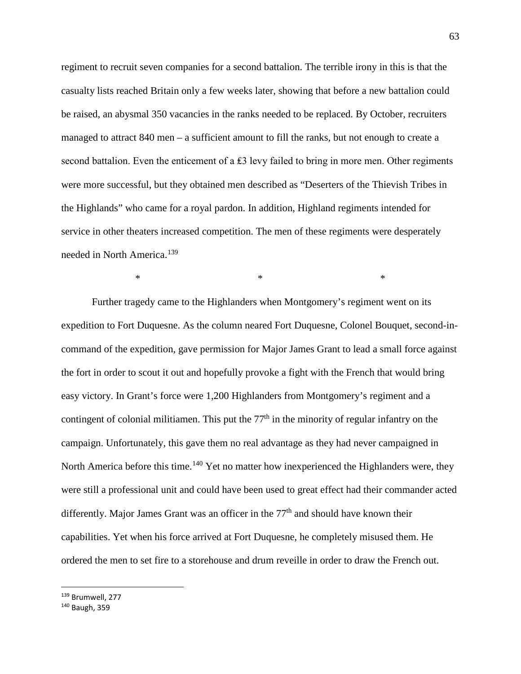regiment to recruit seven companies for a second battalion. The terrible irony in this is that the casualty lists reached Britain only a few weeks later, showing that before a new battalion could be raised, an abysmal 350 vacancies in the ranks needed to be replaced. By October, recruiters managed to attract 840 men – a sufficient amount to fill the ranks, but not enough to create a second battalion. Even the enticement of a  $£3$  levy failed to bring in more men. Other regiments were more successful, but they obtained men described as "Deserters of the Thievish Tribes in the Highlands" who came for a royal pardon. In addition, Highland regiments intended for service in other theaters increased competition. The men of these regiments were desperately needed in North America. [139](#page-65-0)

\* \* \*

Further tragedy came to the Highlanders when Montgomery's regiment went on its expedition to Fort Duquesne. As the column neared Fort Duquesne, Colonel Bouquet, second-incommand of the expedition, gave permission for Major James Grant to lead a small force against the fort in order to scout it out and hopefully provoke a fight with the French that would bring easy victory. In Grant's force were 1,200 Highlanders from Montgomery's regiment and a contingent of colonial militiamen. This put the  $77<sup>th</sup>$  in the minority of regular infantry on the campaign. Unfortunately, this gave them no real advantage as they had never campaigned in North America before this time.<sup>[140](#page-65-1)</sup> Yet no matter how inexperienced the Highlanders were, they were still a professional unit and could have been used to great effect had their commander acted differently. Major James Grant was an officer in the  $77<sup>th</sup>$  and should have known their capabilities. Yet when his force arrived at Fort Duquesne, he completely misused them. He ordered the men to set fire to a storehouse and drum reveille in order to draw the French out.

<span id="page-65-0"></span><sup>139</sup> Brumwell, 277

<span id="page-65-1"></span><sup>140</sup> Baugh, 359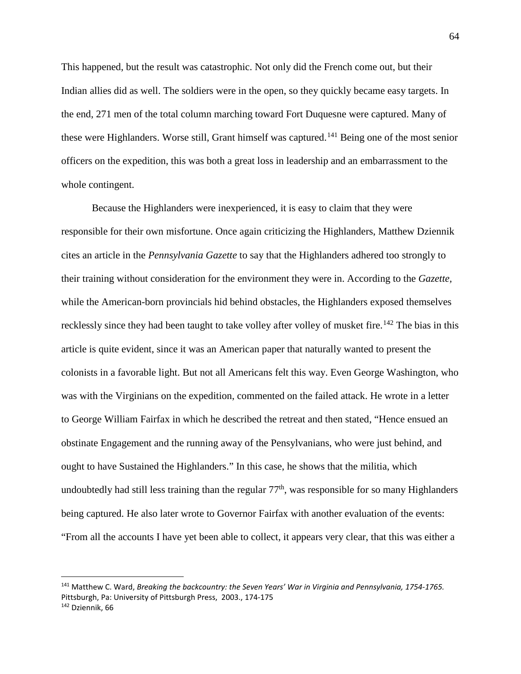This happened, but the result was catastrophic. Not only did the French come out, but their Indian allies did as well. The soldiers were in the open, so they quickly became easy targets. In the end, 271 men of the total column marching toward Fort Duquesne were captured. Many of these were Highlanders. Worse still, Grant himself was captured.<sup>[141](#page-66-0)</sup> Being one of the most senior officers on the expedition, this was both a great loss in leadership and an embarrassment to the whole contingent.

Because the Highlanders were inexperienced, it is easy to claim that they were responsible for their own misfortune. Once again criticizing the Highlanders, Matthew Dziennik cites an article in the *Pennsylvania Gazette* to say that the Highlanders adhered too strongly to their training without consideration for the environment they were in. According to the *Gazette,* while the American-born provincials hid behind obstacles, the Highlanders exposed themselves recklessly since they had been taught to take volley after volley of musket fire.<sup>[142](#page-66-1)</sup> The bias in this article is quite evident, since it was an American paper that naturally wanted to present the colonists in a favorable light. But not all Americans felt this way. Even George Washington, who was with the Virginians on the expedition, commented on the failed attack. He wrote in a letter to George William Fairfax in which he described the retreat and then stated, "Hence ensued an obstinate Engagement and the running away of the Pensylvanians, who were just behind, and ought to have Sustained the Highlanders." In this case, he shows that the militia, which undoubtedly had still less training than the regular  $77<sup>th</sup>$ , was responsible for so many Highlanders being captured. He also later wrote to Governor Fairfax with another evaluation of the events: "From all the accounts I have yet been able to collect, it appears very clear, that this was either a

<span id="page-66-1"></span><span id="page-66-0"></span><sup>141</sup> Matthew C. Ward, *Breaking the backcountry: the Seven Years' War in Virginia and Pennsylvania, 1754-1765.*  Pittsburgh, Pa: University of Pittsburgh Press, 2003., 174-175 <sup>142</sup> Dziennik, 66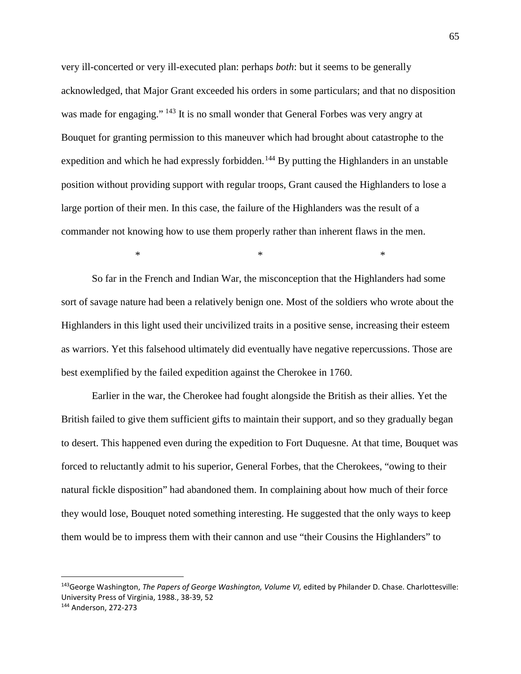very ill-concerted or very ill-executed plan: perhaps *both*: but it seems to be generally acknowledged, that Major Grant exceeded his orders in some particulars; and that no disposition was made for engaging." <sup>[143](#page-67-0)</sup> It is no small wonder that General Forbes was very angry at Bouquet for granting permission to this maneuver which had brought about catastrophe to the expedition and which he had expressly forbidden.<sup>[144](#page-67-1)</sup> By putting the Highlanders in an unstable position without providing support with regular troops, Grant caused the Highlanders to lose a large portion of their men. In this case, the failure of the Highlanders was the result of a commander not knowing how to use them properly rather than inherent flaws in the men.

So far in the French and Indian War, the misconception that the Highlanders had some sort of savage nature had been a relatively benign one. Most of the soldiers who wrote about the Highlanders in this light used their uncivilized traits in a positive sense, increasing their esteem as warriors. Yet this falsehood ultimately did eventually have negative repercussions. Those are best exemplified by the failed expedition against the Cherokee in 1760.

 $*$   $*$ 

Earlier in the war, the Cherokee had fought alongside the British as their allies. Yet the British failed to give them sufficient gifts to maintain their support, and so they gradually began to desert. This happened even during the expedition to Fort Duquesne. At that time, Bouquet was forced to reluctantly admit to his superior, General Forbes, that the Cherokees, "owing to their natural fickle disposition" had abandoned them. In complaining about how much of their force they would lose, Bouquet noted something interesting. He suggested that the only ways to keep them would be to impress them with their cannon and use "their Cousins the Highlanders" to

<span id="page-67-0"></span><sup>143</sup>George Washington, *The Papers of George Washington, Volume VI,* edited by Philander D. Chase. Charlottesville: University Press of Virginia, 1988., 38-39, 52

<span id="page-67-1"></span><sup>144</sup> Anderson, 272-273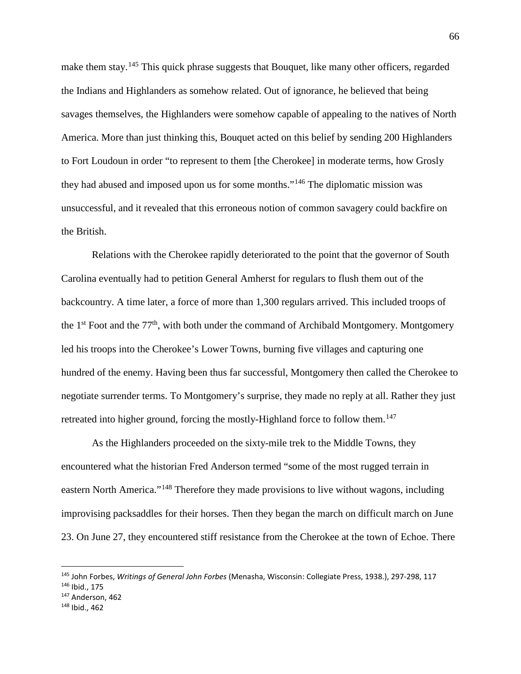make them stay.<sup>[145](#page-68-0)</sup> This quick phrase suggests that Bouquet, like many other officers, regarded the Indians and Highlanders as somehow related. Out of ignorance, he believed that being savages themselves, the Highlanders were somehow capable of appealing to the natives of North America. More than just thinking this, Bouquet acted on this belief by sending 200 Highlanders to Fort Loudoun in order "to represent to them [the Cherokee] in moderate terms, how Grosly they had abused and imposed upon us for some months."[146](#page-68-1) The diplomatic mission was unsuccessful, and it revealed that this erroneous notion of common savagery could backfire on the British.

Relations with the Cherokee rapidly deteriorated to the point that the governor of South Carolina eventually had to petition General Amherst for regulars to flush them out of the backcountry. A time later, a force of more than 1,300 regulars arrived. This included troops of the  $1<sup>st</sup>$  Foot and the  $77<sup>th</sup>$ , with both under the command of Archibald Montgomery. Montgomery led his troops into the Cherokee's Lower Towns, burning five villages and capturing one hundred of the enemy. Having been thus far successful, Montgomery then called the Cherokee to negotiate surrender terms. To Montgomery's surprise, they made no reply at all. Rather they just retreated into higher ground, forcing the mostly-Highland force to follow them.<sup>[147](#page-68-2)</sup>

As the Highlanders proceeded on the sixty-mile trek to the Middle Towns, they encountered what the historian Fred Anderson termed "some of the most rugged terrain in eastern North America."<sup>[148](#page-68-3)</sup> Therefore they made provisions to live without wagons, including improvising packsaddles for their horses. Then they began the march on difficult march on June 23. On June 27, they encountered stiff resistance from the Cherokee at the town of Echoe. There

<span id="page-68-0"></span><sup>145</sup> John Forbes, *Writings of General John Forbes* (Menasha, Wisconsin: Collegiate Press, 1938.), 297-298, 117

<span id="page-68-1"></span><sup>146</sup> Ibid., 175

<span id="page-68-2"></span><sup>147</sup> Anderson, 462

<span id="page-68-3"></span><sup>148</sup> Ibid., 462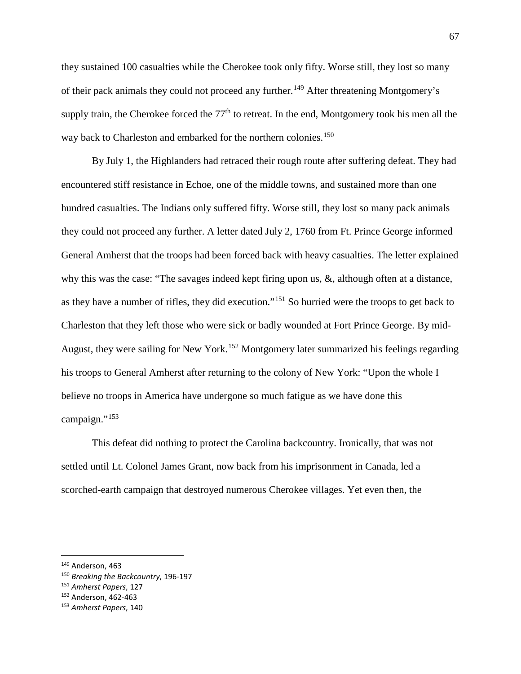they sustained 100 casualties while the Cherokee took only fifty. Worse still, they lost so many of their pack animals they could not proceed any further.<sup>[149](#page-69-0)</sup> After threatening Montgomery's supply train, the Cherokee forced the  $77<sup>th</sup>$  to retreat. In the end, Montgomery took his men all the way back to Charleston and embarked for the northern colonies.<sup>[150](#page-69-1)</sup>

By July 1, the Highlanders had retraced their rough route after suffering defeat. They had encountered stiff resistance in Echoe, one of the middle towns, and sustained more than one hundred casualties. The Indians only suffered fifty. Worse still, they lost so many pack animals they could not proceed any further. A letter dated July 2, 1760 from Ft. Prince George informed General Amherst that the troops had been forced back with heavy casualties. The letter explained why this was the case: "The savages indeed kept firing upon us, &, although often at a distance, as they have a number of rifles, they did execution."[151](#page-69-2) So hurried were the troops to get back to Charleston that they left those who were sick or badly wounded at Fort Prince George. By mid-August, they were sailing for New York.<sup>[152](#page-69-3)</sup> Montgomery later summarized his feelings regarding his troops to General Amherst after returning to the colony of New York: "Upon the whole I believe no troops in America have undergone so much fatigue as we have done this campaign."<sup>[153](#page-69-4)</sup>

This defeat did nothing to protect the Carolina backcountry. Ironically, that was not settled until Lt. Colonel James Grant, now back from his imprisonment in Canada, led a scorched-earth campaign that destroyed numerous Cherokee villages. Yet even then, the

<span id="page-69-0"></span><sup>149</sup> Anderson, 463

<span id="page-69-1"></span><sup>150</sup> *Breaking the Backcountry*, 196-197

<span id="page-69-2"></span><sup>151</sup> *Amherst Papers*, 127

<span id="page-69-3"></span><sup>152</sup> Anderson, 462-463

<span id="page-69-4"></span><sup>153</sup> *Amherst Papers*, 140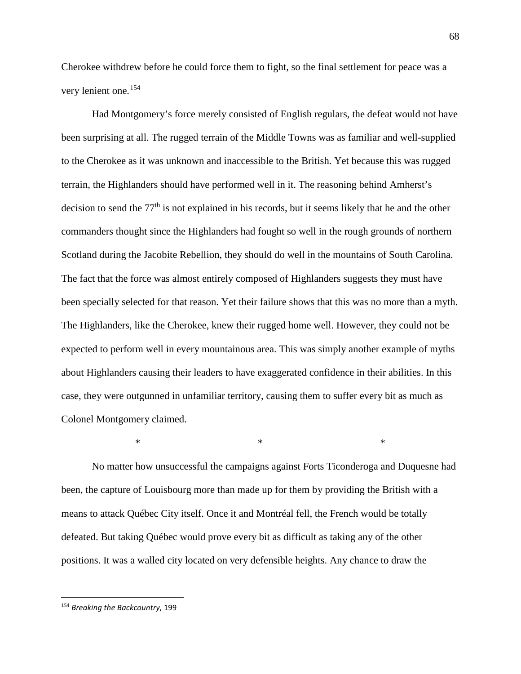Cherokee withdrew before he could force them to fight, so the final settlement for peace was a very lenient one. [154](#page-70-0)

Had Montgomery's force merely consisted of English regulars, the defeat would not have been surprising at all. The rugged terrain of the Middle Towns was as familiar and well-supplied to the Cherokee as it was unknown and inaccessible to the British. Yet because this was rugged terrain, the Highlanders should have performed well in it. The reasoning behind Amherst's decision to send the  $77<sup>th</sup>$  is not explained in his records, but it seems likely that he and the other commanders thought since the Highlanders had fought so well in the rough grounds of northern Scotland during the Jacobite Rebellion, they should do well in the mountains of South Carolina. The fact that the force was almost entirely composed of Highlanders suggests they must have been specially selected for that reason. Yet their failure shows that this was no more than a myth. The Highlanders, like the Cherokee, knew their rugged home well. However, they could not be expected to perform well in every mountainous area. This was simply another example of myths about Highlanders causing their leaders to have exaggerated confidence in their abilities. In this case, they were outgunned in unfamiliar territory, causing them to suffer every bit as much as Colonel Montgomery claimed.

\* \* \*

No matter how unsuccessful the campaigns against Forts Ticonderoga and Duquesne had been, the capture of Louisbourg more than made up for them by providing the British with a means to attack Québec City itself. Once it and Montréal fell, the French would be totally defeated. But taking Québec would prove every bit as difficult as taking any of the other positions. It was a walled city located on very defensible heights. Any chance to draw the

<span id="page-70-0"></span><sup>154</sup> *Breaking the Backcountry*, 199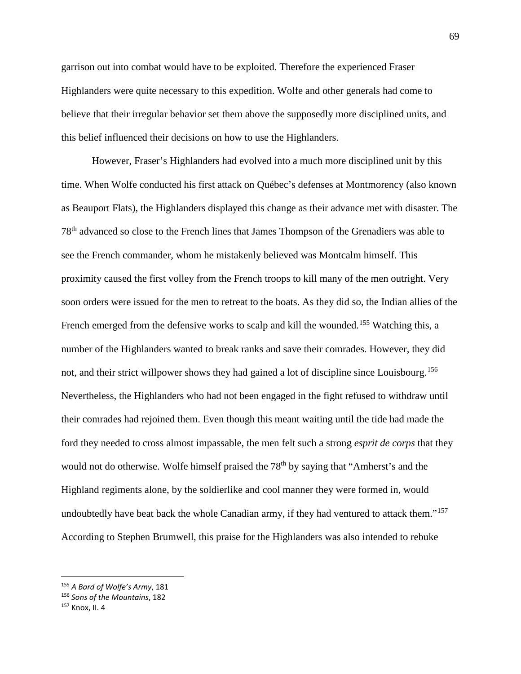garrison out into combat would have to be exploited. Therefore the experienced Fraser Highlanders were quite necessary to this expedition. Wolfe and other generals had come to believe that their irregular behavior set them above the supposedly more disciplined units, and this belief influenced their decisions on how to use the Highlanders.

However, Fraser's Highlanders had evolved into a much more disciplined unit by this time. When Wolfe conducted his first attack on Québec's defenses at Montmorency (also known as Beauport Flats), the Highlanders displayed this change as their advance met with disaster. The 78th advanced so close to the French lines that James Thompson of the Grenadiers was able to see the French commander, whom he mistakenly believed was Montcalm himself. This proximity caused the first volley from the French troops to kill many of the men outright. Very soon orders were issued for the men to retreat to the boats. As they did so, the Indian allies of the French emerged from the defensive works to scalp and kill the wounded.<sup>[155](#page-71-0)</sup> Watching this, a number of the Highlanders wanted to break ranks and save their comrades. However, they did not, and their strict willpower shows they had gained a lot of discipline since Louisbourg. [156](#page-71-1) Nevertheless, the Highlanders who had not been engaged in the fight refused to withdraw until their comrades had rejoined them. Even though this meant waiting until the tide had made the ford they needed to cross almost impassable, the men felt such a strong *esprit de corps* that they would not do otherwise. Wolfe himself praised the 78<sup>th</sup> by saying that "Amherst's and the Highland regiments alone, by the soldierlike and cool manner they were formed in, would undoubtedly have beat back the whole Canadian army, if they had ventured to attack them."<sup>[157](#page-71-2)</sup> According to Stephen Brumwell, this praise for the Highlanders was also intended to rebuke

<span id="page-71-0"></span><sup>155</sup> *A Bard of Wolfe's Army*, 181

<span id="page-71-1"></span><sup>156</sup> *Sons of the Mountains*, 182

<span id="page-71-2"></span><sup>157</sup> Knox, II. 4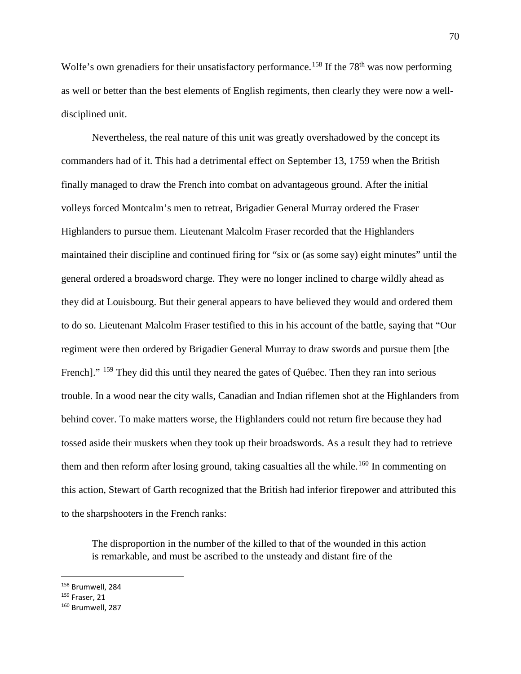Wolfe's own grenadiers for their unsatisfactory performance.<sup>[158](#page-72-0)</sup> If the 78<sup>th</sup> was now performing as well or better than the best elements of English regiments, then clearly they were now a welldisciplined unit.

Nevertheless, the real nature of this unit was greatly overshadowed by the concept its commanders had of it. This had a detrimental effect on September 13, 1759 when the British finally managed to draw the French into combat on advantageous ground. After the initial volleys forced Montcalm's men to retreat, Brigadier General Murray ordered the Fraser Highlanders to pursue them. Lieutenant Malcolm Fraser recorded that the Highlanders maintained their discipline and continued firing for "six or (as some say) eight minutes" until the general ordered a broadsword charge. They were no longer inclined to charge wildly ahead as they did at Louisbourg. But their general appears to have believed they would and ordered them to do so. Lieutenant Malcolm Fraser testified to this in his account of the battle, saying that "Our regiment were then ordered by Brigadier General Murray to draw swords and pursue them [the French]." <sup>[159](#page-72-1)</sup> They did this until they neared the gates of Québec. Then they ran into serious trouble. In a wood near the city walls, Canadian and Indian riflemen shot at the Highlanders from behind cover. To make matters worse, the Highlanders could not return fire because they had tossed aside their muskets when they took up their broadswords. As a result they had to retrieve them and then reform after losing ground, taking casualties all the while.<sup>[160](#page-72-2)</sup> In commenting on this action, Stewart of Garth recognized that the British had inferior firepower and attributed this to the sharpshooters in the French ranks:

The disproportion in the number of the killed to that of the wounded in this action is remarkable, and must be ascribed to the unsteady and distant fire of the

<span id="page-72-0"></span><sup>158</sup> Brumwell, 284

<span id="page-72-1"></span> $159$  Fraser, 21

<span id="page-72-2"></span><sup>160</sup> Brumwell, 287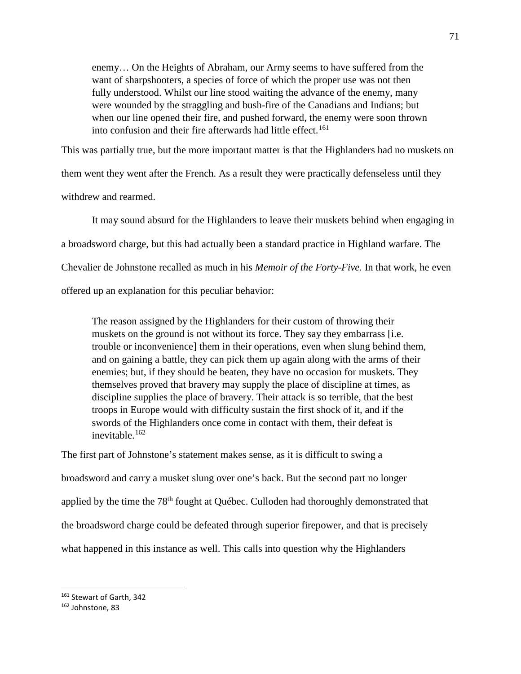enemy… On the Heights of Abraham, our Army seems to have suffered from the want of sharpshooters, a species of force of which the proper use was not then fully understood. Whilst our line stood waiting the advance of the enemy, many were wounded by the straggling and bush-fire of the Canadians and Indians; but when our line opened their fire, and pushed forward, the enemy were soon thrown into confusion and their fire afterwards had little effect.<sup>[161](#page-73-0)</sup>

This was partially true, but the more important matter is that the Highlanders had no muskets on them went they went after the French. As a result they were practically defenseless until they withdrew and rearmed.

It may sound absurd for the Highlanders to leave their muskets behind when engaging in a broadsword charge, but this had actually been a standard practice in Highland warfare. The Chevalier de Johnstone recalled as much in his *Memoir of the Forty-Five.* In that work, he even offered up an explanation for this peculiar behavior:

The reason assigned by the Highlanders for their custom of throwing their muskets on the ground is not without its force. They say they embarrass [i.e. trouble or inconvenience] them in their operations, even when slung behind them, and on gaining a battle, they can pick them up again along with the arms of their enemies; but, if they should be beaten, they have no occasion for muskets. They themselves proved that bravery may supply the place of discipline at times, as discipline supplies the place of bravery. Their attack is so terrible, that the best troops in Europe would with difficulty sustain the first shock of it, and if the swords of the Highlanders once come in contact with them, their defeat is inevitable.[162](#page-73-1)

The first part of Johnstone's statement makes sense, as it is difficult to swing a broadsword and carry a musket slung over one's back. But the second part no longer applied by the time the 78<sup>th</sup> fought at Québec. Culloden had thoroughly demonstrated that the broadsword charge could be defeated through superior firepower, and that is precisely what happened in this instance as well. This calls into question why the Highlanders

<span id="page-73-0"></span><sup>161</sup> Stewart of Garth, 342

<span id="page-73-1"></span><sup>162</sup> Johnstone, 83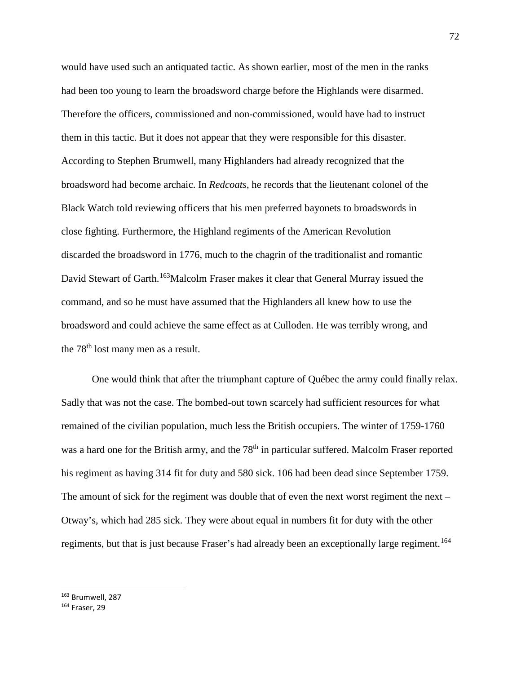would have used such an antiquated tactic. As shown earlier, most of the men in the ranks had been too young to learn the broadsword charge before the Highlands were disarmed. Therefore the officers, commissioned and non-commissioned, would have had to instruct them in this tactic. But it does not appear that they were responsible for this disaster. According to Stephen Brumwell, many Highlanders had already recognized that the broadsword had become archaic. In *Redcoats*, he records that the lieutenant colonel of the Black Watch told reviewing officers that his men preferred bayonets to broadswords in close fighting. Furthermore, the Highland regiments of the American Revolution discarded the broadsword in 1776, much to the chagrin of the traditionalist and romantic David Stewart of Garth.<sup>[163](#page-74-0)</sup>Malcolm Fraser makes it clear that General Murray issued the command, and so he must have assumed that the Highlanders all knew how to use the broadsword and could achieve the same effect as at Culloden. He was terribly wrong, and the 78<sup>th</sup> lost many men as a result.

One would think that after the triumphant capture of Québec the army could finally relax. Sadly that was not the case. The bombed-out town scarcely had sufficient resources for what remained of the civilian population, much less the British occupiers. The winter of 1759-1760 was a hard one for the British army, and the 78<sup>th</sup> in particular suffered. Malcolm Fraser reported his regiment as having 314 fit for duty and 580 sick. 106 had been dead since September 1759. The amount of sick for the regiment was double that of even the next worst regiment the next – Otway's, which had 285 sick. They were about equal in numbers fit for duty with the other regiments, but that is just because Fraser's had already been an exceptionally large regiment.<sup>[164](#page-74-1)</sup>

<span id="page-74-0"></span><sup>163</sup> Brumwell, 287

<span id="page-74-1"></span><sup>164</sup> Fraser, 29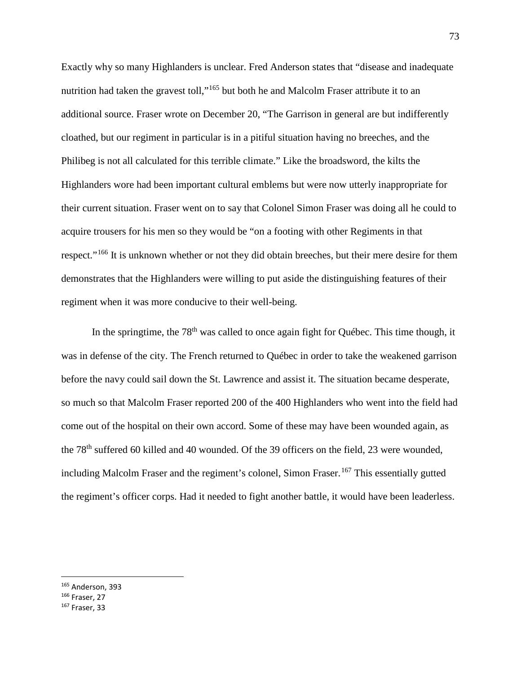Exactly why so many Highlanders is unclear. Fred Anderson states that "disease and inadequate nutrition had taken the gravest toll,"[165](#page-75-0) but both he and Malcolm Fraser attribute it to an additional source. Fraser wrote on December 20, "The Garrison in general are but indifferently cloathed, but our regiment in particular is in a pitiful situation having no breeches, and the Philibeg is not all calculated for this terrible climate." Like the broadsword, the kilts the Highlanders wore had been important cultural emblems but were now utterly inappropriate for their current situation. Fraser went on to say that Colonel Simon Fraser was doing all he could to acquire trousers for his men so they would be "on a footing with other Regiments in that respect."[166](#page-75-1) It is unknown whether or not they did obtain breeches, but their mere desire for them demonstrates that the Highlanders were willing to put aside the distinguishing features of their regiment when it was more conducive to their well-being.

In the springtime, the  $78<sup>th</sup>$  was called to once again fight for Québec. This time though, it was in defense of the city. The French returned to Québec in order to take the weakened garrison before the navy could sail down the St. Lawrence and assist it. The situation became desperate, so much so that Malcolm Fraser reported 200 of the 400 Highlanders who went into the field had come out of the hospital on their own accord. Some of these may have been wounded again, as the 78<sup>th</sup> suffered 60 killed and 40 wounded. Of the 39 officers on the field, 23 were wounded, including Malcolm Fraser and the regiment's colonel, Simon Fraser.<sup>[167](#page-75-2)</sup> This essentially gutted the regiment's officer corps. Had it needed to fight another battle, it would have been leaderless.

<span id="page-75-0"></span><sup>165</sup> Anderson, 393

<span id="page-75-1"></span><sup>166</sup> Fraser, 27

<span id="page-75-2"></span><sup>167</sup> Fraser, 33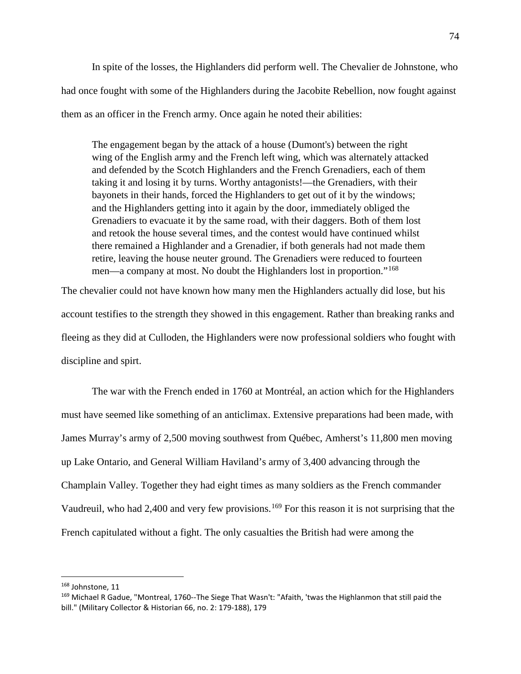In spite of the losses, the Highlanders did perform well. The Chevalier de Johnstone, who had once fought with some of the Highlanders during the Jacobite Rebellion, now fought against them as an officer in the French army. Once again he noted their abilities:

The engagement began by the attack of a house (Dumont's) between the right wing of the English army and the French left wing, which was alternately attacked and defended by the Scotch Highlanders and the French Grenadiers, each of them taking it and losing it by turns. Worthy antagonists!—the Grenadiers, with their bayonets in their hands, forced the Highlanders to get out of it by the windows; and the Highlanders getting into it again by the door, immediately obliged the Grenadiers to evacuate it by the same road, with their daggers. Both of them lost and retook the house several times, and the contest would have continued whilst there remained a Highlander and a Grenadier, if both generals had not made them retire, leaving the house neuter ground. The Grenadiers were reduced to fourteen men—a company at most. No doubt the Highlanders lost in proportion."<sup>[168](#page-76-0)</sup>

The chevalier could not have known how many men the Highlanders actually did lose, but his account testifies to the strength they showed in this engagement. Rather than breaking ranks and fleeing as they did at Culloden, the Highlanders were now professional soldiers who fought with discipline and spirt.

The war with the French ended in 1760 at Montréal, an action which for the Highlanders must have seemed like something of an anticlimax. Extensive preparations had been made, with James Murray's army of 2,500 moving southwest from Québec, Amherst's 11,800 men moving up Lake Ontario, and General William Haviland's army of 3,400 advancing through the Champlain Valley. Together they had eight times as many soldiers as the French commander Vaudreuil, who had 2,400 and very few provisions.<sup>[169](#page-76-1)</sup> For this reason it is not surprising that the French capitulated without a fight. The only casualties the British had were among the

<span id="page-76-0"></span><sup>&</sup>lt;sup>168</sup> Johnstone, 11

<span id="page-76-1"></span><sup>&</sup>lt;sup>169</sup> Michael R Gadue, "Montreal, 1760--The Siege That Wasn't: "Afaith, 'twas the Highlanmon that still paid the bill." (Military Collector & Historian 66, no. 2: 179-188), 179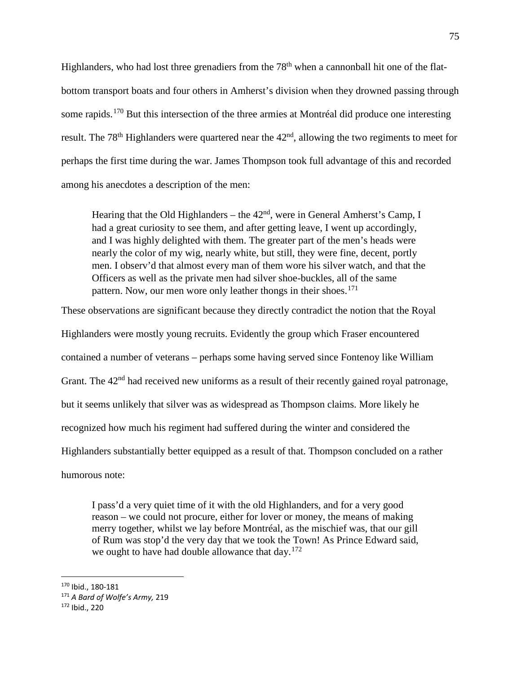Highlanders, who had lost three grenadiers from the  $78<sup>th</sup>$  when a cannonball hit one of the flatbottom transport boats and four others in Amherst's division when they drowned passing through some rapids.<sup>[170](#page-77-0)</sup> But this intersection of the three armies at Montréal did produce one interesting result. The 78<sup>th</sup> Highlanders were quartered near the  $42<sup>nd</sup>$ , allowing the two regiments to meet for perhaps the first time during the war. James Thompson took full advantage of this and recorded among his anecdotes a description of the men:

Hearing that the Old Highlanders – the  $42<sup>nd</sup>$ , were in General Amherst's Camp, I had a great curiosity to see them, and after getting leave, I went up accordingly, and I was highly delighted with them. The greater part of the men's heads were nearly the color of my wig, nearly white, but still, they were fine, decent, portly men. I observ'd that almost every man of them wore his silver watch, and that the Officers as well as the private men had silver shoe-buckles, all of the same pattern. Now, our men wore only leather thongs in their shoes.<sup>[171](#page-77-1)</sup>

These observations are significant because they directly contradict the notion that the Royal Highlanders were mostly young recruits. Evidently the group which Fraser encountered contained a number of veterans – perhaps some having served since Fontenoy like William Grant. The  $42<sup>nd</sup>$  had received new uniforms as a result of their recently gained royal patronage, but it seems unlikely that silver was as widespread as Thompson claims. More likely he recognized how much his regiment had suffered during the winter and considered the Highlanders substantially better equipped as a result of that. Thompson concluded on a rather humorous note:

I pass'd a very quiet time of it with the old Highlanders, and for a very good reason – we could not procure, either for lover or money, the means of making merry together, whilst we lay before Montréal, as the mischief was, that our gill of Rum was stop'd the very day that we took the Town! As Prince Edward said, we ought to have had double allowance that day. $172$ 

<span id="page-77-0"></span><sup>170</sup> Ibid., 180-181

<span id="page-77-1"></span><sup>171</sup> *A Bard of Wolfe's Army,* 219

<span id="page-77-2"></span><sup>172</sup> Ibid., 220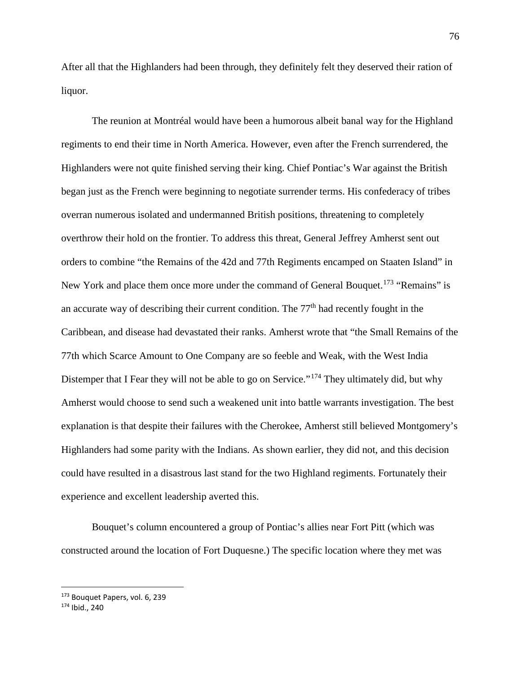After all that the Highlanders had been through, they definitely felt they deserved their ration of liquor.

The reunion at Montréal would have been a humorous albeit banal way for the Highland regiments to end their time in North America. However, even after the French surrendered, the Highlanders were not quite finished serving their king. Chief Pontiac's War against the British began just as the French were beginning to negotiate surrender terms. His confederacy of tribes overran numerous isolated and undermanned British positions, threatening to completely overthrow their hold on the frontier. To address this threat, General Jeffrey Amherst sent out orders to combine "the Remains of the 42d and 77th Regiments encamped on Staaten Island" in New York and place them once more under the command of General Bouquet.<sup>[173](#page-78-0)</sup> "Remains" is an accurate way of describing their current condition. The  $77<sup>th</sup>$  had recently fought in the Caribbean, and disease had devastated their ranks. Amherst wrote that "the Small Remains of the 77th which Scarce Amount to One Company are so feeble and Weak, with the West India Distemper that I Fear they will not be able to go on Service."[174](#page-78-1) They ultimately did, but why Amherst would choose to send such a weakened unit into battle warrants investigation. The best explanation is that despite their failures with the Cherokee, Amherst still believed Montgomery's Highlanders had some parity with the Indians. As shown earlier, they did not, and this decision could have resulted in a disastrous last stand for the two Highland regiments. Fortunately their experience and excellent leadership averted this.

Bouquet's column encountered a group of Pontiac's allies near Fort Pitt (which was constructed around the location of Fort Duquesne.) The specific location where they met was

<span id="page-78-0"></span><sup>173</sup> Bouquet Papers, vol. 6, 239

<span id="page-78-1"></span><sup>174</sup> Ibid., 240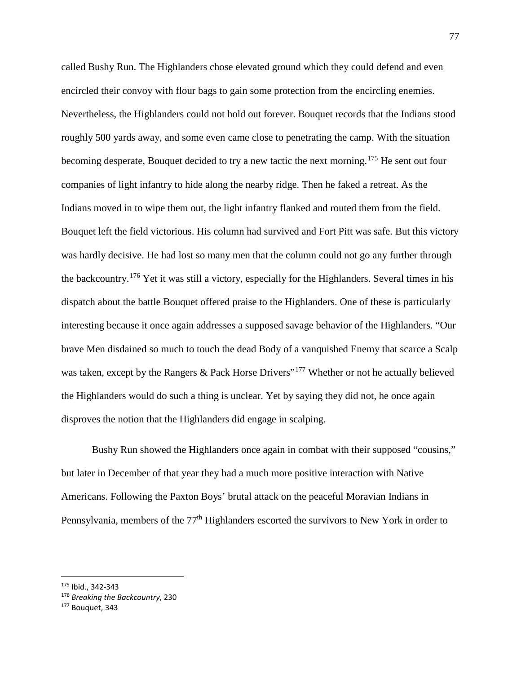called Bushy Run. The Highlanders chose elevated ground which they could defend and even encircled their convoy with flour bags to gain some protection from the encircling enemies. Nevertheless, the Highlanders could not hold out forever. Bouquet records that the Indians stood roughly 500 yards away, and some even came close to penetrating the camp. With the situation becoming desperate, Bouquet decided to try a new tactic the next morning.<sup>[175](#page-79-0)</sup> He sent out four companies of light infantry to hide along the nearby ridge. Then he faked a retreat. As the Indians moved in to wipe them out, the light infantry flanked and routed them from the field. Bouquet left the field victorious. His column had survived and Fort Pitt was safe. But this victory was hardly decisive. He had lost so many men that the column could not go any further through the backcountry.[176](#page-79-1) Yet it was still a victory, especially for the Highlanders. Several times in his dispatch about the battle Bouquet offered praise to the Highlanders. One of these is particularly interesting because it once again addresses a supposed savage behavior of the Highlanders. "Our brave Men disdained so much to touch the dead Body of a vanquished Enemy that scarce a Scalp was taken, except by the Rangers & Pack Horse Drivers"<sup>[177](#page-79-2)</sup> Whether or not he actually believed the Highlanders would do such a thing is unclear. Yet by saying they did not, he once again disproves the notion that the Highlanders did engage in scalping.

Bushy Run showed the Highlanders once again in combat with their supposed "cousins," but later in December of that year they had a much more positive interaction with Native Americans. Following the Paxton Boys' brutal attack on the peaceful Moravian Indians in Pennsylvania, members of the 77<sup>th</sup> Highlanders escorted the survivors to New York in order to

<span id="page-79-0"></span><sup>175</sup> Ibid., 342-343

<span id="page-79-1"></span><sup>176</sup> *Breaking the Backcountry*, 230

<span id="page-79-2"></span><sup>177</sup> Bouquet, 343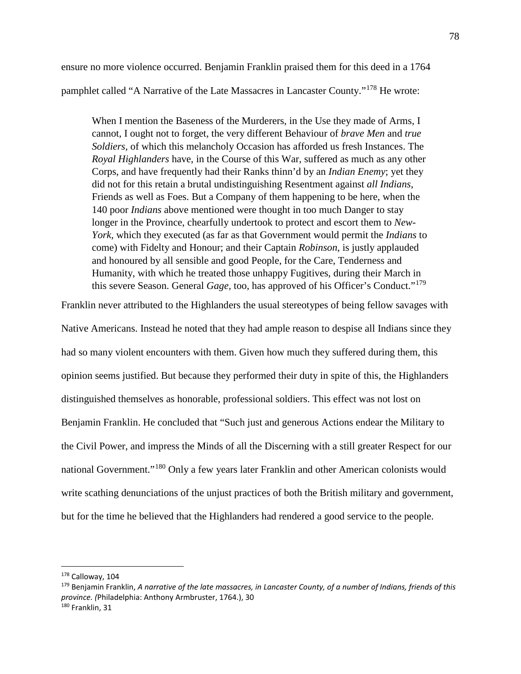ensure no more violence occurred. Benjamin Franklin praised them for this deed in a 1764 pamphlet called "A Narrative of the Late Massacres in Lancaster County."[178](#page-80-0) He wrote:

When I mention the Baseness of the Murderers, in the Use they made of Arms, I cannot, I ought not to forget, the very different Behaviour of *brave Men* and *true Soldiers,* of which this melancholy Occasion has afforded us fresh Instances. The *Royal Highlanders* have, in the Course of this War, suffered as much as any other Corps, and have frequently had their Ranks thinn'd by an *Indian Enemy*; yet they did not for this retain a brutal undistinguishing Resentment against *all Indians*, Friends as well as Foes. But a Company of them happening to be here, when the 140 poor *Indians* above mentioned were thought in too much Danger to stay longer in the Province, chearfully undertook to protect and escort them to *New-York*, which they executed (as far as that Government would permit the *Indians* to come) with Fidelty and Honour; and their Captain *Robinson*, is justly applauded and honoured by all sensible and good People, for the Care, Tenderness and Humanity, with which he treated those unhappy Fugitives, during their March in this severe Season. General *Gage,* too, has approved of his Officer's Conduct."[179](#page-80-1)

Franklin never attributed to the Highlanders the usual stereotypes of being fellow savages with

Native Americans. Instead he noted that they had ample reason to despise all Indians since they had so many violent encounters with them. Given how much they suffered during them, this opinion seems justified. But because they performed their duty in spite of this, the Highlanders distinguished themselves as honorable, professional soldiers. This effect was not lost on Benjamin Franklin. He concluded that "Such just and generous Actions endear the Military to the Civil Power, and impress the Minds of all the Discerning with a still greater Respect for our national Government."[180](#page-80-2) Only a few years later Franklin and other American colonists would write scathing denunciations of the unjust practices of both the British military and government, but for the time he believed that the Highlanders had rendered a good service to the people.

<span id="page-80-0"></span><sup>178</sup> Calloway, 104

<span id="page-80-2"></span><span id="page-80-1"></span><sup>179</sup> Benjamin Franklin, *A narrative of the late massacres, in Lancaster County, of a number of Indians, friends of this province. (*Philadelphia: Anthony Armbruster, 1764.), 30 <sup>180</sup> Franklin, 31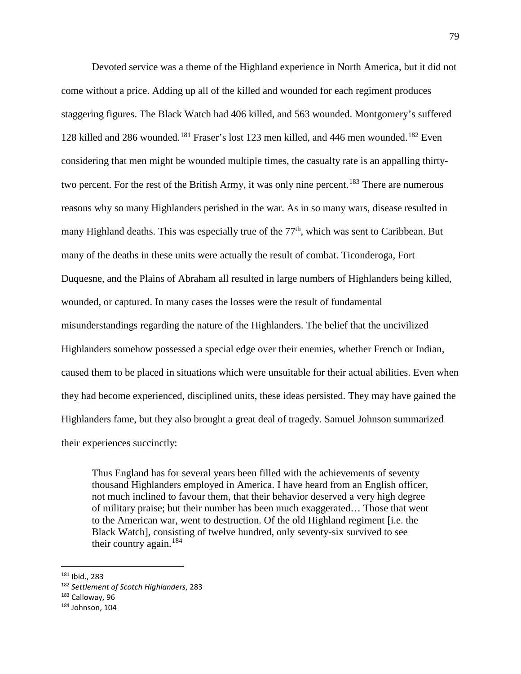Devoted service was a theme of the Highland experience in North America, but it did not come without a price. Adding up all of the killed and wounded for each regiment produces staggering figures. The Black Watch had 406 killed, and 563 wounded. Montgomery's suffered 128 killed and 286 wounded.<sup>[181](#page-81-0)</sup> Fraser's lost 123 men killed, and 446 men wounded.<sup>[182](#page-81-1)</sup> Even considering that men might be wounded multiple times, the casualty rate is an appalling thirtytwo percent. For the rest of the British Army, it was only nine percent. [183](#page-81-2) There are numerous reasons why so many Highlanders perished in the war. As in so many wars, disease resulted in many Highland deaths. This was especially true of the  $77<sup>th</sup>$ , which was sent to Caribbean. But many of the deaths in these units were actually the result of combat. Ticonderoga, Fort Duquesne, and the Plains of Abraham all resulted in large numbers of Highlanders being killed, wounded, or captured. In many cases the losses were the result of fundamental misunderstandings regarding the nature of the Highlanders. The belief that the uncivilized Highlanders somehow possessed a special edge over their enemies, whether French or Indian, caused them to be placed in situations which were unsuitable for their actual abilities. Even when they had become experienced, disciplined units, these ideas persisted. They may have gained the Highlanders fame, but they also brought a great deal of tragedy. Samuel Johnson summarized their experiences succinctly:

Thus England has for several years been filled with the achievements of seventy thousand Highlanders employed in America. I have heard from an English officer, not much inclined to favour them, that their behavior deserved a very high degree of military praise; but their number has been much exaggerated… Those that went to the American war, went to destruction. Of the old Highland regiment [i.e. the Black Watch], consisting of twelve hundred, only seventy-six survived to see their country again.<sup>[184](#page-81-3)</sup>

<span id="page-81-0"></span><sup>181</sup> Ibid., 283

<span id="page-81-1"></span><sup>182</sup> *Settlement of Scotch Highlanders*, 283

<span id="page-81-2"></span><sup>183</sup> Calloway, 96

<span id="page-81-3"></span> $184$  Johnson, 104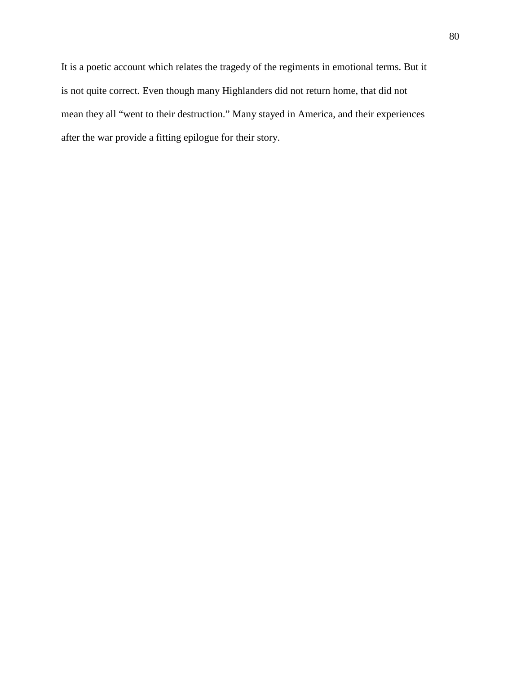It is a poetic account which relates the tragedy of the regiments in emotional terms. But it is not quite correct. Even though many Highlanders did not return home, that did not mean they all "went to their destruction." Many stayed in America, and their experiences after the war provide a fitting epilogue for their story.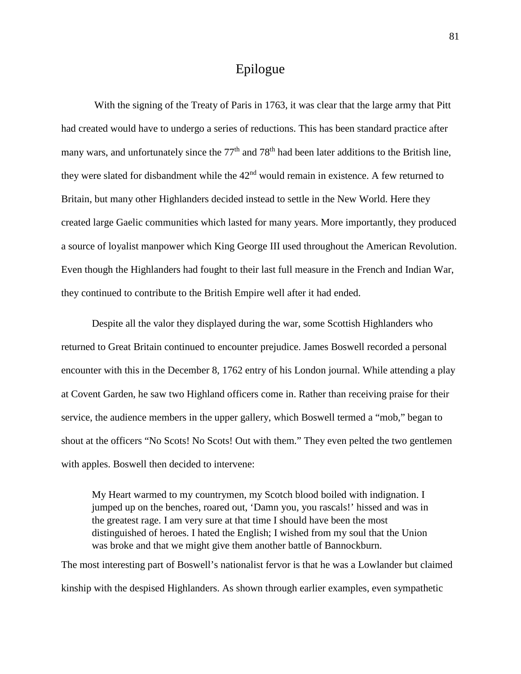## Epilogue

With the signing of the Treaty of Paris in 1763, it was clear that the large army that Pitt had created would have to undergo a series of reductions. This has been standard practice after many wars, and unfortunately since the 77<sup>th</sup> and 78<sup>th</sup> had been later additions to the British line, they were slated for disbandment while the  $42<sup>nd</sup>$  would remain in existence. A few returned to Britain, but many other Highlanders decided instead to settle in the New World. Here they created large Gaelic communities which lasted for many years. More importantly, they produced a source of loyalist manpower which King George III used throughout the American Revolution. Even though the Highlanders had fought to their last full measure in the French and Indian War, they continued to contribute to the British Empire well after it had ended.

Despite all the valor they displayed during the war, some Scottish Highlanders who returned to Great Britain continued to encounter prejudice. James Boswell recorded a personal encounter with this in the December 8, 1762 entry of his London journal. While attending a play at Covent Garden, he saw two Highland officers come in. Rather than receiving praise for their service, the audience members in the upper gallery, which Boswell termed a "mob," began to shout at the officers "No Scots! No Scots! Out with them." They even pelted the two gentlemen with apples. Boswell then decided to intervene:

My Heart warmed to my countrymen, my Scotch blood boiled with indignation. I jumped up on the benches, roared out, 'Damn you, you rascals!' hissed and was in the greatest rage. I am very sure at that time I should have been the most distinguished of heroes. I hated the English; I wished from my soul that the Union was broke and that we might give them another battle of Bannockburn.

The most interesting part of Boswell's nationalist fervor is that he was a Lowlander but claimed kinship with the despised Highlanders. As shown through earlier examples, even sympathetic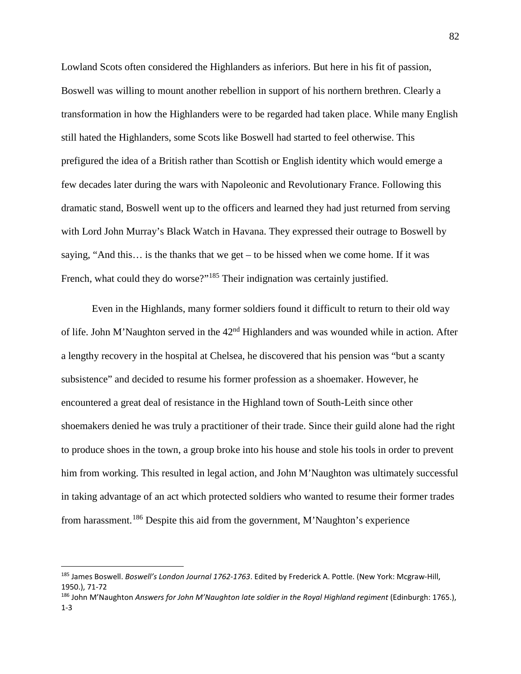Lowland Scots often considered the Highlanders as inferiors. But here in his fit of passion, Boswell was willing to mount another rebellion in support of his northern brethren. Clearly a transformation in how the Highlanders were to be regarded had taken place. While many English still hated the Highlanders, some Scots like Boswell had started to feel otherwise. This prefigured the idea of a British rather than Scottish or English identity which would emerge a few decades later during the wars with Napoleonic and Revolutionary France. Following this dramatic stand, Boswell went up to the officers and learned they had just returned from serving with Lord John Murray's Black Watch in Havana. They expressed their outrage to Boswell by saying, "And this… is the thanks that we get – to be hissed when we come home. If it was French, what could they do worse?"<sup>[185](#page-84-0)</sup> Their indignation was certainly justified.

Even in the Highlands, many former soldiers found it difficult to return to their old way of life. John M'Naughton served in the 42<sup>nd</sup> Highlanders and was wounded while in action. After a lengthy recovery in the hospital at Chelsea, he discovered that his pension was "but a scanty subsistence" and decided to resume his former profession as a shoemaker. However, he encountered a great deal of resistance in the Highland town of South-Leith since other shoemakers denied he was truly a practitioner of their trade. Since their guild alone had the right to produce shoes in the town, a group broke into his house and stole his tools in order to prevent him from working. This resulted in legal action, and John M'Naughton was ultimately successful in taking advantage of an act which protected soldiers who wanted to resume their former trades from harassment.[186](#page-84-1) Despite this aid from the government, M'Naughton's experience

<span id="page-84-0"></span><sup>185</sup> James Boswell. *Boswell's London Journal 1762-1763*. Edited by Frederick A. Pottle. (New York: Mcgraw-Hill, 1950.), 71-72

<span id="page-84-1"></span><sup>186</sup> John M'Naughton *Answers for John M'Naughton late soldier in the Royal Highland regiment* (Edinburgh: 1765.), 1-3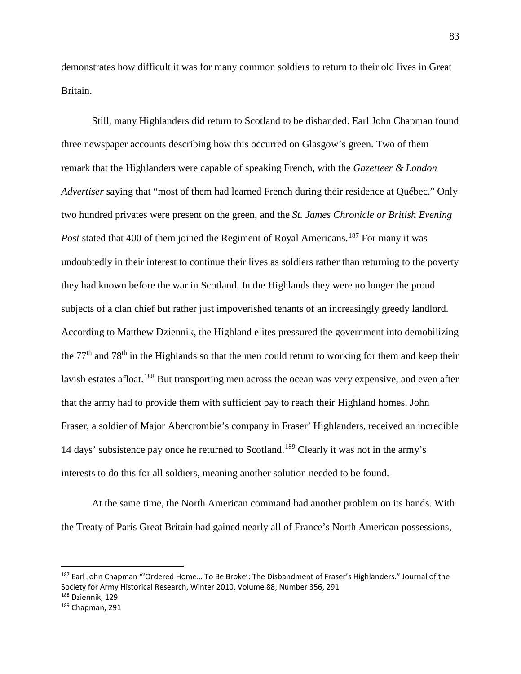demonstrates how difficult it was for many common soldiers to return to their old lives in Great Britain.

Still, many Highlanders did return to Scotland to be disbanded. Earl John Chapman found three newspaper accounts describing how this occurred on Glasgow's green. Two of them remark that the Highlanders were capable of speaking French, with the *Gazetteer & London Advertiser* saying that "most of them had learned French during their residence at Québec." Only two hundred privates were present on the green, and the *St. James Chronicle or British Evening Post* stated that 400 of them joined the Regiment of Royal Americans.<sup>[187](#page-85-0)</sup> For many it was undoubtedly in their interest to continue their lives as soldiers rather than returning to the poverty they had known before the war in Scotland. In the Highlands they were no longer the proud subjects of a clan chief but rather just impoverished tenants of an increasingly greedy landlord. According to Matthew Dziennik, the Highland elites pressured the government into demobilizing the 77<sup>th</sup> and 78<sup>th</sup> in the Highlands so that the men could return to working for them and keep their lavish estates afloat.<sup>[188](#page-85-1)</sup> But transporting men across the ocean was very expensive, and even after that the army had to provide them with sufficient pay to reach their Highland homes. John Fraser, a soldier of Major Abercrombie's company in Fraser' Highlanders, received an incredible 14 days' subsistence pay once he returned to Scotland.<sup>[189](#page-85-2)</sup> Clearly it was not in the army's interests to do this for all soldiers, meaning another solution needed to be found.

At the same time, the North American command had another problem on its hands. With the Treaty of Paris Great Britain had gained nearly all of France's North American possessions,

<span id="page-85-2"></span><span id="page-85-1"></span>

<span id="page-85-0"></span><sup>&</sup>lt;sup>187</sup> Earl John Chapman "'Ordered Home... To Be Broke': The Disbandment of Fraser's Highlanders." Journal of the Society for Army Historical Research, Winter 2010, Volume 88, Number 356, 291 <sup>188</sup> Dziennik, 129

 $189$  Chapman, 291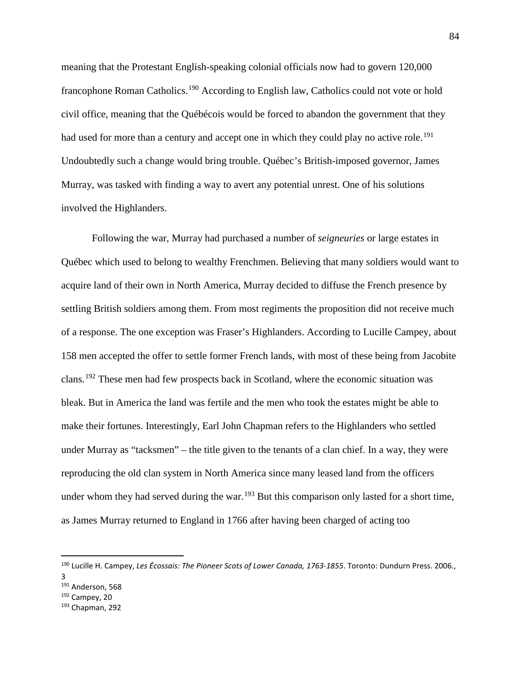meaning that the Protestant English-speaking colonial officials now had to govern 120,000 francophone Roman Catholics.[190](#page-86-0) According to English law, Catholics could not vote or hold civil office, meaning that the Québécois would be forced to abandon the government that they had used for more than a century and accept one in which they could play no active role.<sup>[191](#page-86-1)</sup> Undoubtedly such a change would bring trouble. Québec's British-imposed governor, James Murray, was tasked with finding a way to avert any potential unrest. One of his solutions involved the Highlanders.

Following the war, Murray had purchased a number of *seigneuries* or large estates in Québec which used to belong to wealthy Frenchmen. Believing that many soldiers would want to acquire land of their own in North America, Murray decided to diffuse the French presence by settling British soldiers among them. From most regiments the proposition did not receive much of a response. The one exception was Fraser's Highlanders. According to Lucille Campey, about 158 men accepted the offer to settle former French lands, with most of these being from Jacobite clans.[192](#page-86-2) These men had few prospects back in Scotland, where the economic situation was bleak. But in America the land was fertile and the men who took the estates might be able to make their fortunes. Interestingly, Earl John Chapman refers to the Highlanders who settled under Murray as "tacksmen" – the title given to the tenants of a clan chief. In a way, they were reproducing the old clan system in North America since many leased land from the officers under whom they had served during the war.<sup>[193](#page-86-3)</sup> But this comparison only lasted for a short time, as James Murray returned to England in 1766 after having been charged of acting too

<span id="page-86-0"></span><sup>&</sup>lt;sup>190</sup> Lucille H. Campey, Les Écossais: The Pioneer Scots of Lower Canada, 1763-1855. Toronto: Dundurn Press. 2006., 3

<span id="page-86-1"></span><sup>&</sup>lt;sup>191</sup> Anderson, 568

<span id="page-86-2"></span><sup>192</sup> Campey, 20

<span id="page-86-3"></span> $193$  Chapman, 292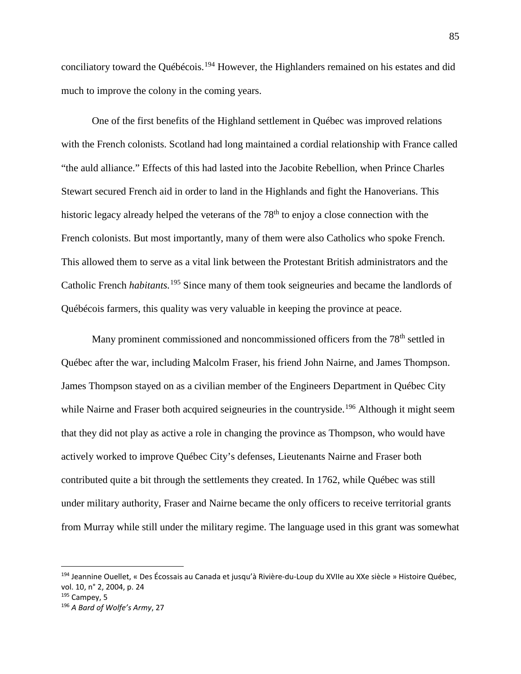conciliatory toward the Québécois.<sup>[194](#page-87-0)</sup> However, the Highlanders remained on his estates and did much to improve the colony in the coming years.

One of the first benefits of the Highland settlement in Québec was improved relations with the French colonists. Scotland had long maintained a cordial relationship with France called "the auld alliance." Effects of this had lasted into the Jacobite Rebellion, when Prince Charles Stewart secured French aid in order to land in the Highlands and fight the Hanoverians. This historic legacy already helped the veterans of the  $78<sup>th</sup>$  to enjoy a close connection with the French colonists. But most importantly, many of them were also Catholics who spoke French. This allowed them to serve as a vital link between the Protestant British administrators and the Catholic French *habitants.*[195](#page-87-1) Since many of them took seigneuries and became the landlords of Québécois farmers, this quality was very valuable in keeping the province at peace.

Many prominent commissioned and noncommissioned officers from the  $78<sup>th</sup>$  settled in Québec after the war, including Malcolm Fraser, his friend John Nairne, and James Thompson. James Thompson stayed on as a civilian member of the Engineers Department in Québec City while Nairne and Fraser both acquired seigneuries in the countryside.<sup>[196](#page-87-2)</sup> Although it might seem that they did not play as active a role in changing the province as Thompson, who would have actively worked to improve Québec City's defenses, Lieutenants Nairne and Fraser both contributed quite a bit through the settlements they created. In 1762, while Québec was still under military authority, Fraser and Nairne became the only officers to receive territorial grants from Murray while still under the military regime. The language used in this grant was somewhat

<span id="page-87-0"></span><sup>&</sup>lt;sup>194</sup> Jeannine Ouellet, « Des Écossais au Canada et jusqu'à Rivière-du-Loup du XVIIe au XXe siècle » Histoire Québec, vol. 10, n° 2, 2004, p. 24

<span id="page-87-1"></span><sup>195</sup> Campey, 5

<span id="page-87-2"></span><sup>196</sup> *A Bard of Wolfe's Army*, 27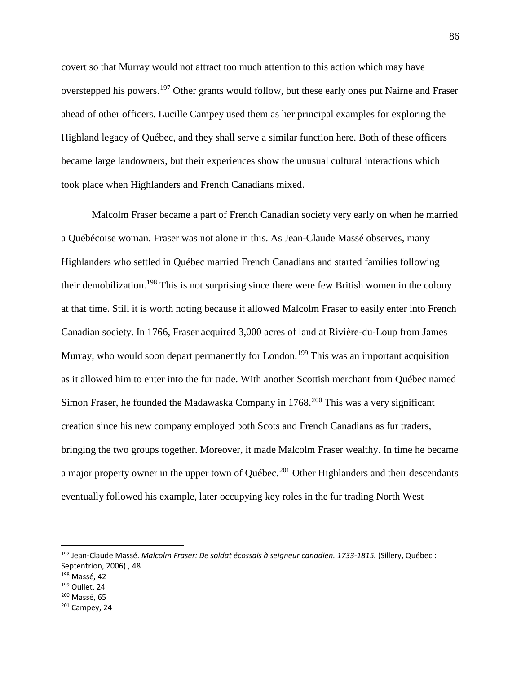covert so that Murray would not attract too much attention to this action which may have overstepped his powers.<sup>[197](#page-88-0)</sup> Other grants would follow, but these early ones put Nairne and Fraser ahead of other officers. Lucille Campey used them as her principal examples for exploring the Highland legacy of Québec, and they shall serve a similar function here. Both of these officers became large landowners, but their experiences show the unusual cultural interactions which took place when Highlanders and French Canadians mixed.

Malcolm Fraser became a part of French Canadian society very early on when he married a Québécoise woman. Fraser was not alone in this. As Jean-Claude Massé observes, many Highlanders who settled in Québec married French Canadians and started families following their demobilization.<sup>[198](#page-88-1)</sup> This is not surprising since there were few British women in the colony at that time. Still it is worth noting because it allowed Malcolm Fraser to easily enter into French Canadian society. In 1766, Fraser acquired 3,000 acres of land at Rivière-du-Loup from James Murray, who would soon depart permanently for London.<sup>[199](#page-88-2)</sup> This was an important acquisition as it allowed him to enter into the fur trade. With another Scottish merchant from Québec named Simon Fraser, he founded the Madawaska Company in 1768.<sup>[200](#page-88-3)</sup> This was a very significant creation since his new company employed both Scots and French Canadians as fur traders, bringing the two groups together. Moreover, it made Malcolm Fraser wealthy. In time he became a major property owner in the upper town of Québec.<sup>[201](#page-88-4)</sup> Other Highlanders and their descendants eventually followed his example, later occupying key roles in the fur trading North West

 $\overline{a}$ 

<span id="page-88-3"></span><sup>200</sup> Massé, 65

<span id="page-88-0"></span><sup>197</sup> Jean-Claude Massé. *Malcolm Fraser: De soldat écossais à seigneur canadien. 1733-1815.* (Sillery, Québec : Septentrion, 2006)., 48

<span id="page-88-1"></span><sup>198</sup> Massé, 42

<span id="page-88-2"></span><sup>199</sup> Oullet, 24

<span id="page-88-4"></span><sup>201</sup> Campey, 24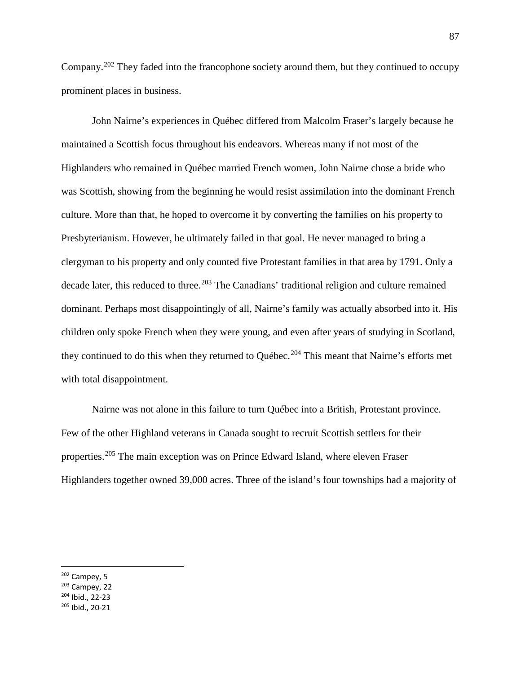Company.[202](#page-89-0) They faded into the francophone society around them, but they continued to occupy prominent places in business.

John Nairne's experiences in Québec differed from Malcolm Fraser's largely because he maintained a Scottish focus throughout his endeavors. Whereas many if not most of the Highlanders who remained in Québec married French women, John Nairne chose a bride who was Scottish, showing from the beginning he would resist assimilation into the dominant French culture. More than that, he hoped to overcome it by converting the families on his property to Presbyterianism. However, he ultimately failed in that goal. He never managed to bring a clergyman to his property and only counted five Protestant families in that area by 1791. Only a decade later, this reduced to three.<sup>[203](#page-89-1)</sup> The Canadians' traditional religion and culture remained dominant. Perhaps most disappointingly of all, Nairne's family was actually absorbed into it. His children only spoke French when they were young, and even after years of studying in Scotland, they continued to do this when they returned to Québec.<sup>[204](#page-89-2)</sup> This meant that Nairne's efforts met with total disappointment.

Nairne was not alone in this failure to turn Québec into a British, Protestant province. Few of the other Highland veterans in Canada sought to recruit Scottish settlers for their properties.[205](#page-89-3) The main exception was on Prince Edward Island, where eleven Fraser Highlanders together owned 39,000 acres. Three of the island's four townships had a majority of

<span id="page-89-0"></span><sup>202</sup> Campey, 5

<span id="page-89-1"></span><sup>203</sup> Campey, 22

<span id="page-89-2"></span><sup>204</sup> Ibid., 22-23

<span id="page-89-3"></span><sup>205</sup> Ibid., 20-21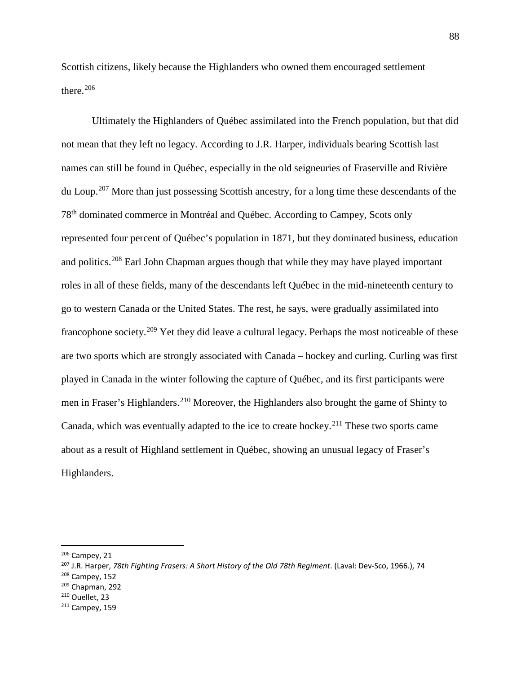Scottish citizens, likely because the Highlanders who owned them encouraged settlement there.[206](#page-90-0)

Ultimately the Highlanders of Québec assimilated into the French population, but that did not mean that they left no legacy. According to J.R. Harper, individuals bearing Scottish last names can still be found in Québec, especially in the old seigneuries of Fraserville and Rivière du Loup.[207](#page-90-1) More than just possessing Scottish ancestry, for a long time these descendants of the 78th dominated commerce in Montréal and Québec. According to Campey, Scots only represented four percent of Québec's population in 1871, but they dominated business, education and politics.[208](#page-90-2) Earl John Chapman argues though that while they may have played important roles in all of these fields, many of the descendants left Québec in the mid-nineteenth century to go to western Canada or the United States. The rest, he says, were gradually assimilated into francophone society.[209](#page-90-3) Yet they did leave a cultural legacy. Perhaps the most noticeable of these are two sports which are strongly associated with Canada – hockey and curling. Curling was first played in Canada in the winter following the capture of Québec, and its first participants were men in Fraser's Highlanders.[210](#page-90-4) Moreover, the Highlanders also brought the game of Shinty to Canada, which was eventually adapted to the ice to create hockey.<sup>[211](#page-90-5)</sup> These two sports came about as a result of Highland settlement in Québec, showing an unusual legacy of Fraser's Highlanders.

 $\overline{a}$ 

<span id="page-90-4"></span><sup>210</sup> Ouellet, 23

<span id="page-90-0"></span><sup>206</sup> Campey, 21

<span id="page-90-1"></span><sup>207</sup> J.R. Harper, *78th Fighting Frasers: A Short History of the Old 78th Regiment*. (Laval: Dev-Sco, 1966.), 74

<span id="page-90-2"></span><sup>208</sup> Campey, 152

<span id="page-90-3"></span> $209$  Chapman, 292

<span id="page-90-5"></span><sup>211</sup> Campey, 159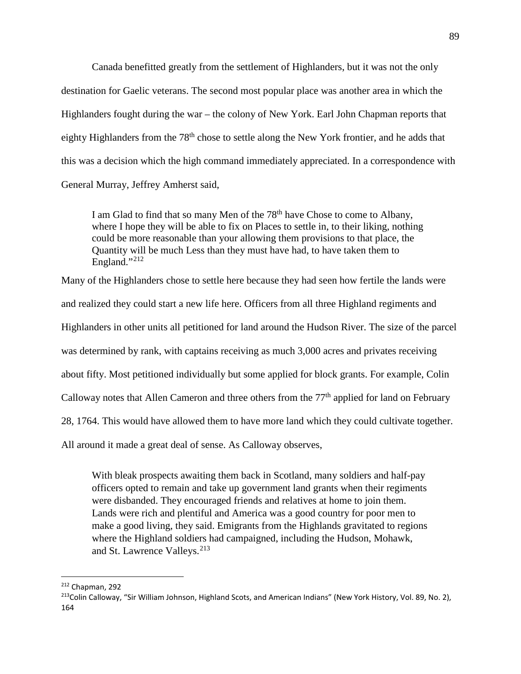Canada benefitted greatly from the settlement of Highlanders, but it was not the only destination for Gaelic veterans. The second most popular place was another area in which the Highlanders fought during the war – the colony of New York. Earl John Chapman reports that eighty Highlanders from the 78<sup>th</sup> chose to settle along the New York frontier, and he adds that this was a decision which the high command immediately appreciated. In a correspondence with General Murray, Jeffrey Amherst said,

I am Glad to find that so many Men of the  $78<sup>th</sup>$  have Chose to come to Albany, where I hope they will be able to fix on Places to settle in, to their liking, nothing could be more reasonable than your allowing them provisions to that place, the Quantity will be much Less than they must have had, to have taken them to England."<sup>[212](#page-91-0)</sup>

Many of the Highlanders chose to settle here because they had seen how fertile the lands were and realized they could start a new life here. Officers from all three Highland regiments and Highlanders in other units all petitioned for land around the Hudson River. The size of the parcel was determined by rank, with captains receiving as much 3,000 acres and privates receiving about fifty. Most petitioned individually but some applied for block grants. For example, Colin Calloway notes that Allen Cameron and three others from the  $77<sup>th</sup>$  applied for land on February 28, 1764. This would have allowed them to have more land which they could cultivate together. All around it made a great deal of sense. As Calloway observes,

With bleak prospects awaiting them back in Scotland, many soldiers and half-pay officers opted to remain and take up government land grants when their regiments were disbanded. They encouraged friends and relatives at home to join them. Lands were rich and plentiful and America was a good country for poor men to make a good living, they said. Emigrants from the Highlands gravitated to regions where the Highland soldiers had campaigned, including the Hudson, Mohawk, and St. Lawrence Valleys.<sup>[213](#page-91-1)</sup>

<span id="page-91-0"></span><sup>212</sup> Chapman, 292

<span id="page-91-1"></span><sup>&</sup>lt;sup>213</sup>Colin Calloway, "Sir William Johnson, Highland Scots, and American Indians" (New York History, Vol. 89, No. 2), 164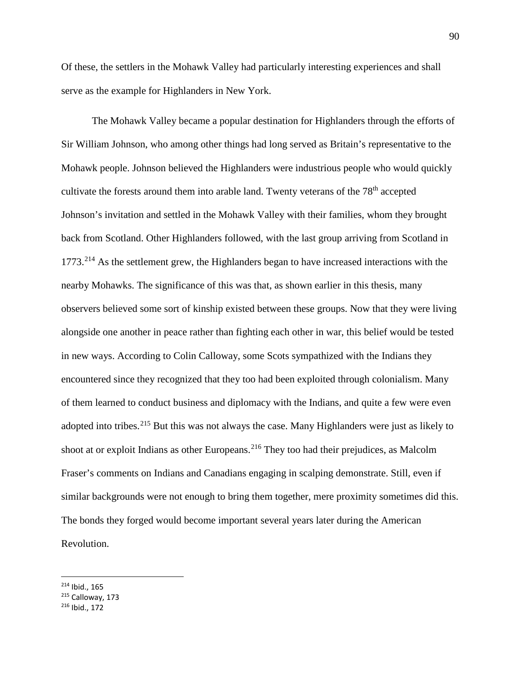Of these, the settlers in the Mohawk Valley had particularly interesting experiences and shall serve as the example for Highlanders in New York.

The Mohawk Valley became a popular destination for Highlanders through the efforts of Sir William Johnson, who among other things had long served as Britain's representative to the Mohawk people. Johnson believed the Highlanders were industrious people who would quickly cultivate the forests around them into arable land. Twenty veterans of the  $78<sup>th</sup>$  accepted Johnson's invitation and settled in the Mohawk Valley with their families, whom they brought back from Scotland. Other Highlanders followed, with the last group arriving from Scotland in 1773.[214](#page-92-0) As the settlement grew, the Highlanders began to have increased interactions with the nearby Mohawks. The significance of this was that, as shown earlier in this thesis, many observers believed some sort of kinship existed between these groups. Now that they were living alongside one another in peace rather than fighting each other in war, this belief would be tested in new ways. According to Colin Calloway, some Scots sympathized with the Indians they encountered since they recognized that they too had been exploited through colonialism. Many of them learned to conduct business and diplomacy with the Indians, and quite a few were even adopted into tribes.<sup>[215](#page-92-1)</sup> But this was not always the case. Many Highlanders were just as likely to shoot at or exploit Indians as other Europeans.<sup>[216](#page-92-2)</sup> They too had their prejudices, as Malcolm Fraser's comments on Indians and Canadians engaging in scalping demonstrate. Still, even if similar backgrounds were not enough to bring them together, mere proximity sometimes did this. The bonds they forged would become important several years later during the American Revolution.

<span id="page-92-0"></span><sup>214</sup> Ibid., 165

<span id="page-92-1"></span><sup>&</sup>lt;sup>215</sup> Calloway, 173

<span id="page-92-2"></span> $216$  Ibid., 172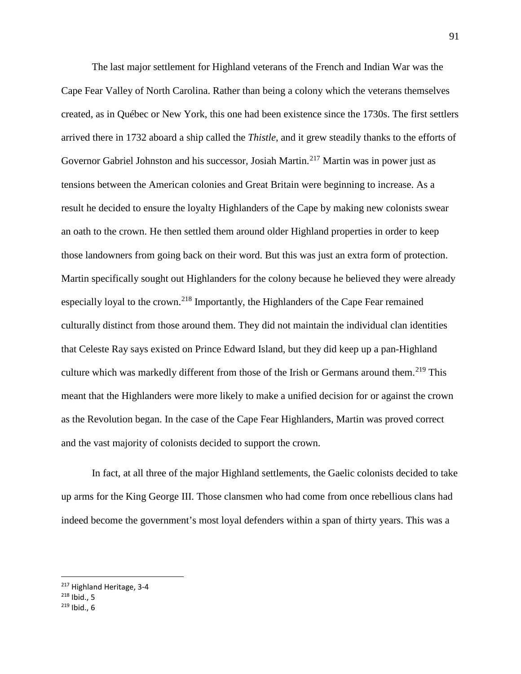The last major settlement for Highland veterans of the French and Indian War was the Cape Fear Valley of North Carolina. Rather than being a colony which the veterans themselves created, as in Québec or New York, this one had been existence since the 1730s. The first settlers arrived there in 1732 aboard a ship called the *Thistle,* and it grew steadily thanks to the efforts of Governor Gabriel Johnston and his successor, Josiah Martin.<sup>[217](#page-93-0)</sup> Martin was in power just as tensions between the American colonies and Great Britain were beginning to increase. As a result he decided to ensure the loyalty Highlanders of the Cape by making new colonists swear an oath to the crown. He then settled them around older Highland properties in order to keep those landowners from going back on their word. But this was just an extra form of protection. Martin specifically sought out Highlanders for the colony because he believed they were already especially loyal to the crown.<sup>[218](#page-93-1)</sup> Importantly, the Highlanders of the Cape Fear remained culturally distinct from those around them. They did not maintain the individual clan identities that Celeste Ray says existed on Prince Edward Island, but they did keep up a pan-Highland culture which was markedly different from those of the Irish or Germans around them.<sup>[219](#page-93-2)</sup> This meant that the Highlanders were more likely to make a unified decision for or against the crown as the Revolution began. In the case of the Cape Fear Highlanders, Martin was proved correct and the vast majority of colonists decided to support the crown.

In fact, at all three of the major Highland settlements, the Gaelic colonists decided to take up arms for the King George III. Those clansmen who had come from once rebellious clans had indeed become the government's most loyal defenders within a span of thirty years. This was a

<span id="page-93-0"></span><sup>&</sup>lt;sup>217</sup> Highland Heritage, 3-4

<span id="page-93-1"></span> $218$  Ibid., 5

<span id="page-93-2"></span> $219$  Ibid., 6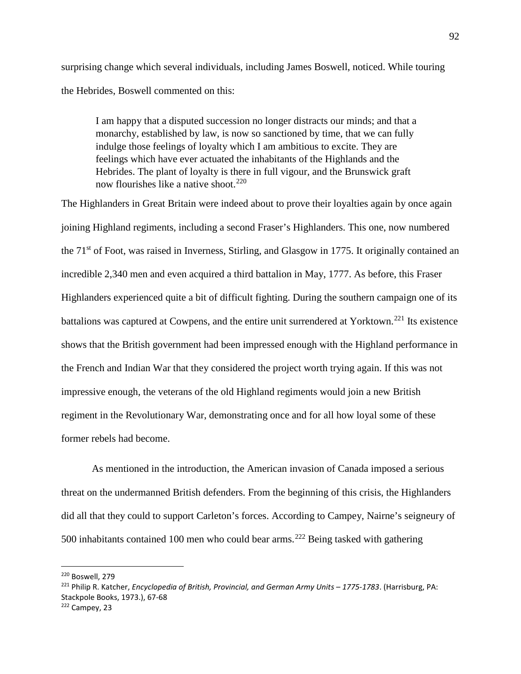surprising change which several individuals, including James Boswell, noticed. While touring the Hebrides, Boswell commented on this:

I am happy that a disputed succession no longer distracts our minds; and that a monarchy, established by law, is now so sanctioned by time, that we can fully indulge those feelings of loyalty which I am ambitious to excite. They are feelings which have ever actuated the inhabitants of the Highlands and the Hebrides. The plant of loyalty is there in full vigour, and the Brunswick graft now flourishes like a native shoot.<sup>[220](#page-94-0)</sup>

The Highlanders in Great Britain were indeed about to prove their loyalties again by once again joining Highland regiments, including a second Fraser's Highlanders. This one, now numbered the 71st of Foot, was raised in Inverness, Stirling, and Glasgow in 1775. It originally contained an incredible 2,340 men and even acquired a third battalion in May, 1777. As before, this Fraser Highlanders experienced quite a bit of difficult fighting. During the southern campaign one of its battalions was captured at Cowpens, and the entire unit surrendered at Yorktown.<sup>[221](#page-94-1)</sup> Its existence shows that the British government had been impressed enough with the Highland performance in the French and Indian War that they considered the project worth trying again. If this was not impressive enough, the veterans of the old Highland regiments would join a new British regiment in the Revolutionary War, demonstrating once and for all how loyal some of these former rebels had become.

As mentioned in the introduction, the American invasion of Canada imposed a serious threat on the undermanned British defenders. From the beginning of this crisis, the Highlanders did all that they could to support Carleton's forces. According to Campey, Nairne's seigneury of 500 inhabitants contained 100 men who could bear arms.<sup>[222](#page-94-2)</sup> Being tasked with gathering

<span id="page-94-0"></span><sup>220</sup> Boswell, 279

<span id="page-94-1"></span><sup>221</sup> Philip R. Katcher, *Encyclopedia of British, Provincial, and German Army Units – 1775-1783*. (Harrisburg, PA: Stackpole Books, 1973.), 67-68  $222$  Campey, 23

<span id="page-94-2"></span>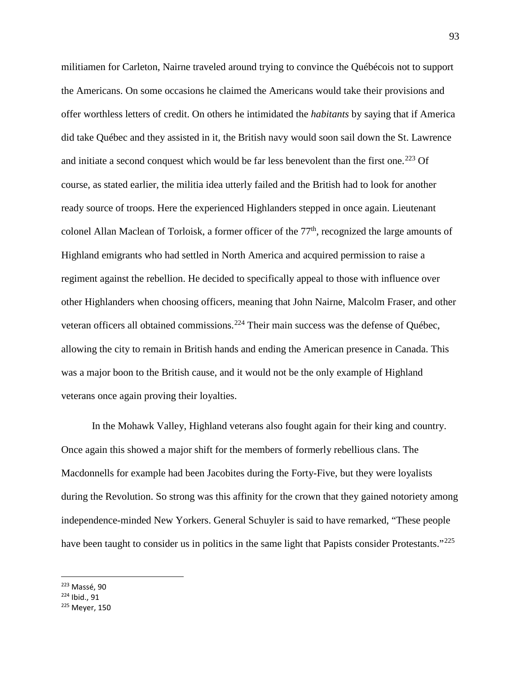militiamen for Carleton, Nairne traveled around trying to convince the Québécois not to support the Americans. On some occasions he claimed the Americans would take their provisions and offer worthless letters of credit. On others he intimidated the *habitants* by saying that if America did take Québec and they assisted in it, the British navy would soon sail down the St. Lawrence and initiate a second conquest which would be far less benevolent than the first one.<sup>[223](#page-95-0)</sup> Of course, as stated earlier, the militia idea utterly failed and the British had to look for another ready source of troops. Here the experienced Highlanders stepped in once again. Lieutenant colonel Allan Maclean of Torloisk, a former officer of the  $77<sup>th</sup>$ , recognized the large amounts of Highland emigrants who had settled in North America and acquired permission to raise a regiment against the rebellion. He decided to specifically appeal to those with influence over other Highlanders when choosing officers, meaning that John Nairne, Malcolm Fraser, and other veteran officers all obtained commissions.<sup>[224](#page-95-1)</sup> Their main success was the defense of Québec, allowing the city to remain in British hands and ending the American presence in Canada. This was a major boon to the British cause, and it would not be the only example of Highland veterans once again proving their loyalties.

In the Mohawk Valley, Highland veterans also fought again for their king and country. Once again this showed a major shift for the members of formerly rebellious clans. The Macdonnells for example had been Jacobites during the Forty-Five, but they were loyalists during the Revolution. So strong was this affinity for the crown that they gained notoriety among independence-minded New Yorkers. General Schuyler is said to have remarked, "These people have been taught to consider us in politics in the same light that Papists consider Protestants."<sup>[225](#page-95-2)</sup>

<span id="page-95-0"></span><sup>223</sup> Massé, 90

<span id="page-95-1"></span><sup>224</sup> Ibid., 91

<span id="page-95-2"></span><sup>225</sup> Meyer, 150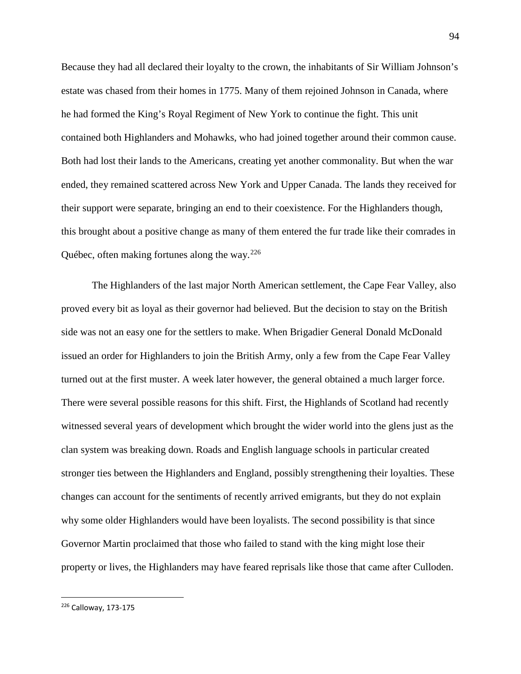Because they had all declared their loyalty to the crown, the inhabitants of Sir William Johnson's estate was chased from their homes in 1775. Many of them rejoined Johnson in Canada, where he had formed the King's Royal Regiment of New York to continue the fight. This unit contained both Highlanders and Mohawks, who had joined together around their common cause. Both had lost their lands to the Americans, creating yet another commonality. But when the war ended, they remained scattered across New York and Upper Canada. The lands they received for their support were separate, bringing an end to their coexistence. For the Highlanders though, this brought about a positive change as many of them entered the fur trade like their comrades in Québec, often making fortunes along the way. $226$ 

The Highlanders of the last major North American settlement, the Cape Fear Valley, also proved every bit as loyal as their governor had believed. But the decision to stay on the British side was not an easy one for the settlers to make. When Brigadier General Donald McDonald issued an order for Highlanders to join the British Army, only a few from the Cape Fear Valley turned out at the first muster. A week later however, the general obtained a much larger force. There were several possible reasons for this shift. First, the Highlands of Scotland had recently witnessed several years of development which brought the wider world into the glens just as the clan system was breaking down. Roads and English language schools in particular created stronger ties between the Highlanders and England, possibly strengthening their loyalties. These changes can account for the sentiments of recently arrived emigrants, but they do not explain why some older Highlanders would have been loyalists. The second possibility is that since Governor Martin proclaimed that those who failed to stand with the king might lose their property or lives, the Highlanders may have feared reprisals like those that came after Culloden.

<sup>94</sup>

<span id="page-96-0"></span><sup>226</sup> Calloway, 173-175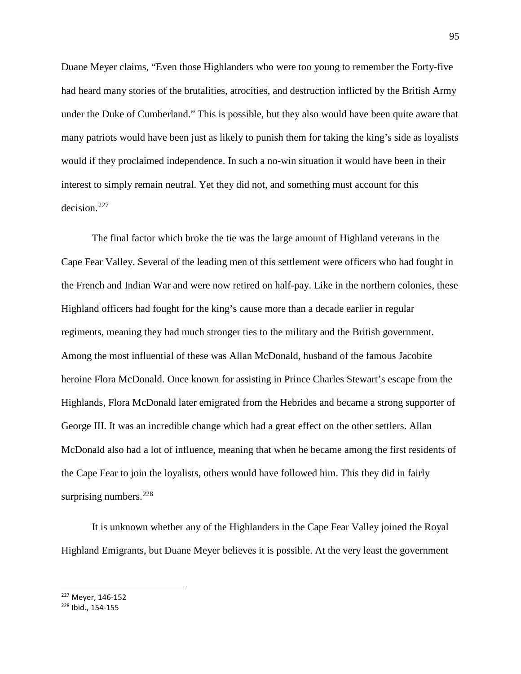Duane Meyer claims, "Even those Highlanders who were too young to remember the Forty-five had heard many stories of the brutalities, atrocities, and destruction inflicted by the British Army under the Duke of Cumberland." This is possible, but they also would have been quite aware that many patriots would have been just as likely to punish them for taking the king's side as loyalists would if they proclaimed independence. In such a no-win situation it would have been in their interest to simply remain neutral. Yet they did not, and something must account for this decision.[227](#page-97-0)

The final factor which broke the tie was the large amount of Highland veterans in the Cape Fear Valley. Several of the leading men of this settlement were officers who had fought in the French and Indian War and were now retired on half-pay. Like in the northern colonies, these Highland officers had fought for the king's cause more than a decade earlier in regular regiments, meaning they had much stronger ties to the military and the British government. Among the most influential of these was Allan McDonald, husband of the famous Jacobite heroine Flora McDonald. Once known for assisting in Prince Charles Stewart's escape from the Highlands, Flora McDonald later emigrated from the Hebrides and became a strong supporter of George III. It was an incredible change which had a great effect on the other settlers. Allan McDonald also had a lot of influence, meaning that when he became among the first residents of the Cape Fear to join the loyalists, others would have followed him. This they did in fairly surprising numbers. $228$ 

It is unknown whether any of the Highlanders in the Cape Fear Valley joined the Royal Highland Emigrants, but Duane Meyer believes it is possible. At the very least the government

<span id="page-97-0"></span><sup>227</sup> Meyer, 146-152

<span id="page-97-1"></span><sup>228</sup> Ibid., 154-155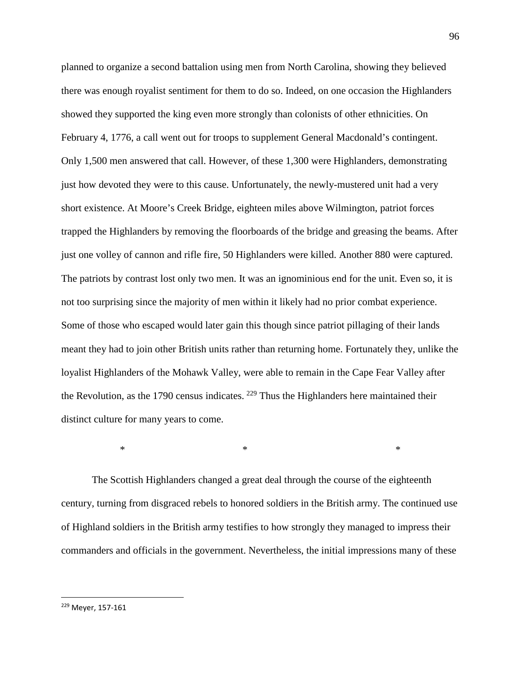planned to organize a second battalion using men from North Carolina, showing they believed there was enough royalist sentiment for them to do so. Indeed, on one occasion the Highlanders showed they supported the king even more strongly than colonists of other ethnicities. On February 4, 1776, a call went out for troops to supplement General Macdonald's contingent. Only 1,500 men answered that call. However, of these 1,300 were Highlanders, demonstrating just how devoted they were to this cause. Unfortunately, the newly-mustered unit had a very short existence. At Moore's Creek Bridge, eighteen miles above Wilmington, patriot forces trapped the Highlanders by removing the floorboards of the bridge and greasing the beams. After just one volley of cannon and rifle fire, 50 Highlanders were killed. Another 880 were captured. The patriots by contrast lost only two men. It was an ignominious end for the unit. Even so, it is not too surprising since the majority of men within it likely had no prior combat experience. Some of those who escaped would later gain this though since patriot pillaging of their lands meant they had to join other British units rather than returning home. Fortunately they, unlike the loyalist Highlanders of the Mohawk Valley, were able to remain in the Cape Fear Valley after the Revolution, as the 1790 census indicates.  $229$  Thus the Highlanders here maintained their distinct culture for many years to come.

 $*$   $*$ 

The Scottish Highlanders changed a great deal through the course of the eighteenth century, turning from disgraced rebels to honored soldiers in the British army. The continued use of Highland soldiers in the British army testifies to how strongly they managed to impress their commanders and officials in the government. Nevertheless, the initial impressions many of these

<span id="page-98-0"></span><sup>229</sup> Meyer, 157-161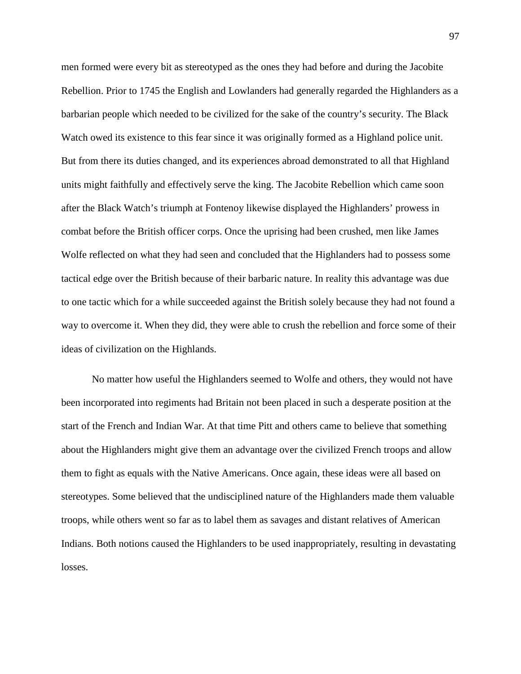men formed were every bit as stereotyped as the ones they had before and during the Jacobite Rebellion. Prior to 1745 the English and Lowlanders had generally regarded the Highlanders as a barbarian people which needed to be civilized for the sake of the country's security. The Black Watch owed its existence to this fear since it was originally formed as a Highland police unit. But from there its duties changed, and its experiences abroad demonstrated to all that Highland units might faithfully and effectively serve the king. The Jacobite Rebellion which came soon after the Black Watch's triumph at Fontenoy likewise displayed the Highlanders' prowess in combat before the British officer corps. Once the uprising had been crushed, men like James Wolfe reflected on what they had seen and concluded that the Highlanders had to possess some tactical edge over the British because of their barbaric nature. In reality this advantage was due to one tactic which for a while succeeded against the British solely because they had not found a way to overcome it. When they did, they were able to crush the rebellion and force some of their ideas of civilization on the Highlands.

No matter how useful the Highlanders seemed to Wolfe and others, they would not have been incorporated into regiments had Britain not been placed in such a desperate position at the start of the French and Indian War. At that time Pitt and others came to believe that something about the Highlanders might give them an advantage over the civilized French troops and allow them to fight as equals with the Native Americans. Once again, these ideas were all based on stereotypes. Some believed that the undisciplined nature of the Highlanders made them valuable troops, while others went so far as to label them as savages and distant relatives of American Indians. Both notions caused the Highlanders to be used inappropriately, resulting in devastating losses.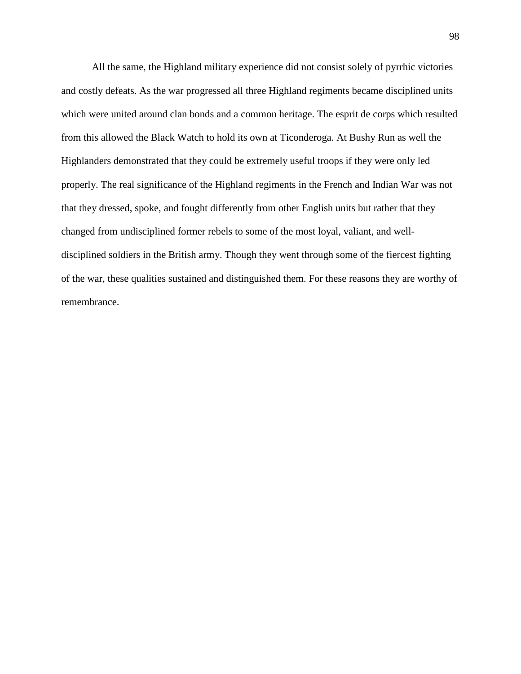All the same, the Highland military experience did not consist solely of pyrrhic victories and costly defeats. As the war progressed all three Highland regiments became disciplined units which were united around clan bonds and a common heritage. The esprit de corps which resulted from this allowed the Black Watch to hold its own at Ticonderoga. At Bushy Run as well the Highlanders demonstrated that they could be extremely useful troops if they were only led properly. The real significance of the Highland regiments in the French and Indian War was not that they dressed, spoke, and fought differently from other English units but rather that they changed from undisciplined former rebels to some of the most loyal, valiant, and welldisciplined soldiers in the British army. Though they went through some of the fiercest fighting of the war, these qualities sustained and distinguished them. For these reasons they are worthy of remembrance.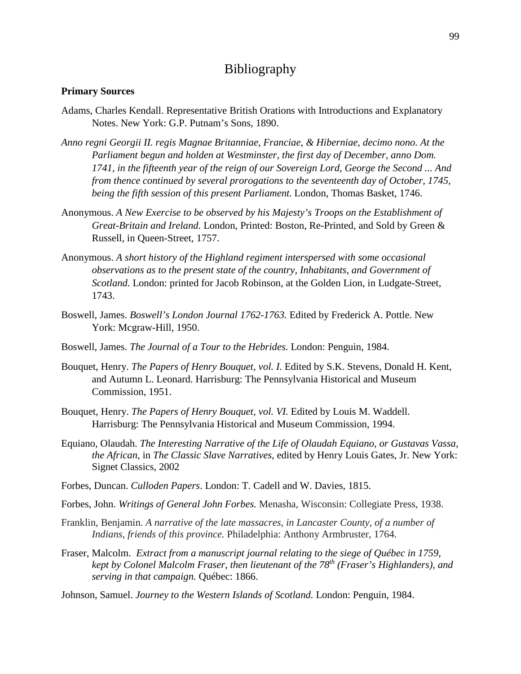## Bibliography

## **Primary Sources**

- Adams, Charles Kendall. Representative British Orations with Introductions and Explanatory Notes. New York: G.P. Putnam's Sons, 1890.
- *Anno regni Georgii II. regis Magnae Britanniae, Franciae, & Hiberniae, decimo nono. At the Parliament begun and holden at Westminster, the first day of December, anno Dom. 1741, in the fifteenth year of the reign of our Sovereign Lord, George the Second ... And from thence continued by several prorogations to the seventeenth day of October, 1745, being the fifth session of this present Parliament.* London, Thomas Basket, 1746.
- Anonymous. *A New Exercise to be observed by his Majesty's Troops on the Establishment of Great-Britain and Ireland.* London, Printed: Boston, Re-Printed, and Sold by Green & Russell, in Queen-Street, 1757.
- Anonymous. *A short history of the Highland regiment interspersed with some occasional observations as to the present state of the country, Inhabitants, and Government of Scotland.* London: printed for Jacob Robinson, at the Golden Lion, in Ludgate-Street, 1743.
- Boswell, James. *Boswell's London Journal 1762-1763.* Edited by Frederick A. Pottle. New York: Mcgraw-Hill, 1950.
- Boswell, James. *The Journal of a Tour to the Hebrides*. London: Penguin, 1984.
- Bouquet, Henry. *The Papers of Henry Bouquet, vol. I.* Edited by S.K. Stevens, Donald H. Kent, and Autumn L. Leonard. Harrisburg: The Pennsylvania Historical and Museum Commission, 1951.
- Bouquet, Henry. *The Papers of Henry Bouquet, vol. VI.* Edited by Louis M. Waddell. Harrisburg: The Pennsylvania Historical and Museum Commission, 1994.
- Equiano, Olaudah. *The Interesting Narrative of the Life of Olaudah Equiano, or Gustavas Vassa, the African*, in *The Classic Slave Narratives,* edited by Henry Louis Gates, Jr. New York: Signet Classics, 2002
- Forbes, Duncan. *Culloden Papers*. London: T. Cadell and W. Davies, 1815.
- Forbes, John. *Writings of General John Forbes.* Menasha, Wisconsin: Collegiate Press, 1938.
- Franklin, Benjamin. *A narrative of the late massacres, in Lancaster County, of a number of Indians, friends of this province.* Philadelphia: Anthony Armbruster, 1764.
- Fraser, Malcolm. *Extract from a manuscript journal relating to the siege of Québec in 1759, kept by Colonel Malcolm Fraser, then lieutenant of the 78th (Fraser's Highlanders), and serving in that campaign.* Québec: 1866.
- Johnson, Samuel. *Journey to the Western Islands of Scotland.* London: Penguin, 1984.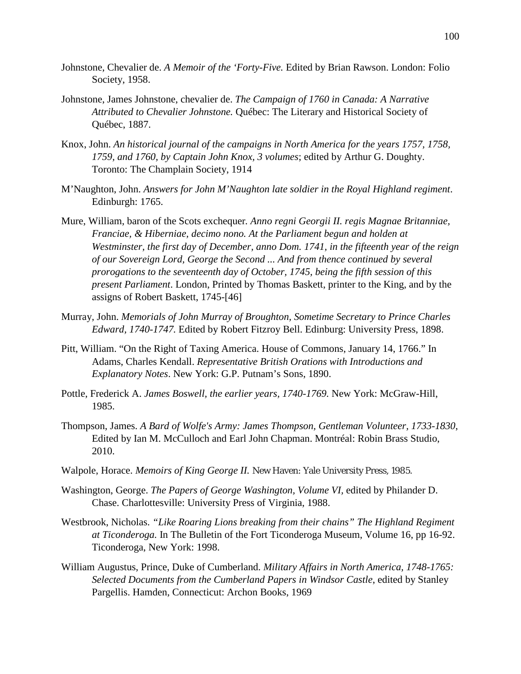- Johnstone, Chevalier de. *A Memoir of the 'Forty-Five.* Edited by Brian Rawson. London: Folio Society, 1958.
- Johnstone, James Johnstone, chevalier de. *The Campaign of 1760 in Canada: A Narrative Attributed to Chevalier Johnstone.* Québec: The Literary and Historical Society of Québec, 1887.
- Knox, John. *An historical journal of the campaigns in North America for the years 1757, 1758, 1759, and 1760, by Captain John Knox, 3 volumes*; edited by Arthur G. Doughty. Toronto: The Champlain Society, 1914
- M'Naughton, John. *Answers for John M'Naughton late soldier in the Royal Highland regiment*. Edinburgh: 1765.
- Mure, William, baron of the Scots exchequer*. Anno regni Georgii II. regis Magnae Britanniae, Franciae, & Hiberniae, decimo nono. At the Parliament begun and holden at Westminster, the first day of December, anno Dom. 1741, in the fifteenth year of the reign of our Sovereign Lord, George the Second ... And from thence continued by several prorogations to the seventeenth day of October, 1745, being the fifth session of this present Parliament*. London, Printed by Thomas Baskett, printer to the King, and by the assigns of Robert Baskett, 1745-[46]
- Murray, John. *Memorials of John Murray of Broughton, Sometime Secretary to Prince Charles Edward, 1740-1747.* Edited by Robert Fitzroy Bell. Edinburg: University Press, 1898.
- Pitt, William. "On the Right of Taxing America. House of Commons, January 14, 1766." In Adams, Charles Kendall. *Representative British Orations with Introductions and Explanatory Notes*. New York: G.P. Putnam's Sons, 1890.
- Pottle, Frederick A. *James Boswell, the earlier years, 1740-1769.* New York: McGraw-Hill, 1985.
- Thompson, James. *A Bard of Wolfe's Army: James Thompson, Gentleman Volunteer, 1733-1830*, Edited by Ian M. McCulloch and Earl John Chapman. Montréal: Robin Brass Studio, 2010.
- Walpole, Horace. *Memoirs of King George II.* New Haven: Yale University Press, 1985.
- Washington, George. *The Papers of George Washington, Volume VI,* edited by Philander D. Chase. Charlottesville: University Press of Virginia, 1988.
- Westbrook, Nicholas. *"Like Roaring Lions breaking from their chains" The Highland Regiment at Ticonderoga.* In The Bulletin of the Fort Ticonderoga Museum, Volume 16, pp 16-92. Ticonderoga, New York: 1998.
- William Augustus, Prince, Duke of Cumberland. *Military Affairs in North America, 1748-1765: Selected Documents from the Cumberland Papers in Windsor Castle*, edited by Stanley Pargellis. Hamden, Connecticut: Archon Books, 1969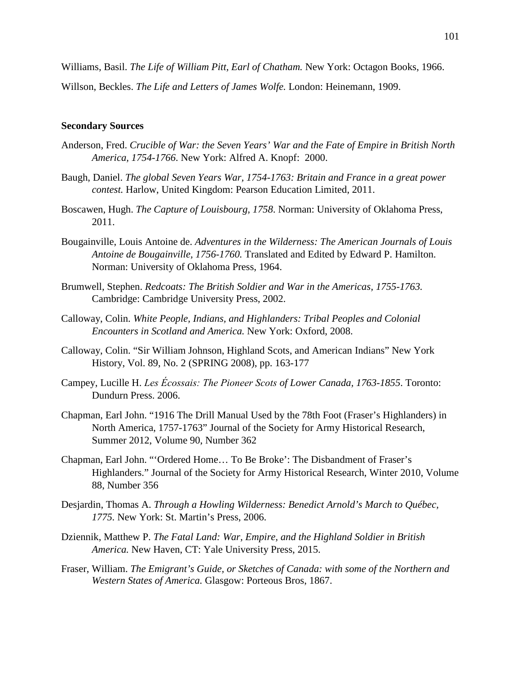Williams, Basil. *The Life of William Pitt, Earl of Chatham.* New York: Octagon Books, 1966.

Willson, Beckles. *The Life and Letters of James Wolfe.* London: Heinemann, 1909.

## **Secondary Sources**

- Anderson, Fred. *Crucible of War: the Seven Years' War and the Fate of Empire in British North America, 1754-1766*. New York: Alfred A. Knopf: 2000.
- Baugh, Daniel. *The global Seven Years War, 1754-1763: Britain and France in a great power contest.* Harlow, United Kingdom: Pearson Education Limited, 2011.
- Boscawen, Hugh. *The Capture of Louisbourg, 1758*. Norman: University of Oklahoma Press, 2011.
- Bougainville, Louis Antoine de. *Adventures in the Wilderness: The American Journals of Louis Antoine de Bougainville, 1756-1760.* Translated and Edited by Edward P. Hamilton. Norman: University of Oklahoma Press, 1964.
- Brumwell, Stephen. *Redcoats: The British Soldier and War in the Americas, 1755-1763.* Cambridge: Cambridge University Press, 2002.
- Calloway, Colin. *White People, Indians, and Highlanders: Tribal Peoples and Colonial Encounters in Scotland and America.* New York: Oxford, 2008.
- Calloway, Colin. "Sir William Johnson, Highland Scots, and American Indians" New York History, Vol. 89, No. 2 (SPRING 2008), pp. 163-177
- Campey, Lucille H. *Les Écossais: The Pioneer Scots of Lower Canada, 1763-1855*. Toronto: Dundurn Press. 2006.
- Chapman, Earl John. "1916 The Drill Manual Used by the 78th Foot (Fraser's Highlanders) in North America, 1757-1763" Journal of the Society for Army Historical Research, Summer 2012, Volume 90, Number 362
- Chapman, Earl John. "'Ordered Home… To Be Broke': The Disbandment of Fraser's Highlanders." Journal of the Society for Army Historical Research, Winter 2010, Volume 88, Number 356
- Desjardin, Thomas A. *Through a Howling Wilderness: Benedict Arnold's March to Québec, 1775.* New York: St. Martin's Press, 2006.
- Dziennik, Matthew P. *The Fatal Land: War, Empire, and the Highland Soldier in British America.* New Haven, CT: Yale University Press, 2015.
- Fraser, William. *The Emigrant's Guide, or Sketches of Canada: with some of the Northern and Western States of America.* Glasgow: Porteous Bros, 1867.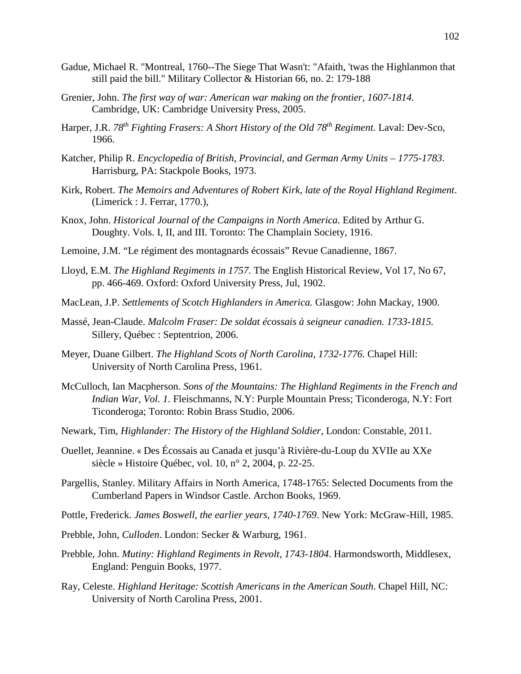- Gadue, Michael R. "Montreal, 1760--The Siege That Wasn't: "Afaith, 'twas the Highlanmon that still paid the bill." Military Collector & Historian 66, no. 2: 179-188
- Grenier, John. *The first way of war: American war making on the frontier, 1607-1814.* Cambridge, UK: Cambridge University Press, 2005.
- Harper, J.R. *78th Fighting Frasers: A Short History of the Old 78th Regiment.* Laval: Dev-Sco, 1966.
- Katcher, Philip R. *Encyclopedia of British, Provincial, and German Army Units – 1775-1783*. Harrisburg, PA: Stackpole Books, 1973.
- Kirk, Robert. *The Memoirs and Adventures of Robert Kirk, late of the Royal Highland Regiment*. (Limerick : J. Ferrar, 1770.),
- Knox, John. *Historical Journal of the Campaigns in North America.* Edited by Arthur G. Doughty. Vols. I, II, and III. Toronto: The Champlain Society, 1916.
- Lemoine, J.M. "Le régiment des montagnards écossais" Revue Canadienne, 1867.
- Lloyd, E.M. *The Highland Regiments in 1757.* The English Historical Review, Vol 17, No 67, pp. 466-469. Oxford: Oxford University Press, Jul, 1902.
- MacLean, J.P. *Settlements of Scotch Highlanders in America.* Glasgow: John Mackay, 1900.
- Massé, Jean-Claude. *Malcolm Fraser: De soldat écossais à seigneur canadien. 1733-1815.* Sillery, Québec : Septentrion, 2006.
- Meyer, Duane Gilbert. *The Highland Scots of North Carolina, 1732-1776.* Chapel Hill: University of North Carolina Press, 1961.
- McCulloch, Ian Macpherson. *Sons of the Mountains: The Highland Regiments in the French and Indian War, Vol. 1.* Fleischmanns, N.Y: Purple Mountain Press; Ticonderoga, N.Y: Fort Ticonderoga; Toronto: Robin Brass Studio, 2006.
- Newark, Tim, *Highlander: The History of the Highland Soldier*, London: Constable, 2011.
- Ouellet, Jeannine. « Des Écossais au Canada et jusqu'à Rivière-du-Loup du XVIIe au XXe siècle » Histoire Québec, vol. 10, n° 2, 2004, p. 22-25.
- Pargellis, Stanley. Military Affairs in North America, 1748-1765: Selected Documents from the Cumberland Papers in Windsor Castle. Archon Books, 1969.
- Pottle, Frederick. *James Boswell, the earlier years, 1740-1769*. New York: McGraw-Hill, 1985.
- Prebble, John, *Culloden*. London: Secker & Warburg, 1961.
- Prebble, John. *Mutiny: Highland Regiments in Revolt, 1743-1804*. Harmondsworth, Middlesex, England: Penguin Books, 1977.
- Ray, Celeste. *Highland Heritage: Scottish Americans in the American South*. Chapel Hill, NC: University of North Carolina Press, 2001.